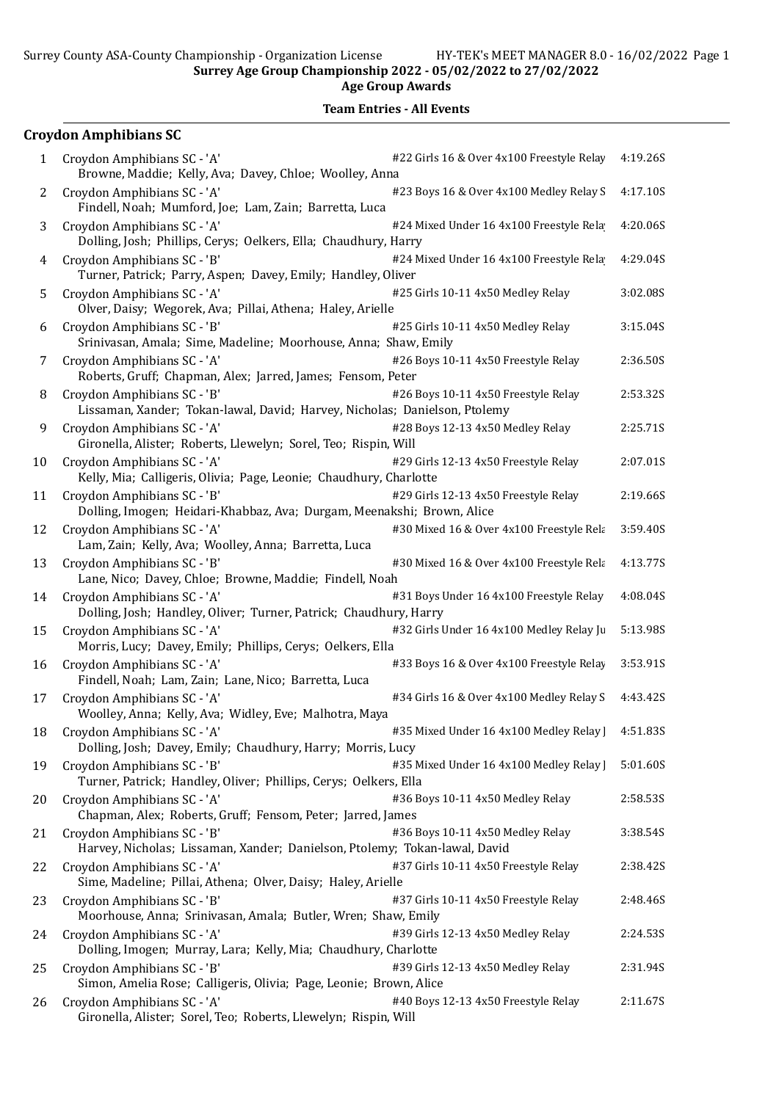#### Team Entries - All Events

## Croydon Amphibians SC 1 Croydon Amphibians SC - 'A'  $\#22$  Girls 16 & Over 4x100 Freestyle Relay 4:19.26S Browne, Maddie; Kelly, Ava; Davey, Chloe; Woolley, Anna 2 Croydon Amphibians SC - 'A'  $\#23$  Boys 16 & Over 4x100 Medley Relay S 4:17.10S Findell, Noah; Mumford, Joe; Lam, Zain; Barretta, Luca 3 Croydon Amphibians SC - 'A'  $\#24$  Mixed Under 16 4x100 Freestyle Rela 4:20.06S Dolling, Josh; Phillips, Cerys; Oelkers, Ella; Chaudhury, Harry 4 Croydon Amphibians SC - 'B'  $\#24$  Mixed Under 16 4x100 Freestyle Rela 4:29.04S Turner, Patrick; Parry, Aspen; Davey, Emily; Handley, Oliver 5 Croydon Amphibians SC - 'A' #25 Girls 10-11 4x50 Medley Relay 3:02.08S Olver, Daisy; Wegorek, Ava; Pillai, Athena; Haley, Arielle 6 Croydon Amphibians SC - 'B' #25 Girls 10-11 4x50 Medley Relay 3:15.04S Srinivasan, Amala; Sime, Madeline; Moorhouse, Anna; Shaw, Emily 7 Croydon Amphibians SC - 'A' #26 Boys 10-11 4x50 Freestyle Relay 2:36.50S Roberts, Gruff; Chapman, Alex; Jarred, James; Fensom, Peter 8 Croydon Amphibians SC - 'B'  $\#26$  Boys 10-11 4x50 Freestyle Relay 2:53.32S Lissaman, Xander; Tokan-lawal, David; Harvey, Nicholas; Danielson, Ptolemy 9 Croydon Amphibians SC - 'A'  $\#28$  Boys 12-13 4x50 Medley Relay 2:25.71S Gironella, Alister; Roberts, Llewelyn; Sorel, Teo; Rispin, Will 10 Croydon Amphibians SC - 'A' #29 Girls 12-13 4x50 Freestyle Relay 2:07.01S Kelly, Mia; Calligeris, Olivia; Page, Leonie; Chaudhury, Charlotte 11 Croydon Amphibians SC - 'B' #29 Girls 12-13 4x50 Freestyle Relay 2:19.66S Dolling, Imogen; Heidari-Khabbaz, Ava; Durgam, Meenakshi; Brown, Alice 12 Croydon Amphibians SC - 'A'  $\#30$  Mixed 16 & Over 4x100 Freestyle Relay 3:59.40S Lam, Zain; Kelly, Ava; Woolley, Anna; Barretta, Luca 13 Croydon Amphibians SC - 'B'  $\qquad$  #30 Mixed 16 & Over 4x100 Freestyle Relay 4:13.77S Lane, Nico; Davey, Chloe; Browne, Maddie; Findell, Noah 14 Croydon Amphibians SC - 'A'  $\#31$  Boys Under 16 4x100 Freestyle Relay 4:08.04S Dolling, Josh; Handley, Oliver; Turner, Patrick; Chaudhury, Harry 15 Croydon Amphibians SC - 'A'  $\#32$  Girls Under 16 4x100 Medley Relay Juniors 5:13.98S Morris, Lucy; Davey, Emily; Phillips, Cerys; Oelkers, Ella 16 Croydon Amphibians SC - 'A'  $\#33$  Boys 16 & Over 4x100 Freestyle Relay 3:53.91S Findell, Noah; Lam, Zain; Lane, Nico; Barretta, Luca 17 Croydon Amphibians SC - 'A'  $\#34$  Girls 16 & Over 4x100 Medley Relay S 4:43.42S Woolley, Anna; Kelly, Ava; Widley, Eve; Malhotra, Maya 18 Croydon Amphibians SC - 'A'  $\#35$  Mixed Under 16 4x100 Medley Relay | 4:51.83S Dolling, Josh; Davey, Emily; Chaudhury, Harry; Morris, Lucy 19 Croydon Amphibians SC - 'B'  $\#35$  Mixed Under 16 4x100 Medley Relay | 5:01.60S Turner, Patrick; Handley, Oliver; Phillips, Cerys; Oelkers, Ella 20 Croydon Amphibians SC - 'A'  $\#36$  Boys 10-11 4x50 Medley Relay 2:58.53S Chapman, Alex; Roberts, Gruff; Fensom, Peter; Jarred, James 21 Croydon Amphibians SC - 'B'  $\#36$  Boys 10-11 4x50 Medley Relay 3:38.54S Harvey, Nicholas; Lissaman, Xander; Danielson, Ptolemy; Tokan-lawal, David 22 Croydon Amphibians SC - 'A' #37 Girls 10-11 4x50 Freestyle Relay 2:38.42S Sime, Madeline; Pillai, Athena; Olver, Daisy; Haley, Arielle 23 Croydon Amphibians SC - 'B' <br> #37 Girls 10-11 4x50 Freestyle Relay 2:48.46S Moorhouse, Anna; Srinivasan, Amala; Butler, Wren; Shaw, Emily 24 Croydon Amphibians SC - 'A' #39 Girls 12-13 4x50 Medley Relay 2:24.53S Dolling, Imogen; Murray, Lara; Kelly, Mia; Chaudhury, Charlotte 25 Croydon Amphibians SC - 'B'  $\#39$  Girls 12-13 4x50 Medley Relay 2:31.94S Simon, Amelia Rose; Calligeris, Olivia; Page, Leonie; Brown, Alice 26 Croydon Amphibians SC - 'A'  $\#40$  Boys 12-13 4x50 Freestyle Relay 2:11.67S Gironella, Alister; Sorel, Teo; Roberts, Llewelyn; Rispin, Will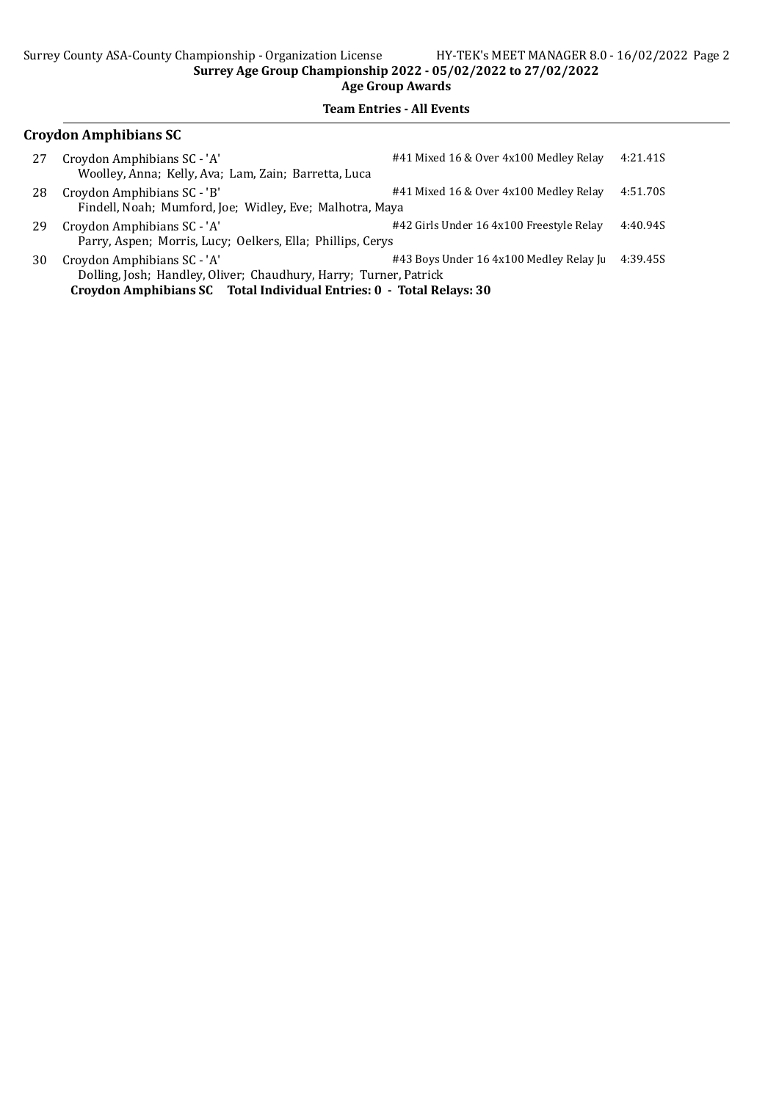#### Team Entries - All Events

## Croydon Amphibians SC

| 27 | Croydon Amphibians SC - 'A'                                | #41 Mixed 16 & Over 4x100 Medley Relay   | 4:21.41S |
|----|------------------------------------------------------------|------------------------------------------|----------|
|    | Woolley, Anna; Kelly, Ava; Lam, Zain; Barretta, Luca       |                                          |          |
| 28 | Croydon Amphibians SC - 'B'                                | #41 Mixed 16 & Over 4x100 Medley Relay   | 4:51.70S |
|    | Findell, Noah; Mumford, Joe; Widley, Eve; Malhotra, Maya   |                                          |          |
| 29 | Croydon Amphibians SC - 'A'                                | #42 Girls Under 16 4x100 Freestyle Relay | 4:40.94S |
|    | Parry, Aspen; Morris, Lucy; Oelkers, Ella; Phillips, Cerys |                                          |          |
| 30 | Croydon Amphibians SC - 'A'                                | #43 Boys Under 16 4x100 Medley Relay Ju  | 4:39.45S |
|    | <b>DU</b> I I II AP                                        |                                          |          |

Dolling, Josh; Handley, Oliver; Chaudhury, Harry; Turner, Patrick Croydon Amphibians SC Total Individual Entries: 0 - Total Relays: 30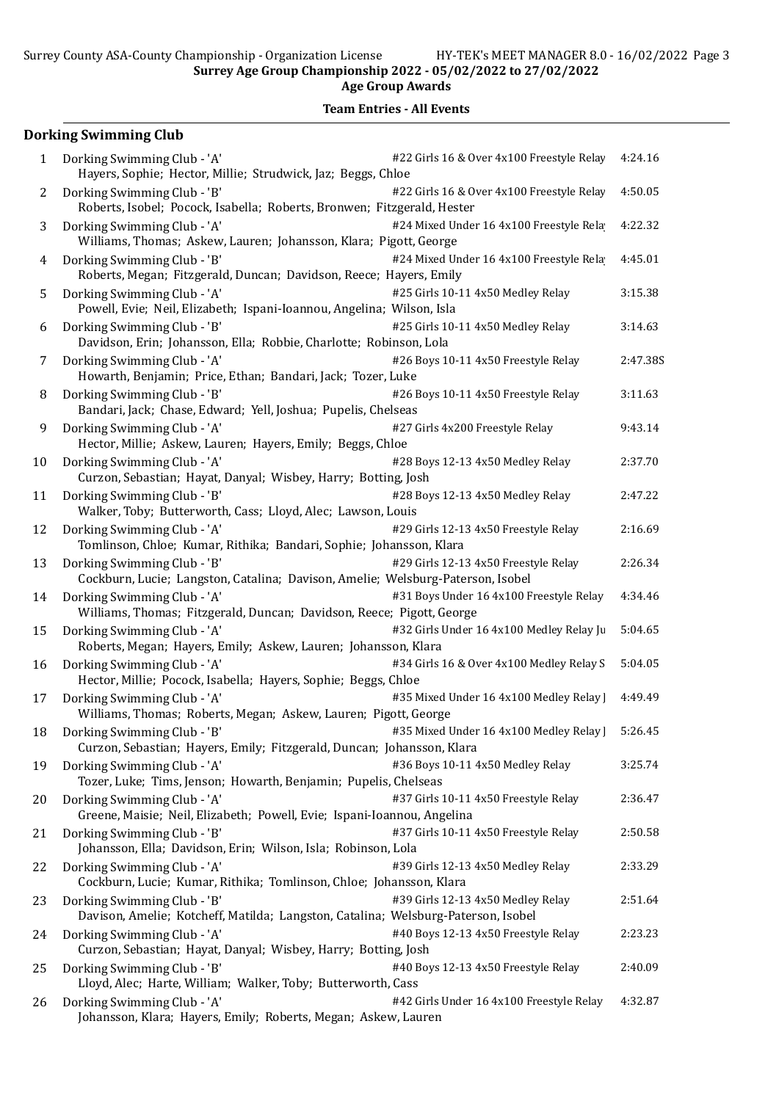#### Team Entries - All Events

# Dorking Swimming Club

| 1  | Dorking Swimming Club - 'A'<br>Hayers, Sophie; Hector, Millie; Strudwick, Jaz; Beggs, Chloe                      | #22 Girls 16 & Over 4x100 Freestyle Relay | 4:24.16  |
|----|------------------------------------------------------------------------------------------------------------------|-------------------------------------------|----------|
| 2  | Dorking Swimming Club - 'B'<br>Roberts, Isobel; Pocock, Isabella; Roberts, Bronwen; Fitzgerald, Hester           | #22 Girls 16 & Over 4x100 Freestyle Relay | 4:50.05  |
| 3  | Dorking Swimming Club - 'A'<br>Williams, Thomas; Askew, Lauren; Johansson, Klara; Pigott, George                 | #24 Mixed Under 16 4x100 Freestyle Rela   | 4:22.32  |
| 4  | Dorking Swimming Club - 'B'<br>Roberts, Megan; Fitzgerald, Duncan; Davidson, Reece; Hayers, Emily                | #24 Mixed Under 16 4x100 Freestyle Rela   | 4:45.01  |
| 5  | Dorking Swimming Club - 'A'<br>Powell, Evie; Neil, Elizabeth; Ispani-Ioannou, Angelina; Wilson, Isla             | #25 Girls 10-11 4x50 Medley Relay         | 3:15.38  |
| 6  | Dorking Swimming Club - 'B'<br>Davidson, Erin; Johansson, Ella; Robbie, Charlotte; Robinson, Lola                | #25 Girls 10-11 4x50 Medley Relay         | 3:14.63  |
| 7  | Dorking Swimming Club - 'A'<br>Howarth, Benjamin; Price, Ethan; Bandari, Jack; Tozer, Luke                       | #26 Boys 10-11 4x50 Freestyle Relay       | 2:47.38S |
| 8  | Dorking Swimming Club - 'B'<br>Bandari, Jack; Chase, Edward; Yell, Joshua; Pupelis, Chelseas                     | #26 Boys 10-11 4x50 Freestyle Relay       | 3:11.63  |
| 9  | Dorking Swimming Club - 'A'<br>Hector, Millie; Askew, Lauren; Hayers, Emily; Beggs, Chloe                        | #27 Girls 4x200 Freestyle Relay           | 9:43.14  |
| 10 | Dorking Swimming Club - 'A'<br>Curzon, Sebastian; Hayat, Danyal; Wisbey, Harry; Botting, Josh                    | #28 Boys 12-13 4x50 Medley Relay          | 2:37.70  |
| 11 | Dorking Swimming Club - 'B'<br>Walker, Toby; Butterworth, Cass; Lloyd, Alec; Lawson, Louis                       | #28 Boys 12-13 4x50 Medley Relay          | 2:47.22  |
| 12 | Dorking Swimming Club - 'A'<br>Tomlinson, Chloe; Kumar, Rithika; Bandari, Sophie; Johansson, Klara               | #29 Girls 12-13 4x50 Freestyle Relay      | 2:16.69  |
| 13 | Dorking Swimming Club - 'B'<br>Cockburn, Lucie; Langston, Catalina; Davison, Amelie; Welsburg-Paterson, Isobel   | #29 Girls 12-13 4x50 Freestyle Relay      | 2:26.34  |
| 14 | Dorking Swimming Club - 'A'<br>Williams, Thomas; Fitzgerald, Duncan; Davidson, Reece; Pigott, George             | #31 Boys Under 16 4x100 Freestyle Relay   | 4:34.46  |
| 15 | Dorking Swimming Club - 'A'<br>Roberts, Megan; Hayers, Emily; Askew, Lauren; Johansson, Klara                    | #32 Girls Under 16 4x100 Medley Relay Ju  | 5:04.65  |
| 16 | Dorking Swimming Club - 'A'<br>Hector, Millie; Pocock, Isabella; Hayers, Sophie; Beggs, Chloe                    | #34 Girls 16 & Over 4x100 Medley Relay S  | 5:04.05  |
| 17 | Dorking Swimming Club - 'A'<br>Williams, Thomas; Roberts, Megan; Askew, Lauren; Pigott, George                   | #35 Mixed Under 16 4x100 Medley Relay     | 4:49.49  |
|    | 18 Dorking Swimming Club - 'B'<br>Curzon, Sebastian; Hayers, Emily; Fitzgerald, Duncan; Johansson, Klara         | #35 Mixed Under 16 4x100 Medley Relay ]   | 5:26.45  |
| 19 | Dorking Swimming Club - 'A'<br>Tozer, Luke; Tims, Jenson; Howarth, Benjamin; Pupelis, Chelseas                   | #36 Boys 10-11 4x50 Medley Relay          | 3:25.74  |
| 20 | Dorking Swimming Club - 'A'<br>Greene, Maisie; Neil, Elizabeth; Powell, Evie; Ispani-Ioannou, Angelina           | #37 Girls 10-11 4x50 Freestyle Relay      | 2:36.47  |
| 21 | Dorking Swimming Club - 'B'<br>Johansson, Ella; Davidson, Erin; Wilson, Isla; Robinson, Lola                     | #37 Girls 10-11 4x50 Freestyle Relay      | 2:50.58  |
| 22 | Dorking Swimming Club - 'A'<br>Cockburn, Lucie; Kumar, Rithika; Tomlinson, Chloe; Johansson, Klara               | #39 Girls 12-13 4x50 Medley Relay         | 2:33.29  |
| 23 | Dorking Swimming Club - 'B'<br>Davison, Amelie; Kotcheff, Matilda; Langston, Catalina; Welsburg-Paterson, Isobel | #39 Girls 12-13 4x50 Medley Relay         | 2:51.64  |
| 24 | Dorking Swimming Club - 'A'<br>Curzon, Sebastian; Hayat, Danyal; Wisbey, Harry; Botting, Josh                    | #40 Boys 12-13 4x50 Freestyle Relay       | 2:23.23  |
| 25 | Dorking Swimming Club - 'B'<br>Lloyd, Alec; Harte, William; Walker, Toby; Butterworth, Cass                      | #40 Boys 12-13 4x50 Freestyle Relay       | 2:40.09  |
| 26 | Dorking Swimming Club - 'A'<br>Johansson, Klara; Hayers, Emily; Roberts, Megan; Askew, Lauren                    | #42 Girls Under 16 4x100 Freestyle Relay  | 4:32.87  |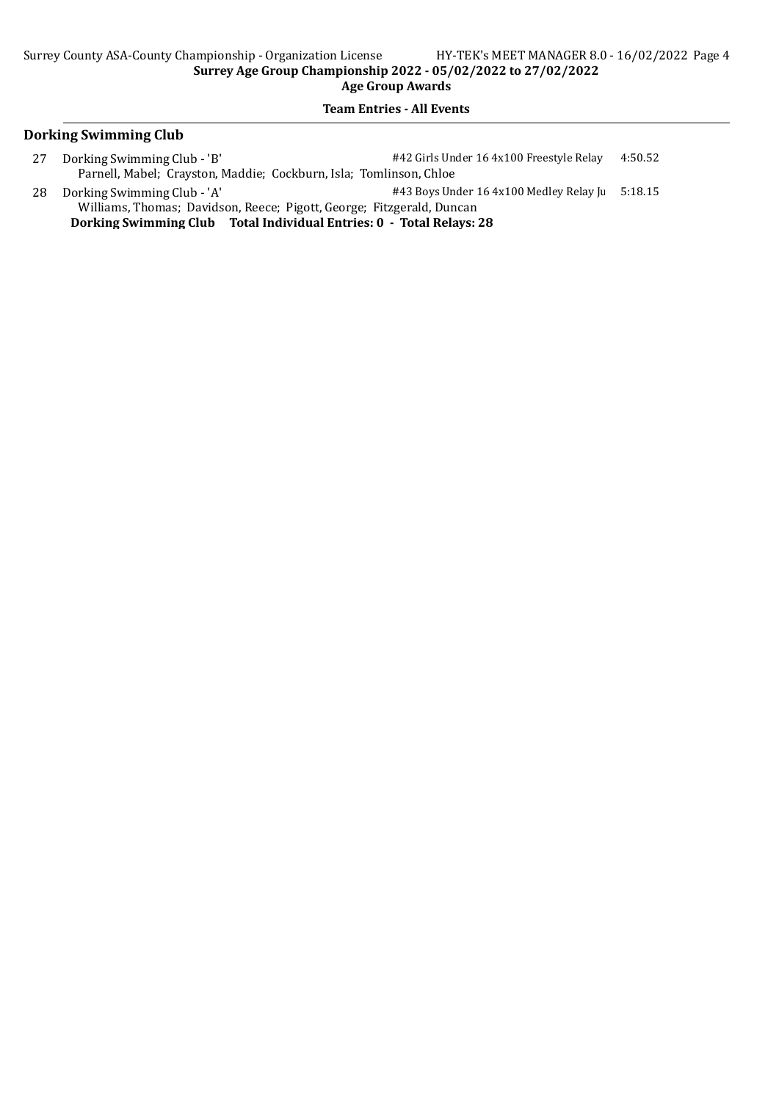#### Team Entries - All Events

### Dorking Swimming Club

- 27 Dorking Swimming Club 'B'  $\#42$  Girls Under 16 4x100 Freestyle Relay 4:50.52 Parnell, Mabel; Crayston, Maddie; Cockburn, Isla; Tomlinson, Chloe
- 28 Dorking Swimming Club 'A'  $\#43$  Boys Under 16 4x100 Medley Relay Juniors 5:18.15 Williams, Thomas; Davidson, Reece; Pigott, George; Fitzgerald, Duncan Dorking Swimming Club Total Individual Entries: 0 - Total Relays: 28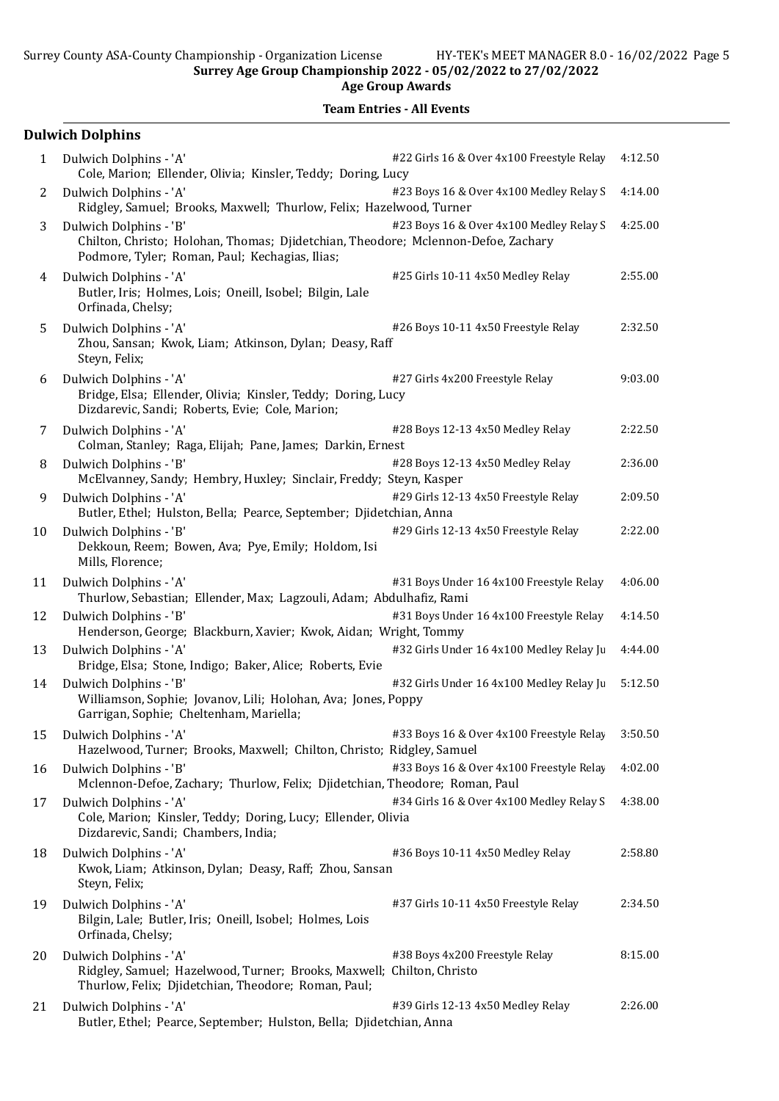Age Group Awards

|    | <b>Dulwich Dolphins</b>                                                                                                                                       |                                           |         |
|----|---------------------------------------------------------------------------------------------------------------------------------------------------------------|-------------------------------------------|---------|
| 1  | Dulwich Dolphins - 'A'<br>Cole, Marion; Ellender, Olivia; Kinsler, Teddy; Doring, Lucy                                                                        | #22 Girls 16 & Over 4x100 Freestyle Relay | 4:12.50 |
| 2  | Dulwich Dolphins - 'A'<br>Ridgley, Samuel; Brooks, Maxwell; Thurlow, Felix; Hazelwood, Turner                                                                 | #23 Boys 16 & Over 4x100 Medley Relay S   | 4:14.00 |
| 3  | Dulwich Dolphins - 'B'<br>Chilton, Christo; Holohan, Thomas; Djidetchian, Theodore; Mclennon-Defoe, Zachary<br>Podmore, Tyler; Roman, Paul; Kechagias, Ilias; | #23 Boys 16 & Over 4x100 Medley Relay S   | 4:25.00 |
| 4  | Dulwich Dolphins - 'A'<br>Butler, Iris; Holmes, Lois; Oneill, Isobel; Bilgin, Lale<br>Orfinada, Chelsy;                                                       | #25 Girls 10-11 4x50 Medley Relay         | 2:55.00 |
| 5  | Dulwich Dolphins - 'A'<br>Zhou, Sansan; Kwok, Liam; Atkinson, Dylan; Deasy, Raff<br>Steyn, Felix;                                                             | #26 Boys 10-11 4x50 Freestyle Relay       | 2:32.50 |
| 6  | Dulwich Dolphins - 'A'<br>Bridge, Elsa; Ellender, Olivia; Kinsler, Teddy; Doring, Lucy<br>Dizdarevic, Sandi; Roberts, Evie; Cole, Marion;                     | #27 Girls 4x200 Freestyle Relay           | 9:03.00 |
| 7  | Dulwich Dolphins - 'A'<br>Colman, Stanley; Raga, Elijah; Pane, James; Darkin, Ernest                                                                          | #28 Boys 12-13 4x50 Medley Relay          | 2:22.50 |
| 8  | Dulwich Dolphins - 'B'<br>McElvanney, Sandy; Hembry, Huxley; Sinclair, Freddy; Steyn, Kasper                                                                  | #28 Boys 12-13 4x50 Medley Relay          | 2:36.00 |
| 9  | Dulwich Dolphins - 'A'<br>Butler, Ethel; Hulston, Bella; Pearce, September; Djidetchian, Anna                                                                 | #29 Girls 12-13 4x50 Freestyle Relay      | 2:09.50 |
| 10 | Dulwich Dolphins - 'B'<br>Dekkoun, Reem; Bowen, Ava; Pye, Emily; Holdom, Isi<br>Mills, Florence;                                                              | #29 Girls 12-13 4x50 Freestyle Relay      | 2:22.00 |
| 11 | Dulwich Dolphins - 'A'<br>Thurlow, Sebastian; Ellender, Max; Lagzouli, Adam; Abdulhafiz, Rami                                                                 | #31 Boys Under 16 4x100 Freestyle Relay   | 4:06.00 |
| 12 | Dulwich Dolphins - 'B'<br>Henderson, George; Blackburn, Xavier; Kwok, Aidan; Wright, Tommy                                                                    | #31 Boys Under 16 4x100 Freestyle Relay   | 4:14.50 |
| 13 | Dulwich Dolphins - 'A'<br>Bridge, Elsa; Stone, Indigo; Baker, Alice; Roberts, Evie                                                                            | #32 Girls Under 16 4x100 Medley Relay Ju  | 4:44.00 |
| 14 | Dulwich Dolphins - 'B'<br>Williamson, Sophie; Jovanov, Lili; Holohan, Ava; Jones, Poppy<br>Garrigan, Sophie; Cheltenham, Mariella;                            | #32 Girls Under 16 4x100 Medley Relay Ju  | 5:12.50 |
| 15 | Dulwich Dolphins - 'A'<br>Hazelwood, Turner; Brooks, Maxwell; Chilton, Christo; Ridgley, Samuel                                                               | #33 Boys 16 & Over 4x100 Freestyle Relay  | 3:50.50 |
| 16 | Dulwich Dolphins - 'B'<br>Mclennon-Defoe, Zachary; Thurlow, Felix; Djidetchian, Theodore; Roman, Paul                                                         | #33 Boys 16 & Over 4x100 Freestyle Relay  | 4:02.00 |
| 17 | Dulwich Dolphins - 'A'<br>Cole, Marion; Kinsler, Teddy; Doring, Lucy; Ellender, Olivia<br>Dizdarevic, Sandi; Chambers, India;                                 | #34 Girls 16 & Over 4x100 Medley Relay S  | 4:38.00 |
| 18 | Dulwich Dolphins - 'A'<br>Kwok, Liam; Atkinson, Dylan; Deasy, Raff; Zhou, Sansan<br>Steyn, Felix;                                                             | #36 Boys 10-11 4x50 Medley Relay          | 2:58.80 |
| 19 | Dulwich Dolphins - 'A'<br>Bilgin, Lale; Butler, Iris; Oneill, Isobel; Holmes, Lois<br>Orfinada, Chelsy;                                                       | #37 Girls 10-11 4x50 Freestyle Relay      | 2:34.50 |
| 20 | Dulwich Dolphins - 'A'<br>Ridgley, Samuel; Hazelwood, Turner; Brooks, Maxwell; Chilton, Christo<br>Thurlow, Felix; Djidetchian, Theodore; Roman, Paul;        | #38 Boys 4x200 Freestyle Relay            | 8:15.00 |
| 21 | Dulwich Dolphins - 'A'<br>Butler, Ethel; Pearce, September; Hulston, Bella; Djidetchian, Anna                                                                 | #39 Girls 12-13 4x50 Medley Relay         | 2:26.00 |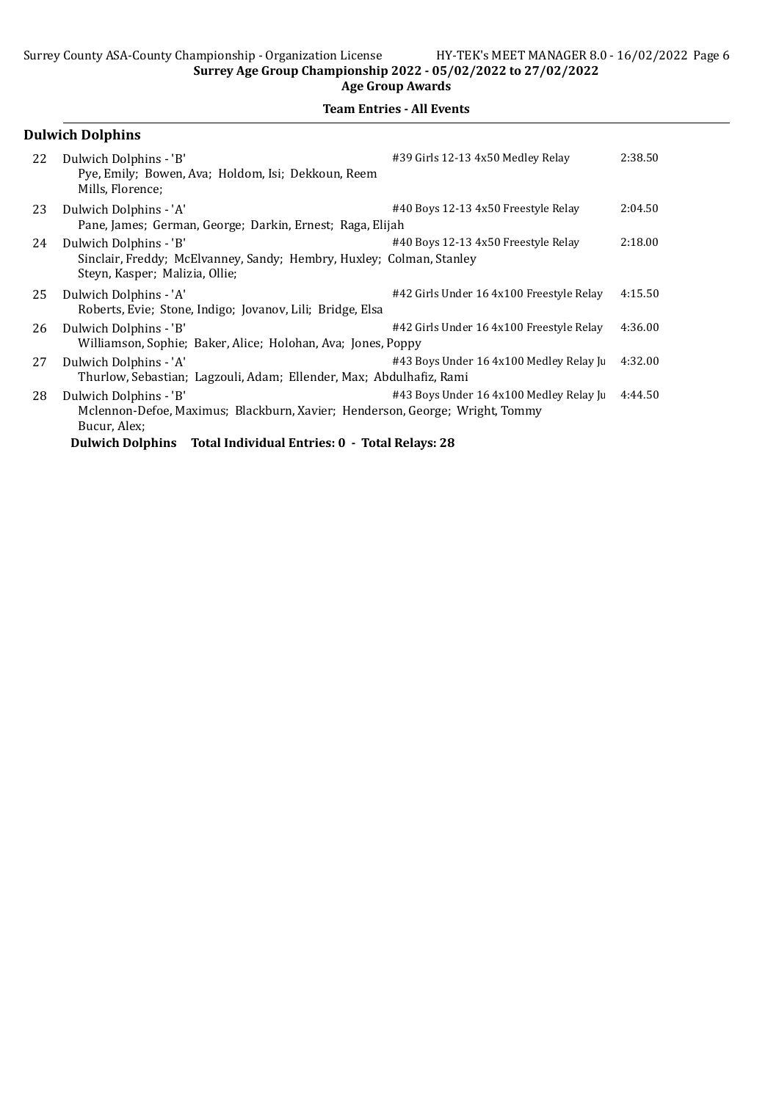|    | <b>Dulwich Dolphins</b>                                                                                                                                                                   |                                          |         |
|----|-------------------------------------------------------------------------------------------------------------------------------------------------------------------------------------------|------------------------------------------|---------|
| 22 | Dulwich Dolphins - 'B'<br>Pye, Emily; Bowen, Ava; Holdom, Isi; Dekkoun, Reem<br>Mills, Florence;                                                                                          | #39 Girls 12-13 4x50 Medley Relay        | 2:38.50 |
| 23 | Dulwich Dolphins - 'A'<br>Pane, James; German, George; Darkin, Ernest; Raga, Elijah                                                                                                       | #40 Boys 12-13 4x50 Freestyle Relay      | 2:04.50 |
| 24 | Dulwich Dolphins - 'B'<br>Sinclair, Freddy; McElvanney, Sandy; Hembry, Huxley; Colman, Stanley<br>Steyn, Kasper; Malizia, Ollie;                                                          | #40 Boys 12-13 4x50 Freestyle Relay      | 2:18.00 |
| 25 | Dulwich Dolphins - 'A'<br>Roberts, Evie; Stone, Indigo; Jovanov, Lili; Bridge, Elsa                                                                                                       | #42 Girls Under 16 4x100 Freestyle Relay | 4:15.50 |
| 26 | Dulwich Dolphins - 'B'<br>Williamson, Sophie; Baker, Alice; Holohan, Ava; Jones, Poppy                                                                                                    | #42 Girls Under 16 4x100 Freestyle Relay | 4:36.00 |
| 27 | Dulwich Dolphins - 'A'<br>Thurlow, Sebastian; Lagzouli, Adam; Ellender, Max; Abdulhafiz, Rami                                                                                             | #43 Boys Under 16 4x100 Medley Relay Ju  | 4:32.00 |
| 28 | Dulwich Dolphins - 'B'<br>Mclennon-Defoe, Maximus; Blackburn, Xavier; Henderson, George; Wright, Tommy<br>Bucur, Alex;<br>Dulwich Dolphins Total Individual Entries: 0 - Total Relays: 28 | #43 Boys Under 16 4x100 Medley Relay Ju  | 4:44.50 |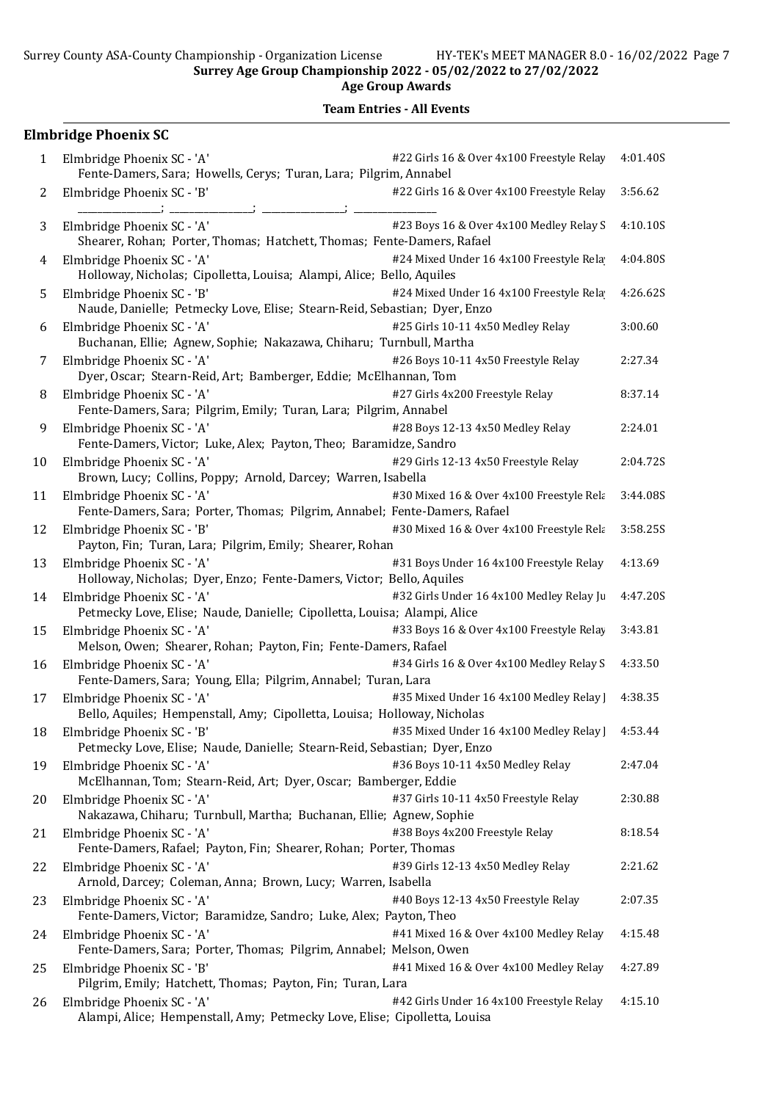Team Entries - All Events

# Elmbridge Phoenix SC

| 1  | Elmbridge Phoenix SC - 'A'<br>Fente-Damers, Sara; Howells, Cerys; Turan, Lara; Pilgrim, Annabel            | #22 Girls 16 & Over 4x100 Freestyle Relay     | 4:01.40S |
|----|------------------------------------------------------------------------------------------------------------|-----------------------------------------------|----------|
| 2  | Elmbridge Phoenix SC - 'B'                                                                                 | #22 Girls 16 & Over 4x100 Freestyle Relay     | 3:56.62  |
| 3  | Elmbridge Phoenix SC - 'A'<br>Shearer, Rohan; Porter, Thomas; Hatchett, Thomas; Fente-Damers, Rafael       | #23 Boys 16 & Over 4x100 Medley Relay S       | 4:10.10S |
| 4  | Elmbridge Phoenix SC - 'A'<br>Holloway, Nicholas; Cipolletta, Louisa; Alampi, Alice; Bello, Aquiles        | #24 Mixed Under 16 4x100 Freestyle Rela       | 4:04.80S |
| 5  | Elmbridge Phoenix SC - 'B'<br>Naude, Danielle; Petmecky Love, Elise; Stearn-Reid, Sebastian; Dyer, Enzo    | #24 Mixed Under 16 4x100 Freestyle Rela       | 4:26.62S |
| 6  | Elmbridge Phoenix SC - 'A'<br>Buchanan, Ellie; Agnew, Sophie; Nakazawa, Chiharu; Turnbull, Martha          | #25 Girls 10-11 4x50 Medley Relay             | 3:00.60  |
| 7  | Elmbridge Phoenix SC - 'A'<br>Dyer, Oscar; Stearn-Reid, Art; Bamberger, Eddie; McElhannan, Tom             | #26 Boys 10-11 4x50 Freestyle Relay           | 2:27.34  |
| 8  | Elmbridge Phoenix SC - 'A'<br>Fente-Damers, Sara; Pilgrim, Emily; Turan, Lara; Pilgrim, Annabel            | #27 Girls 4x200 Freestyle Relay               | 8:37.14  |
| 9  | Elmbridge Phoenix SC - 'A'<br>Fente-Damers, Victor; Luke, Alex; Payton, Theo; Baramidze, Sandro            | #28 Boys 12-13 4x50 Medley Relay              | 2:24.01  |
| 10 | Elmbridge Phoenix SC - 'A'<br>Brown, Lucy; Collins, Poppy; Arnold, Darcey; Warren, Isabella                | #29 Girls 12-13 4x50 Freestyle Relay          | 2:04.72S |
| 11 | Elmbridge Phoenix SC - 'A'<br>Fente-Damers, Sara; Porter, Thomas; Pilgrim, Annabel; Fente-Damers, Rafael   | #30 Mixed 16 & Over 4x100 Freestyle Rela      | 3:44.08S |
| 12 | Elmbridge Phoenix SC - 'B'<br>Payton, Fin; Turan, Lara; Pilgrim, Emily; Shearer, Rohan                     | #30 Mixed 16 & Over 4x100 Freestyle Rela      | 3:58.25S |
| 13 | Elmbridge Phoenix SC - 'A'<br>Holloway, Nicholas; Dyer, Enzo; Fente-Damers, Victor; Bello, Aquiles         | #31 Boys Under 16 4x100 Freestyle Relay       | 4:13.69  |
| 14 | Elmbridge Phoenix SC - 'A'<br>Petmecky Love, Elise; Naude, Danielle; Cipolletta, Louisa; Alampi, Alice     | #32 Girls Under 16 4x100 Medley Relay Ju      | 4:47.20S |
| 15 | Elmbridge Phoenix SC - 'A'<br>Melson, Owen; Shearer, Rohan; Payton, Fin; Fente-Damers, Rafael              | #33 Boys 16 & Over 4x100 Freestyle Relay      | 3:43.81  |
| 16 | Elmbridge Phoenix SC - 'A'<br>Fente-Damers, Sara; Young, Ella; Pilgrim, Annabel; Turan, Lara               | #34 Girls 16 & Over 4x100 Medley Relay S      | 4:33.50  |
| 17 | Elmbridge Phoenix SC - 'A'<br>Bello, Aquiles; Hempenstall, Amy; Cipolletta, Louisa; Holloway, Nicholas     | #35 Mixed Under 16 4x100 Medley Relay         | 4:38.35  |
|    | 18 Elmbridge Phoenix SC - 'B'<br>Petmecky Love, Elise; Naude, Danielle; Stearn-Reid, Sebastian; Dyer, Enzo | #35 Mixed Under 16 4x100 Medley Relay 3:53.44 |          |
| 19 | Elmbridge Phoenix SC - 'A'<br>McElhannan, Tom; Stearn-Reid, Art; Dyer, Oscar; Bamberger, Eddie             | #36 Boys 10-11 4x50 Medley Relay              | 2:47.04  |
| 20 | Elmbridge Phoenix SC - 'A'<br>Nakazawa, Chiharu; Turnbull, Martha; Buchanan, Ellie; Agnew, Sophie          | #37 Girls 10-11 4x50 Freestyle Relay          | 2:30.88  |
| 21 | Elmbridge Phoenix SC - 'A'<br>Fente-Damers, Rafael; Payton, Fin; Shearer, Rohan; Porter, Thomas            | #38 Boys 4x200 Freestyle Relay                | 8:18.54  |
| 22 | Elmbridge Phoenix SC - 'A'<br>Arnold, Darcey; Coleman, Anna; Brown, Lucy; Warren, Isabella                 | #39 Girls 12-13 4x50 Medley Relay             | 2:21.62  |
| 23 | Elmbridge Phoenix SC - 'A'<br>Fente-Damers, Victor; Baramidze, Sandro; Luke, Alex; Payton, Theo            | #40 Boys 12-13 4x50 Freestyle Relay           | 2:07.35  |
| 24 | Elmbridge Phoenix SC - 'A'<br>Fente-Damers, Sara; Porter, Thomas; Pilgrim, Annabel; Melson, Owen           | #41 Mixed 16 & Over 4x100 Medley Relay        | 4:15.48  |
| 25 | Elmbridge Phoenix SC - 'B'<br>Pilgrim, Emily; Hatchett, Thomas; Payton, Fin; Turan, Lara                   | #41 Mixed 16 & Over 4x100 Medley Relay        | 4:27.89  |
| 26 | Elmbridge Phoenix SC - 'A'<br>Alampi, Alice; Hempenstall, Amy; Petmecky Love, Elise; Cipolletta, Louisa    | #42 Girls Under 16 4x100 Freestyle Relay      | 4:15.10  |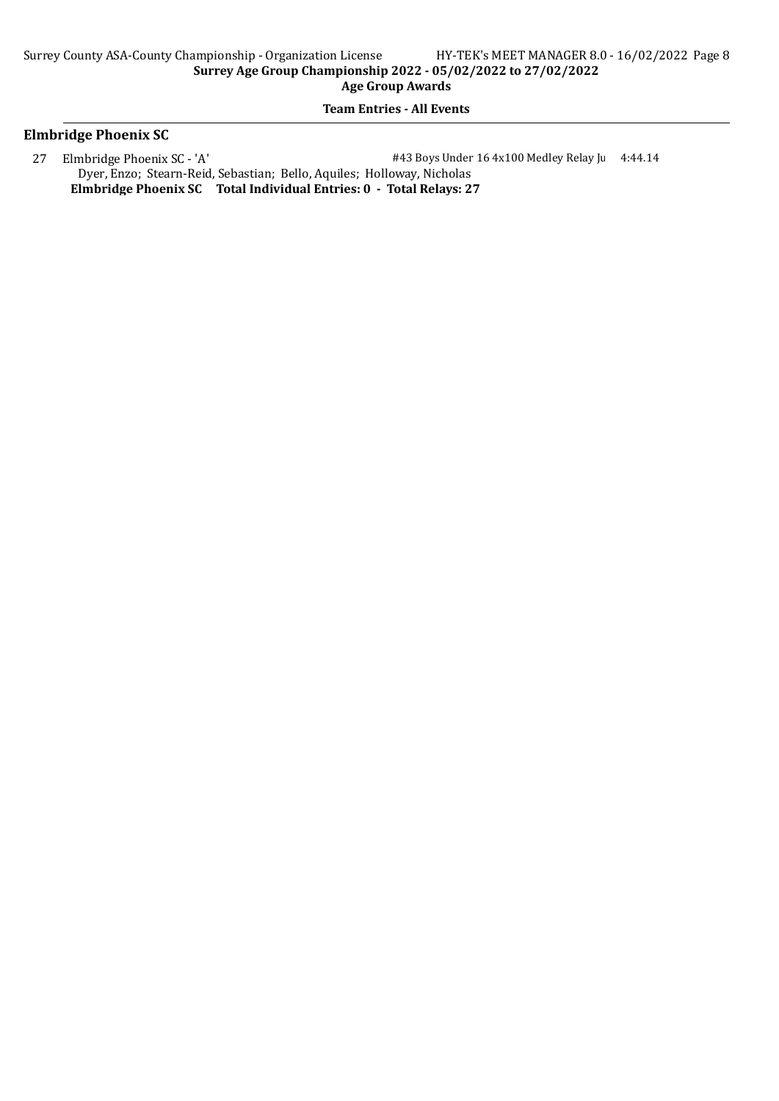#### Team Entries - All Events

## Elmbridge Phoenix SC

27 Elmbridge Phoenix SC - 'A'  $\#43$  Boys Under 16 4x100 Medley Relay Junior 4:44.14 Dyer, Enzo; Stearn-Reid, Sebastian; Bello, Aquiles; Holloway, Nicholas Elmbridge Phoenix SC Total Individual Entries: 0 - Total Relays: 27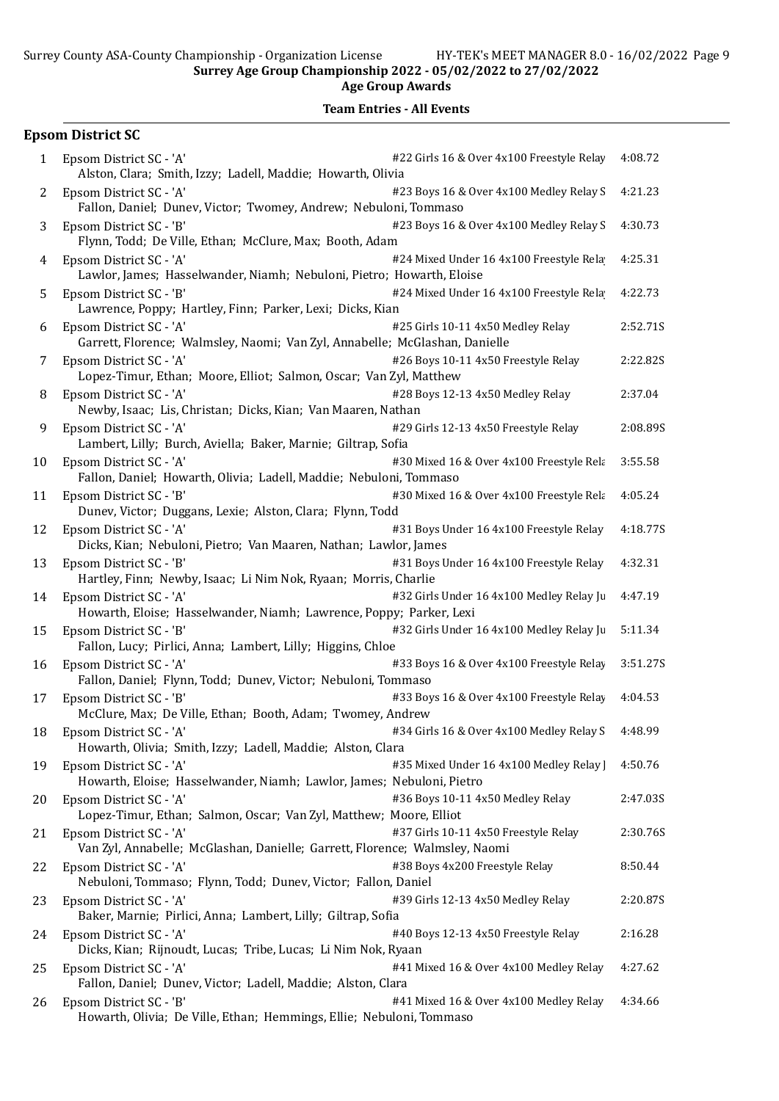Age Group Awards

|    | <b>Epsom District SC</b>                                                                                                                       |          |
|----|------------------------------------------------------------------------------------------------------------------------------------------------|----------|
| 1  | #22 Girls 16 & Over 4x100 Freestyle Relay<br>Epsom District SC - 'A'<br>Alston, Clara; Smith, Izzy; Ladell, Maddie; Howarth, Olivia            | 4:08.72  |
| 2  | #23 Boys 16 & Over 4x100 Medley Relay S<br>Epsom District SC - 'A'<br>Fallon, Daniel; Dunev, Victor; Twomey, Andrew; Nebuloni, Tommaso         | 4:21.23  |
| 3  | Epsom District SC - 'B'<br>#23 Boys 16 & Over 4x100 Medley Relay S<br>Flynn, Todd; De Ville, Ethan; McClure, Max; Booth, Adam                  | 4:30.73  |
| 4  | Epsom District SC - 'A'<br>#24 Mixed Under 16 4x100 Freestyle Rela<br>Lawlor, James; Hasselwander, Niamh; Nebuloni, Pietro; Howarth, Eloise    | 4:25.31  |
| 5  | #24 Mixed Under 16 4x100 Freestyle Rela<br>Epsom District SC - 'B'<br>Lawrence, Poppy; Hartley, Finn; Parker, Lexi; Dicks, Kian                | 4:22.73  |
| 6  | #25 Girls 10-11 4x50 Medley Relay<br>Epsom District SC - 'A'<br>Garrett, Florence; Walmsley, Naomi; Van Zyl, Annabelle; McGlashan, Danielle    | 2:52.71S |
| 7  | #26 Boys 10-11 4x50 Freestyle Relay<br>Epsom District SC - 'A'<br>Lopez-Timur, Ethan; Moore, Elliot; Salmon, Oscar; Van Zyl, Matthew           | 2:22.82S |
| 8  | Epsom District SC - 'A'<br>#28 Boys 12-13 4x50 Medley Relay<br>Newby, Isaac; Lis, Christan; Dicks, Kian; Van Maaren, Nathan                    | 2:37.04  |
| 9  | Epsom District SC - 'A'<br>#29 Girls 12-13 4x50 Freestyle Relay<br>Lambert, Lilly; Burch, Aviella; Baker, Marnie; Giltrap, Sofia               | 2:08.89S |
| 10 | Epsom District SC - 'A'<br>#30 Mixed 16 & Over 4x100 Freestyle Rela<br>Fallon, Daniel; Howarth, Olivia; Ladell, Maddie; Nebuloni, Tommaso      | 3:55.58  |
| 11 | #30 Mixed 16 & Over 4x100 Freestyle Rela<br>Epsom District SC - 'B'<br>Dunev, Victor; Duggans, Lexie; Alston, Clara; Flynn, Todd               | 4:05.24  |
| 12 | #31 Boys Under 16 4x100 Freestyle Relay<br>Epsom District SC - 'A'<br>Dicks, Kian; Nebuloni, Pietro; Van Maaren, Nathan; Lawlor, James         | 4:18.77S |
| 13 | #31 Boys Under 16 4x100 Freestyle Relay<br>Epsom District SC - 'B'<br>Hartley, Finn; Newby, Isaac; Li Nim Nok, Ryaan; Morris, Charlie          | 4:32.31  |
| 14 | Epsom District SC - 'A'<br>#32 Girls Under 16 4x100 Medley Relay Ju<br>Howarth, Eloise; Hasselwander, Niamh; Lawrence, Poppy; Parker, Lexi     | 4:47.19  |
| 15 | Epsom District SC - 'B'<br>#32 Girls Under 16 4x100 Medley Relay Ju<br>Fallon, Lucy; Pirlici, Anna; Lambert, Lilly; Higgins, Chloe             | 5:11.34  |
| 16 | #33 Boys 16 & Over 4x100 Freestyle Relay<br>Epsom District SC - 'A'<br>Fallon, Daniel; Flynn, Todd; Dunev, Victor; Nebuloni, Tommaso           | 3:51.27S |
| 17 | #33 Boys 16 & Over 4x100 Freestyle Relay<br>Epsom District SC - 'B'<br>McClure, Max; De Ville, Ethan; Booth, Adam; Twomey, Andrew              | 4:04.53  |
| 18 | #34 Girls 16 & Over 4x100 Medley Relay S<br>Epsom District SC - 'A'<br>Howarth, Olivia; Smith, Izzy; Ladell, Maddie; Alston, Clara             | 4:48.99  |
| 19 | Epsom District SC - 'A'<br>#35 Mixed Under 16 4x100 Medley Relay<br>Howarth, Eloise; Hasselwander, Niamh; Lawlor, James; Nebuloni, Pietro      | 4:50.76  |
| 20 | #36 Boys 10-11 4x50 Medley Relay<br>Epsom District SC - 'A'<br>Lopez-Timur, Ethan; Salmon, Oscar; Van Zyl, Matthew; Moore, Elliot              | 2:47.03S |
| 21 | #37 Girls 10-11 4x50 Freestyle Relay<br>Epsom District SC - 'A'<br>Van Zyl, Annabelle; McGlashan, Danielle; Garrett, Florence; Walmsley, Naomi | 2:30.76S |
| 22 | #38 Boys 4x200 Freestyle Relay<br>Epsom District SC - 'A'<br>Nebuloni, Tommaso; Flynn, Todd; Dunev, Victor; Fallon, Daniel                     | 8:50.44  |
| 23 | #39 Girls 12-13 4x50 Medley Relay<br>Epsom District SC - 'A'<br>Baker, Marnie; Pirlici, Anna; Lambert, Lilly; Giltrap, Sofia                   | 2:20.87S |
| 24 | #40 Boys 12-13 4x50 Freestyle Relay<br>Epsom District SC - 'A'<br>Dicks, Kian; Rijnoudt, Lucas; Tribe, Lucas; Li Nim Nok, Ryaan                | 2:16.28  |
| 25 | Epsom District SC - 'A'<br>#41 Mixed 16 & Over 4x100 Medley Relay<br>Fallon, Daniel; Dunev, Victor; Ladell, Maddie; Alston, Clara              | 4:27.62  |
| 26 | Epsom District SC - 'B'<br>#41 Mixed 16 & Over 4x100 Medley Relay<br>Howarth, Olivia; De Ville, Ethan; Hemmings, Ellie; Nebuloni, Tommaso      | 4:34.66  |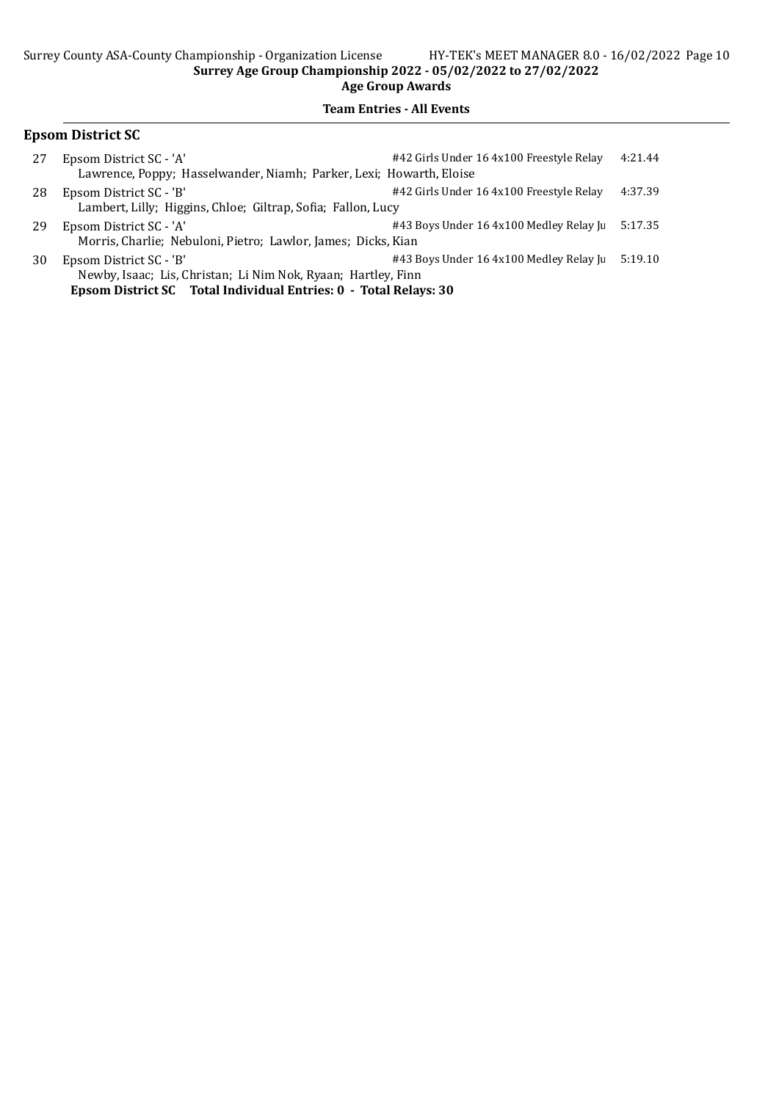#### Team Entries - All Events

## Epsom District SC 27 Epsom District SC - 'A'  $\#42$  Girls Under 16 4x100 Freestyle Relay 4:21.44 Lawrence, Poppy; Hasselwander, Niamh; Parker, Lexi; Howarth, Eloise 28 Epsom District SC - 'B'  $\#42$  Girls Under 16 4x100 Freestyle Relay 4:37.39 Lambert, Lilly; Higgins, Chloe; Giltrap, Sofia; Fallon, Lucy 29 Epsom District SC - 'A'  $\qquad$  #43 Boys Under 16 4x100 Medley Relay Juniors 5:17.35 Morris, Charlie; Nebuloni, Pietro; Lawlor, James; Dicks, Kian 30 Epsom District SC - 'B'  $\#43$  Boys Under 16 4x100 Medley Relay Juniors 5:19.10 Newby, Isaac; Lis, Christan; Li Nim Nok, Ryaan; Hartley, Finn

Epsom District SC Total Individual Entries: 0 - Total Relays: 30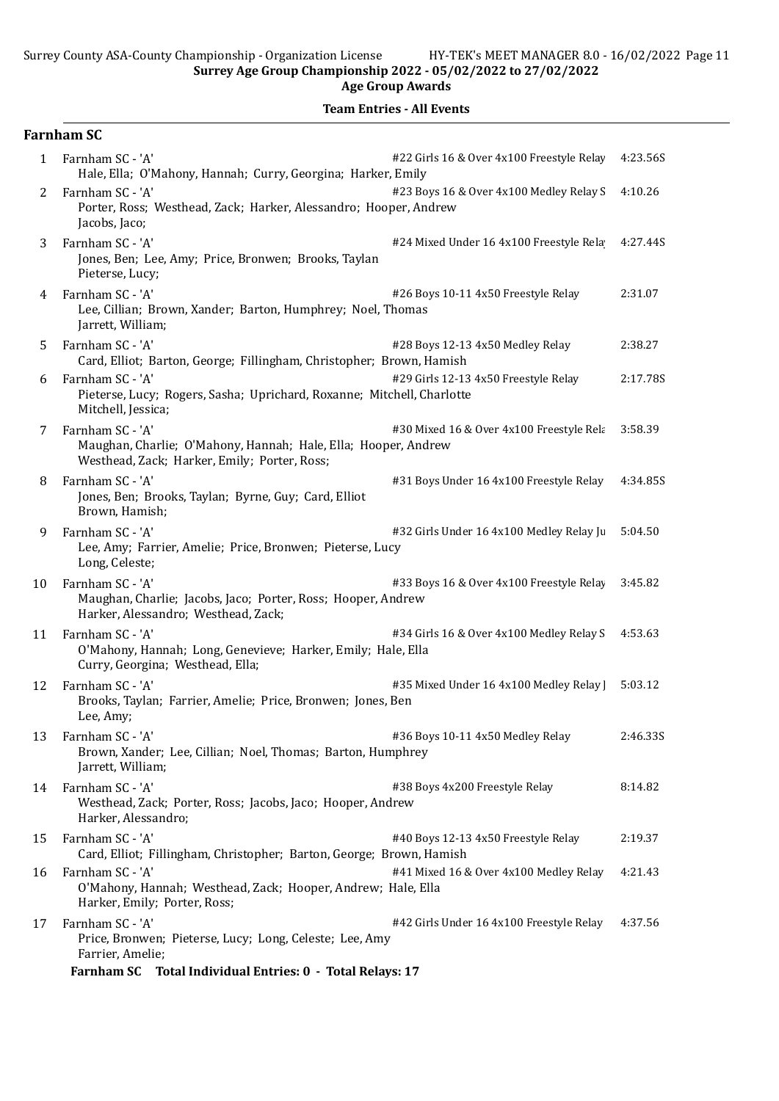Age Group Awards

|              | <b>Farnham SC</b>                                                                                                                                                      |                                           |          |
|--------------|------------------------------------------------------------------------------------------------------------------------------------------------------------------------|-------------------------------------------|----------|
| $\mathbf{1}$ | Farnham SC - 'A'<br>Hale, Ella; O'Mahony, Hannah; Curry, Georgina; Harker, Emily                                                                                       | #22 Girls 16 & Over 4x100 Freestyle Relay | 4:23.56S |
| 2            | Farnham SC - 'A'<br>Porter, Ross; Westhead, Zack; Harker, Alessandro; Hooper, Andrew<br>Jacobs, Jaco;                                                                  | #23 Boys 16 & Over 4x100 Medley Relay S   | 4:10.26  |
| 3            | Farnham SC - 'A'<br>Jones, Ben; Lee, Amy; Price, Bronwen; Brooks, Taylan<br>Pieterse, Lucy;                                                                            | #24 Mixed Under 16 4x100 Freestyle Rela   | 4:27.44S |
| 4            | Farnham SC - 'A'<br>Lee, Cillian; Brown, Xander; Barton, Humphrey; Noel, Thomas<br>Jarrett, William;                                                                   | #26 Boys 10-11 4x50 Freestyle Relay       | 2:31.07  |
| 5            | Farnham SC - 'A'<br>Card, Elliot; Barton, George; Fillingham, Christopher; Brown, Hamish                                                                               | #28 Boys 12-13 4x50 Medley Relay          | 2:38.27  |
| 6            | Farnham SC - 'A'<br>Pieterse, Lucy; Rogers, Sasha; Uprichard, Roxanne; Mitchell, Charlotte<br>Mitchell, Jessica;                                                       | #29 Girls 12-13 4x50 Freestyle Relay      | 2:17.78S |
| 7            | Farnham SC - 'A'<br>Maughan, Charlie; O'Mahony, Hannah; Hale, Ella; Hooper, Andrew<br>Westhead, Zack; Harker, Emily; Porter, Ross;                                     | #30 Mixed 16 & Over 4x100 Freestyle Rela  | 3:58.39  |
| 8            | Farnham SC - 'A'<br>Jones, Ben; Brooks, Taylan; Byrne, Guy; Card, Elliot<br>Brown, Hamish;                                                                             | #31 Boys Under 16 4x100 Freestyle Relay   | 4:34.85S |
| 9            | Farnham SC - 'A'<br>Lee, Amy; Farrier, Amelie; Price, Bronwen; Pieterse, Lucy<br>Long, Celeste;                                                                        | #32 Girls Under 16 4x100 Medley Relay Ju  | 5:04.50  |
| 10           | Farnham SC - 'A'<br>Maughan, Charlie; Jacobs, Jaco; Porter, Ross; Hooper, Andrew<br>Harker, Alessandro; Westhead, Zack;                                                | #33 Boys 16 & Over 4x100 Freestyle Relay  | 3:45.82  |
| 11           | Farnham SC - 'A'<br>O'Mahony, Hannah; Long, Genevieve; Harker, Emily; Hale, Ella<br>Curry, Georgina; Westhead, Ella;                                                   | #34 Girls 16 & Over 4x100 Medley Relay S  | 4:53.63  |
| 12           | Farnham SC - 'A'<br>Brooks, Taylan; Farrier, Amelie; Price, Bronwen; Jones, Ben<br>Lee, Amy;                                                                           | #35 Mixed Under 16 4x100 Medley Relay ]   | 5:03.12  |
| 13           | Farnham SC - 'A'<br>Brown, Xander; Lee, Cillian; Noel, Thomas; Barton, Humphrey<br>Jarrett, William;                                                                   | #36 Boys 10-11 4x50 Medley Relay          | 2:46.33S |
| 14           | Farnham SC - 'A'<br>Westhead, Zack; Porter, Ross; Jacobs, Jaco; Hooper, Andrew<br>Harker, Alessandro;                                                                  | #38 Boys 4x200 Freestyle Relay            | 8:14.82  |
| 15           | Farnham SC - 'A'<br>Card, Elliot; Fillingham, Christopher; Barton, George; Brown, Hamish                                                                               | #40 Boys 12-13 4x50 Freestyle Relay       | 2:19.37  |
| 16           | Farnham SC - 'A'<br>O'Mahony, Hannah; Westhead, Zack; Hooper, Andrew; Hale, Ella<br>Harker, Emily; Porter, Ross;                                                       | #41 Mixed 16 & Over 4x100 Medley Relay    | 4:21.43  |
| 17           | Farnham SC - 'A'<br>Price, Bronwen; Pieterse, Lucy; Long, Celeste; Lee, Amy<br>Farrier, Amelie;<br><b>Farnham SC</b><br>Total Individual Entries: 0 - Total Relays: 17 | #42 Girls Under 16 4x100 Freestyle Relay  | 4:37.56  |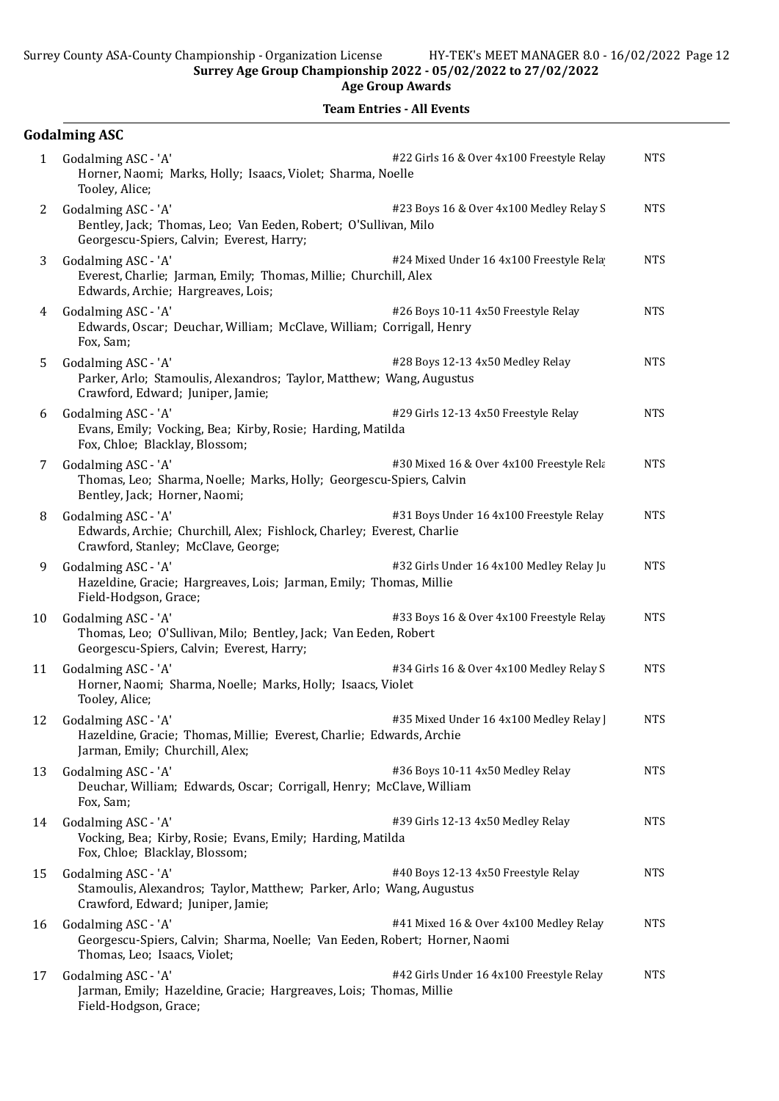| <b>Team Entries - All Events</b> |  |
|----------------------------------|--|
|----------------------------------|--|

|    | <b>Godalming ASC</b>                                                                                                                                                            |            |
|----|---------------------------------------------------------------------------------------------------------------------------------------------------------------------------------|------------|
| 1  | Godalming ASC - 'A'<br>#22 Girls 16 & Over 4x100 Freestyle Relay<br>Horner, Naomi; Marks, Holly; Isaacs, Violet; Sharma, Noelle<br>Tooley, Alice;                               | <b>NTS</b> |
| 2  | Godalming ASC - 'A'<br>#23 Boys 16 & Over 4x100 Medley Relay S<br>Bentley, Jack; Thomas, Leo; Van Eeden, Robert; O'Sullivan, Milo<br>Georgescu-Spiers, Calvin; Everest, Harry;  | <b>NTS</b> |
| 3  | Godalming ASC - 'A'<br>#24 Mixed Under 16 4x100 Freestyle Rela<br>Everest, Charlie; Jarman, Emily; Thomas, Millie; Churchill, Alex<br>Edwards, Archie; Hargreaves, Lois;        | <b>NTS</b> |
| 4  | #26 Boys 10-11 4x50 Freestyle Relay<br>Godalming ASC - 'A'<br>Edwards, Oscar; Deuchar, William; McClave, William; Corrigall, Henry<br>Fox, Sam;                                 | <b>NTS</b> |
| 5  | Godalming ASC - 'A'<br>#28 Boys 12-13 4x50 Medley Relay<br>Parker, Arlo; Stamoulis, Alexandros; Taylor, Matthew; Wang, Augustus<br>Crawford, Edward; Juniper, Jamie;            | <b>NTS</b> |
| 6  | Godalming ASC - 'A'<br>#29 Girls 12-13 4x50 Freestyle Relay<br>Evans, Emily; Vocking, Bea; Kirby, Rosie; Harding, Matilda<br>Fox, Chloe; Blacklay, Blossom;                     | <b>NTS</b> |
| 7  | #30 Mixed 16 & Over 4x100 Freestyle Rela<br>Godalming ASC - 'A'<br>Thomas, Leo; Sharma, Noelle; Marks, Holly; Georgescu-Spiers, Calvin<br>Bentley, Jack; Horner, Naomi;         | <b>NTS</b> |
| 8  | #31 Boys Under 16 4x100 Freestyle Relay<br>Godalming ASC - 'A'<br>Edwards, Archie; Churchill, Alex; Fishlock, Charley; Everest, Charlie<br>Crawford, Stanley; McClave, George;  | <b>NTS</b> |
| 9  | #32 Girls Under 16 4x100 Medley Relay Ju<br>Godalming ASC - 'A'<br>Hazeldine, Gracie; Hargreaves, Lois; Jarman, Emily; Thomas, Millie<br>Field-Hodgson, Grace;                  | <b>NTS</b> |
| 10 | Godalming ASC - 'A'<br>#33 Boys 16 & Over 4x100 Freestyle Relay<br>Thomas, Leo; O'Sullivan, Milo; Bentley, Jack; Van Eeden, Robert<br>Georgescu-Spiers, Calvin; Everest, Harry; | <b>NTS</b> |
| 11 | Godalming ASC - 'A'<br>#34 Girls 16 & Over 4x100 Medley Relay S<br>Horner, Naomi; Sharma, Noelle; Marks, Holly; Isaacs, Violet<br>Tooley, Alice;                                | <b>NTS</b> |
| 12 | Godalming ASC - 'A'<br>#35 Mixed Under 16 4x100 Medley Relay  <br>Hazeldine, Gracie; Thomas, Millie; Everest, Charlie; Edwards, Archie<br>Jarman, Emily; Churchill, Alex;       | <b>NTS</b> |
| 13 | #36 Boys 10-11 4x50 Medley Relay<br>Godalming ASC - 'A'<br>Deuchar, William; Edwards, Oscar; Corrigall, Henry; McClave, William<br>Fox, Sam;                                    | <b>NTS</b> |
| 14 | #39 Girls 12-13 4x50 Medley Relay<br>Godalming ASC - 'A'<br>Vocking, Bea; Kirby, Rosie; Evans, Emily; Harding, Matilda<br>Fox, Chloe; Blacklay, Blossom;                        | <b>NTS</b> |
| 15 | Godalming ASC - 'A'<br>#40 Boys 12-13 4x50 Freestyle Relay<br>Stamoulis, Alexandros; Taylor, Matthew; Parker, Arlo; Wang, Augustus<br>Crawford, Edward; Juniper, Jamie;         | <b>NTS</b> |
| 16 | Godalming ASC - 'A'<br>#41 Mixed 16 & Over 4x100 Medley Relay<br>Georgescu-Spiers, Calvin; Sharma, Noelle; Van Eeden, Robert; Horner, Naomi<br>Thomas, Leo; Isaacs, Violet;     | <b>NTS</b> |
| 17 | Godalming ASC - 'A'<br>#42 Girls Under 16 4x100 Freestyle Relay<br>Jarman, Emily; Hazeldine, Gracie; Hargreaves, Lois; Thomas, Millie<br>Field-Hodgson, Grace;                  | <b>NTS</b> |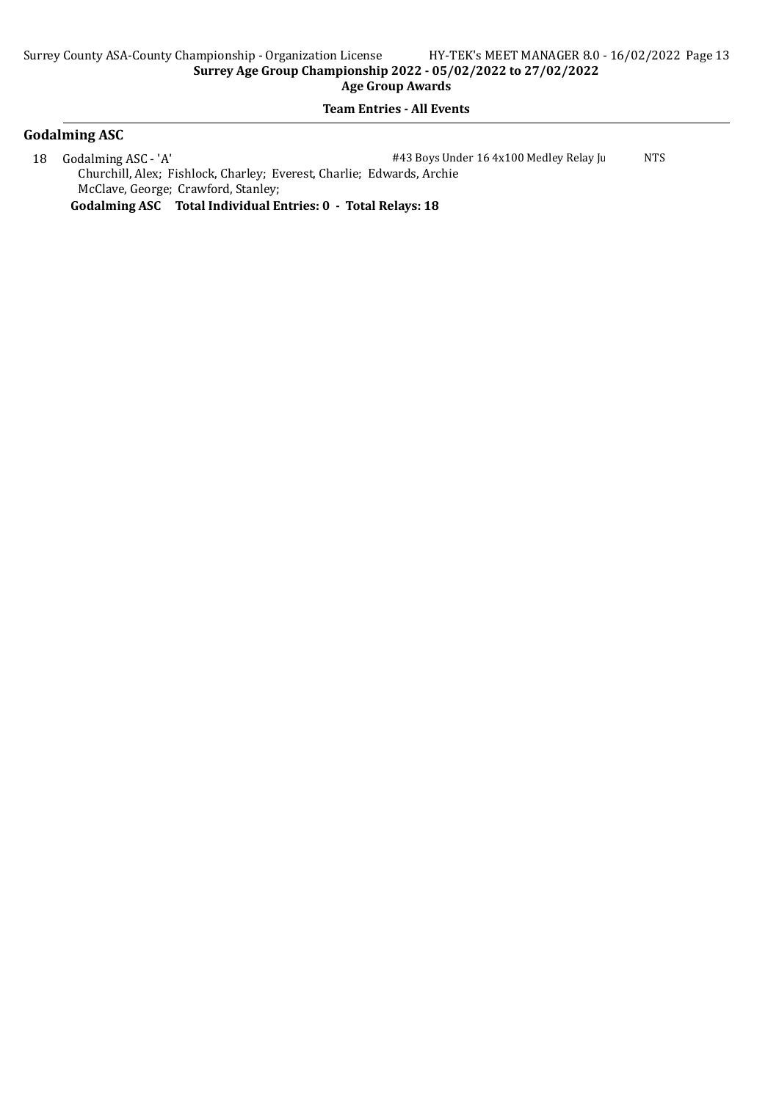#### Team Entries - All Events

## Godalming ASC

18 Godalming ASC - 'A'  $\#43$  Boys Under 16 4x100 Medley Relay Junior NTS Churchill, Alex; Fishlock, Charley; Everest, Charlie; Edwards, Archie McClave, George; Crawford, Stanley;

Godalming ASC Total Individual Entries: 0 - Total Relays: 18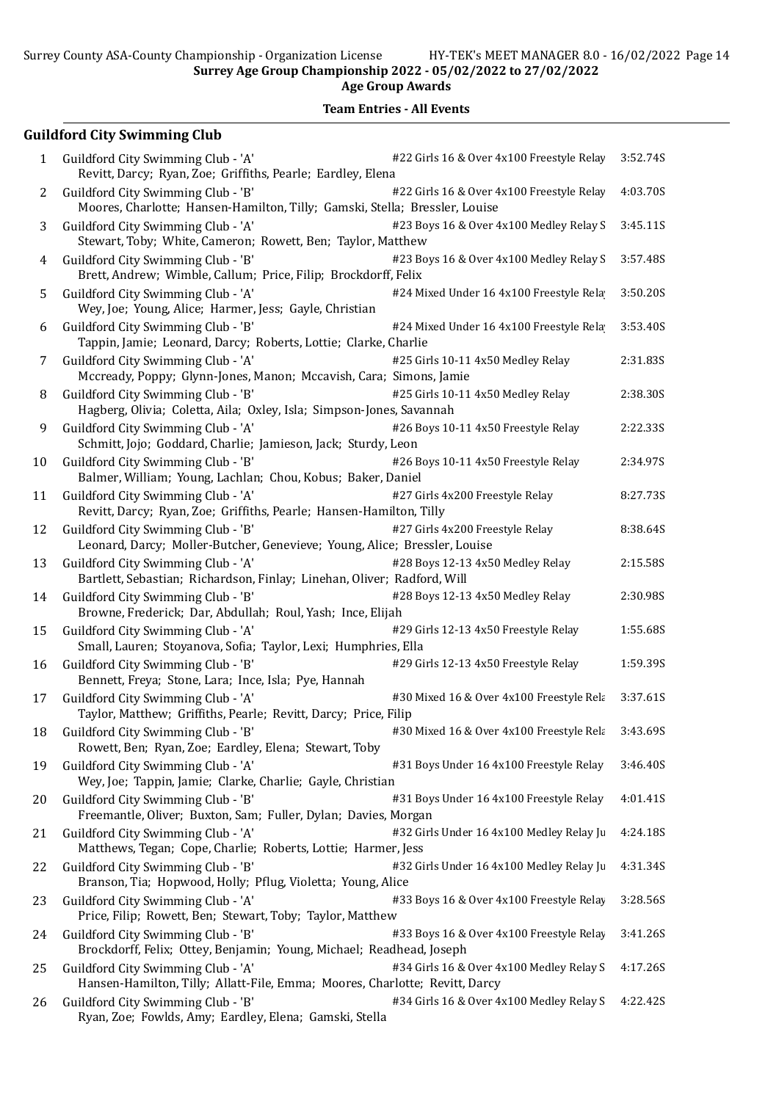Surrey County ASA-County Championship - Organization License HY-TEK's MEET MANAGER 8.0 - 16/02/2022 Page 14 Surrey Age Group Championship 2022 - 05/02/2022 to 27/02/2022

Age Group Awards

Team Entries - All Events

## Guildford City Swimming Club

| 1  | #22 Girls 16 & Over 4x100 Freestyle Relay<br>Guildford City Swimming Club - 'A'<br>Revitt, Darcy; Ryan, Zoe; Griffiths, Pearle; Eardley, Elena                 | 3:52.74S |
|----|----------------------------------------------------------------------------------------------------------------------------------------------------------------|----------|
| 2  | Guildford City Swimming Club - 'B'<br>#22 Girls 16 & Over 4x100 Freestyle Relay<br>Moores, Charlotte; Hansen-Hamilton, Tilly; Gamski, Stella; Bressler, Louise | 4:03.70S |
| 3  | Guildford City Swimming Club - 'A'<br>#23 Boys 16 & Over 4x100 Medley Relay S<br>Stewart, Toby; White, Cameron; Rowett, Ben; Taylor, Matthew                   | 3:45.11S |
| 4  | Guildford City Swimming Club - 'B'<br>#23 Boys 16 & Over 4x100 Medley Relay S<br>Brett, Andrew; Wimble, Callum; Price, Filip; Brockdorff, Felix                | 3:57.48S |
| 5  | Guildford City Swimming Club - 'A'<br>#24 Mixed Under 16 4x100 Freestyle Rela<br>Wey, Joe; Young, Alice; Harmer, Jess; Gayle, Christian                        | 3:50.20S |
| 6  | Guildford City Swimming Club - 'B'<br>#24 Mixed Under 16 4x100 Freestyle Rela<br>Tappin, Jamie; Leonard, Darcy; Roberts, Lottie; Clarke, Charlie               | 3:53.40S |
| 7  | #25 Girls 10-11 4x50 Medley Relay<br>Guildford City Swimming Club - 'A'<br>Mccready, Poppy; Glynn-Jones, Manon; Mccavish, Cara; Simons, Jamie                  | 2:31.83S |
| 8  | Guildford City Swimming Club - 'B'<br>#25 Girls 10-11 4x50 Medley Relay<br>Hagberg, Olivia; Coletta, Aila; Oxley, Isla; Simpson-Jones, Savannah                | 2:38.30S |
| 9  | Guildford City Swimming Club - 'A'<br>#26 Boys 10-11 4x50 Freestyle Relay<br>Schmitt, Jojo; Goddard, Charlie; Jamieson, Jack; Sturdy, Leon                     | 2:22.33S |
| 10 | Guildford City Swimming Club - 'B'<br>#26 Boys 10-11 4x50 Freestyle Relay<br>Balmer, William; Young, Lachlan; Chou, Kobus; Baker, Daniel                       | 2:34.97S |
| 11 | #27 Girls 4x200 Freestyle Relay<br>Guildford City Swimming Club - 'A'<br>Revitt, Darcy; Ryan, Zoe; Griffiths, Pearle; Hansen-Hamilton, Tilly                   | 8:27.73S |
| 12 | #27 Girls 4x200 Freestyle Relay<br>Guildford City Swimming Club - 'B'<br>Leonard, Darcy; Moller-Butcher, Genevieve; Young, Alice; Bressler, Louise             | 8:38.64S |
| 13 | #28 Boys 12-13 4x50 Medley Relay<br>Guildford City Swimming Club - 'A'<br>Bartlett, Sebastian; Richardson, Finlay; Linehan, Oliver; Radford, Will              | 2:15.58S |
| 14 | #28 Boys 12-13 4x50 Medley Relay<br>Guildford City Swimming Club - 'B'<br>Browne, Frederick; Dar, Abdullah; Roul, Yash; Ince, Elijah                           | 2:30.98S |
| 15 | Guildford City Swimming Club - 'A'<br>#29 Girls 12-13 4x50 Freestyle Relay<br>Small, Lauren; Stoyanova, Sofia; Taylor, Lexi; Humphries, Ella                   | 1:55.68S |
| 16 | #29 Girls 12-13 4x50 Freestyle Relay<br>Guildford City Swimming Club - 'B'<br>Bennett, Freya; Stone, Lara; Ince, Isla; Pye, Hannah                             | 1:59.39S |
| 17 | Guildford City Swimming Club - 'A'<br>#30 Mixed 16 & Over 4x100 Freestyle Rela<br>Taylor, Matthew; Griffiths, Pearle; Revitt, Darcy; Price, Filip              | 3:37.61S |
| 18 | Guildford City Swimming Club - 'B'<br>#30 Mixed 16 & Over 4x100 Freestyle Rela<br>Rowett, Ben; Ryan, Zoe; Eardley, Elena; Stewart, Toby                        | 3:43.69S |
| 19 | Guildford City Swimming Club - 'A'<br>#31 Boys Under 16 4x100 Freestyle Relay<br>Wey, Joe; Tappin, Jamie; Clarke, Charlie; Gayle, Christian                    | 3:46.40S |
| 20 | Guildford City Swimming Club - 'B'<br>#31 Boys Under 16 4x100 Freestyle Relay<br>Freemantle, Oliver; Buxton, Sam; Fuller, Dylan; Davies, Morgan                | 4:01.41S |
| 21 | Guildford City Swimming Club - 'A'<br>#32 Girls Under 16 4x100 Medley Relay Ju<br>Matthews, Tegan; Cope, Charlie; Roberts, Lottie; Harmer, Jess                | 4:24.18S |
| 22 | Guildford City Swimming Club - 'B'<br>#32 Girls Under 16 4x100 Medley Relay Ju<br>Branson, Tia; Hopwood, Holly; Pflug, Violetta; Young, Alice                  | 4:31.34S |
| 23 | #33 Boys 16 & Over 4x100 Freestyle Relay<br>Guildford City Swimming Club - 'A'<br>Price, Filip; Rowett, Ben; Stewart, Toby; Taylor, Matthew                    | 3:28.56S |
| 24 | Guildford City Swimming Club - 'B'<br>#33 Boys 16 & Over 4x100 Freestyle Relay<br>Brockdorff, Felix; Ottey, Benjamin; Young, Michael; Readhead, Joseph         | 3:41.26S |
| 25 | Guildford City Swimming Club - 'A'<br>#34 Girls 16 & Over 4x100 Medley Relay S<br>Hansen-Hamilton, Tilly; Allatt-File, Emma; Moores, Charlotte; Revitt, Darcy  | 4:17.26S |
| 26 | Guildford City Swimming Club - 'B'<br>#34 Girls 16 & Over 4x100 Medley Relay S<br>Ryan, Zoe; Fowlds, Amy; Eardley, Elena; Gamski, Stella                       | 4:22.42S |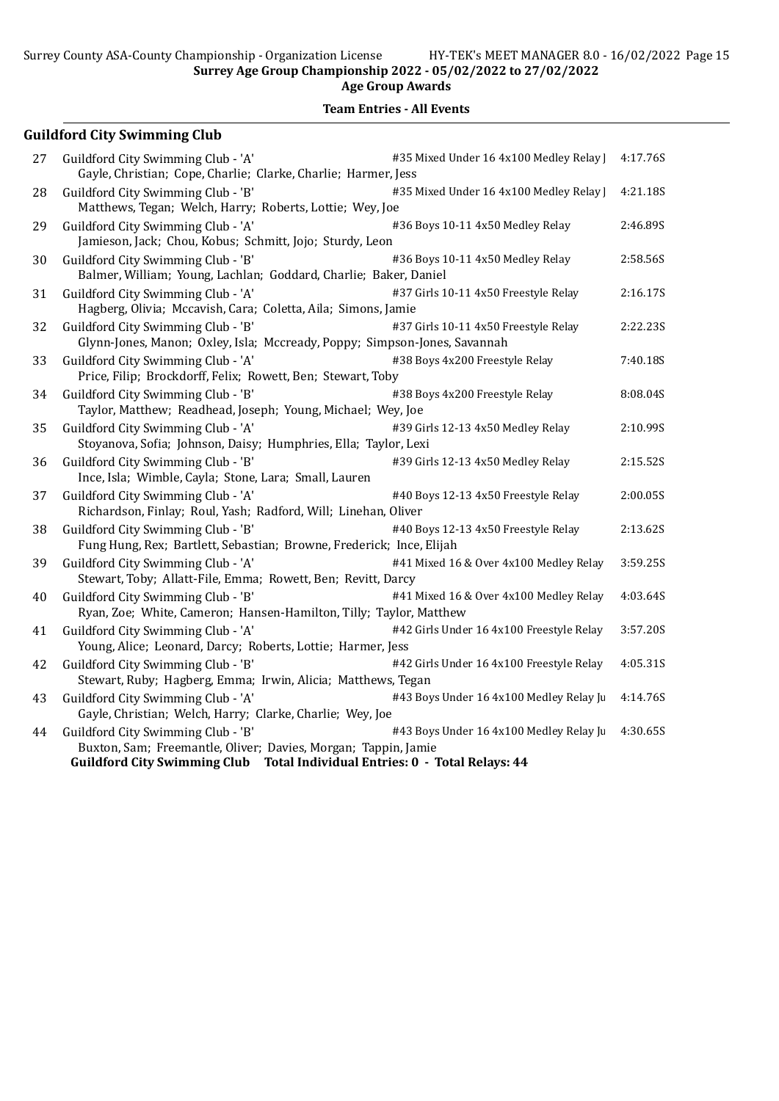Surrey Age Group Championship 2022 - 05/02/2022 to 27/02/2022

Age Group Awards

## Team Entries - All Events

## Guildford City Swimming Club

| 27 | Guildford City Swimming Club - 'A'<br>Gayle, Christian; Cope, Charlie; Clarke, Charlie; Harmer, Jess                                                                                | #35 Mixed Under 16 4x100 Medley Relay ]  | 4:17.76S |
|----|-------------------------------------------------------------------------------------------------------------------------------------------------------------------------------------|------------------------------------------|----------|
| 28 | Guildford City Swimming Club - 'B'<br>Matthews, Tegan; Welch, Harry; Roberts, Lottie; Wey, Joe                                                                                      | #35 Mixed Under 16 4x100 Medley Relay    | 4:21.18S |
| 29 | Guildford City Swimming Club - 'A'<br>Jamieson, Jack; Chou, Kobus; Schmitt, Jojo; Sturdy, Leon                                                                                      | #36 Boys 10-11 4x50 Medley Relay         | 2:46.89S |
| 30 | Guildford City Swimming Club - 'B'<br>Balmer, William; Young, Lachlan; Goddard, Charlie; Baker, Daniel                                                                              | #36 Boys 10-11 4x50 Medley Relay         | 2:58.56S |
| 31 | Guildford City Swimming Club - 'A'<br>Hagberg, Olivia; Mccavish, Cara; Coletta, Aila; Simons, Jamie                                                                                 | #37 Girls 10-11 4x50 Freestyle Relay     | 2:16.17S |
| 32 | Guildford City Swimming Club - 'B'<br>Glynn-Jones, Manon; Oxley, Isla; Mccready, Poppy; Simpson-Jones, Savannah                                                                     | #37 Girls 10-11 4x50 Freestyle Relay     | 2:22.235 |
| 33 | Guildford City Swimming Club - 'A'<br>Price, Filip; Brockdorff, Felix; Rowett, Ben; Stewart, Toby                                                                                   | #38 Boys 4x200 Freestyle Relay           | 7:40.18S |
| 34 | Guildford City Swimming Club - 'B'<br>Taylor, Matthew; Readhead, Joseph; Young, Michael; Wey, Joe                                                                                   | #38 Boys 4x200 Freestyle Relay           | 8:08.04S |
| 35 | Guildford City Swimming Club - 'A'<br>Stoyanova, Sofia; Johnson, Daisy; Humphries, Ella; Taylor, Lexi                                                                               | #39 Girls 12-13 4x50 Medley Relay        | 2:10.99S |
| 36 | Guildford City Swimming Club - 'B'<br>Ince, Isla; Wimble, Cayla; Stone, Lara; Small, Lauren                                                                                         | #39 Girls 12-13 4x50 Medley Relay        | 2:15.52S |
| 37 | Guildford City Swimming Club - 'A'<br>Richardson, Finlay; Roul, Yash; Radford, Will; Linehan, Oliver                                                                                | #40 Boys 12-13 4x50 Freestyle Relay      | 2:00.05S |
| 38 | Guildford City Swimming Club - 'B'<br>Fung Hung, Rex; Bartlett, Sebastian; Browne, Frederick; Ince, Elijah                                                                          | #40 Boys 12-13 4x50 Freestyle Relay      | 2:13.62S |
| 39 | Guildford City Swimming Club - 'A'<br>Stewart, Toby; Allatt-File, Emma; Rowett, Ben; Revitt, Darcy                                                                                  | #41 Mixed 16 & Over 4x100 Medley Relay   | 3:59.25S |
| 40 | Guildford City Swimming Club - 'B'<br>Ryan, Zoe; White, Cameron; Hansen-Hamilton, Tilly; Taylor, Matthew                                                                            | #41 Mixed 16 & Over 4x100 Medley Relay   | 4:03.64S |
| 41 | Guildford City Swimming Club - 'A'<br>Young, Alice; Leonard, Darcy; Roberts, Lottie; Harmer, Jess                                                                                   | #42 Girls Under 16 4x100 Freestyle Relay | 3:57.20S |
| 42 | Guildford City Swimming Club - 'B'<br>Stewart, Ruby; Hagberg, Emma; Irwin, Alicia; Matthews, Tegan                                                                                  | #42 Girls Under 16 4x100 Freestyle Relay | 4:05.31S |
| 43 | Guildford City Swimming Club - 'A'<br>Gayle, Christian; Welch, Harry; Clarke, Charlie; Wey, Joe                                                                                     | #43 Boys Under 16 4x100 Medley Relay Ju  | 4:14.76S |
| 44 | Guildford City Swimming Club - 'B'<br>Buxton, Sam; Freemantle, Oliver; Davies, Morgan; Tappin, Jamie<br>Guildford City Swimming Club Total Individual Entries: 0 - Total Relays: 44 | #43 Boys Under 16 4x100 Medley Relay Ju  | 4:30.65S |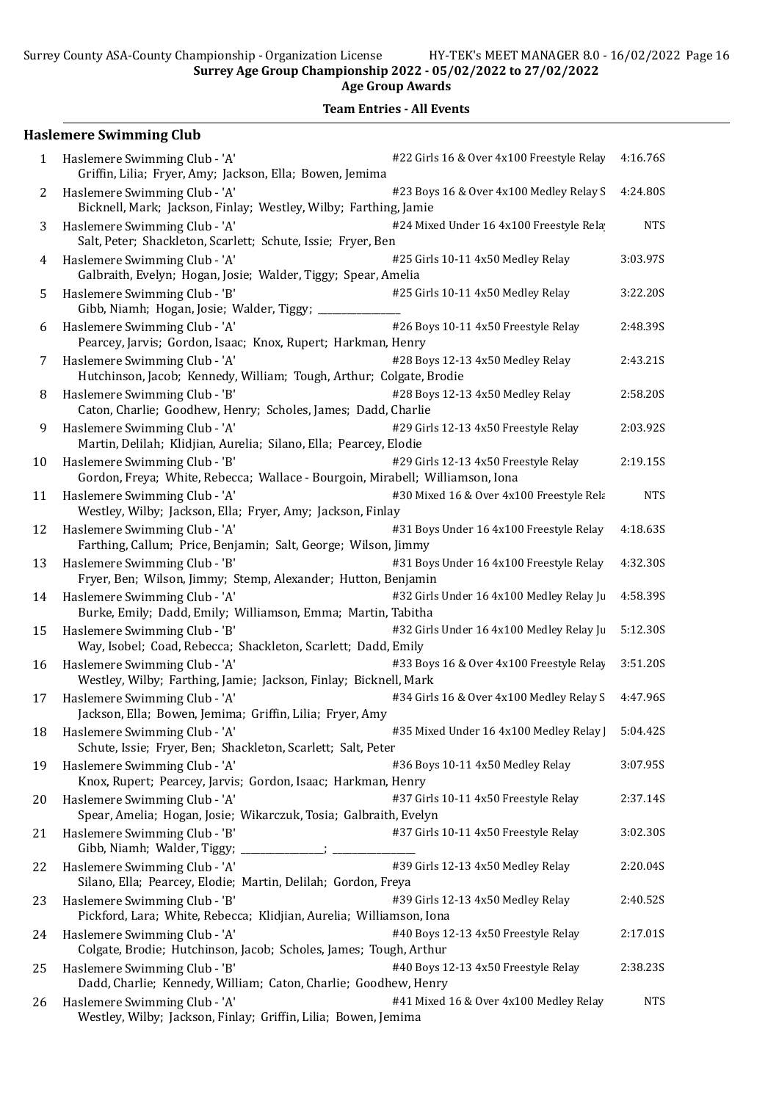Surrey Age Group Championship 2022 - 05/02/2022 to 27/02/2022

Age Group Awards

Team Entries - All Events

## Haslemere Swimming Club

| 1  | Haslemere Swimming Club - 'A'<br>Griffin, Lilia; Fryer, Amy; Jackson, Ella; Bowen, Jemima                      | #22 Girls 16 & Over 4x100 Freestyle Relay | 4:16.76S   |
|----|----------------------------------------------------------------------------------------------------------------|-------------------------------------------|------------|
| 2  | Haslemere Swimming Club - 'A'<br>Bicknell, Mark; Jackson, Finlay; Westley, Wilby; Farthing, Jamie              | #23 Boys 16 & Over 4x100 Medley Relay S   | 4:24.80S   |
| 3  | Haslemere Swimming Club - 'A'<br>Salt, Peter; Shackleton, Scarlett; Schute, Issie; Fryer, Ben                  | #24 Mixed Under 16 4x100 Freestyle Rela   | <b>NTS</b> |
| 4  | Haslemere Swimming Club - 'A'<br>Galbraith, Evelyn; Hogan, Josie; Walder, Tiggy; Spear, Amelia                 | #25 Girls 10-11 4x50 Medley Relay         | 3:03.97S   |
| 5  | Haslemere Swimming Club - 'B'<br>Gibb, Niamh; Hogan, Josie; Walder, Tiggy; _                                   | #25 Girls 10-11 4x50 Medley Relay         | 3:22.20S   |
| 6  | Haslemere Swimming Club - 'A'<br>Pearcey, Jarvis; Gordon, Isaac; Knox, Rupert; Harkman, Henry                  | #26 Boys 10-11 4x50 Freestyle Relay       | 2:48.39S   |
| 7  | Haslemere Swimming Club - 'A'<br>Hutchinson, Jacob; Kennedy, William; Tough, Arthur; Colgate, Brodie           | #28 Boys 12-13 4x50 Medley Relay          | 2:43.21S   |
| 8  | Haslemere Swimming Club - 'B'<br>Caton, Charlie; Goodhew, Henry; Scholes, James; Dadd, Charlie                 | #28 Boys 12-13 4x50 Medley Relay          | 2:58.20S   |
| 9  | Haslemere Swimming Club - 'A'<br>Martin, Delilah; Klidjian, Aurelia; Silano, Ella; Pearcey, Elodie             | #29 Girls 12-13 4x50 Freestyle Relay      | 2:03.92S   |
| 10 | Haslemere Swimming Club - 'B'<br>Gordon, Freya; White, Rebecca; Wallace - Bourgoin, Mirabell; Williamson, Iona | #29 Girls 12-13 4x50 Freestyle Relay      | 2:19.15S   |
| 11 | Haslemere Swimming Club - 'A'<br>Westley, Wilby; Jackson, Ella; Fryer, Amy; Jackson, Finlay                    | #30 Mixed 16 & Over 4x100 Freestyle Rela  | <b>NTS</b> |
| 12 | Haslemere Swimming Club - 'A'<br>Farthing, Callum; Price, Benjamin; Salt, George; Wilson, Jimmy                | #31 Boys Under 16 4x100 Freestyle Relay   | 4:18.63S   |
| 13 | Haslemere Swimming Club - 'B'<br>Fryer, Ben; Wilson, Jimmy; Stemp, Alexander; Hutton, Benjamin                 | #31 Boys Under 16 4x100 Freestyle Relay   | 4:32.30S   |
| 14 | Haslemere Swimming Club - 'A'<br>Burke, Emily; Dadd, Emily; Williamson, Emma; Martin, Tabitha                  | #32 Girls Under 16 4x100 Medley Relay Ju  | 4:58.39S   |
| 15 | Haslemere Swimming Club - 'B'<br>Way, Isobel; Coad, Rebecca; Shackleton, Scarlett; Dadd, Emily                 | #32 Girls Under 16 4x100 Medley Relay Ju  | 5:12.30S   |
| 16 | Haslemere Swimming Club - 'A'<br>Westley, Wilby; Farthing, Jamie; Jackson, Finlay; Bicknell, Mark              | #33 Boys 16 & Over 4x100 Freestyle Relay  | 3:51.20S   |
| 17 | Haslemere Swimming Club - 'A'<br>Jackson, Ella; Bowen, Jemima; Griffin, Lilia; Fryer, Amy                      | #34 Girls 16 & Over 4x100 Medley Relay S  | 4:47.96S   |
|    | 18 Haslemere Swimming Club - 'A'<br>Schute, Issie; Fryer, Ben; Shackleton, Scarlett; Salt, Peter               | #35 Mixed Under 16 4x100 Medley Relay ]   | 5:04.42S   |
| 19 | Haslemere Swimming Club - 'A'<br>Knox, Rupert; Pearcey, Jarvis; Gordon, Isaac; Harkman, Henry                  | #36 Boys 10-11 4x50 Medley Relay          | 3:07.95S   |
| 20 | Haslemere Swimming Club - 'A'<br>Spear, Amelia; Hogan, Josie; Wikarczuk, Tosia; Galbraith, Evelyn              | #37 Girls 10-11 4x50 Freestyle Relay      | 2:37.14S   |
| 21 | Haslemere Swimming Club - 'B'                                                                                  | #37 Girls 10-11 4x50 Freestyle Relay      | 3:02.30S   |
| 22 | Haslemere Swimming Club - 'A'<br>Silano, Ella; Pearcey, Elodie; Martin, Delilah; Gordon, Freya                 | #39 Girls 12-13 4x50 Medley Relay         | 2:20.04S   |
| 23 | Haslemere Swimming Club - 'B'<br>Pickford, Lara; White, Rebecca; Klidjian, Aurelia; Williamson, Iona           | #39 Girls 12-13 4x50 Medley Relay         | 2:40.52S   |
| 24 | Haslemere Swimming Club - 'A'<br>Colgate, Brodie; Hutchinson, Jacob; Scholes, James; Tough, Arthur             | #40 Boys 12-13 4x50 Freestyle Relay       | 2:17.01S   |
| 25 | Haslemere Swimming Club - 'B'<br>Dadd, Charlie; Kennedy, William; Caton, Charlie; Goodhew, Henry               | #40 Boys 12-13 4x50 Freestyle Relay       | 2:38.235   |
| 26 | Haslemere Swimming Club - 'A'<br>Westley, Wilby; Jackson, Finlay; Griffin, Lilia; Bowen, Jemima                | #41 Mixed 16 & Over 4x100 Medley Relay    | <b>NTS</b> |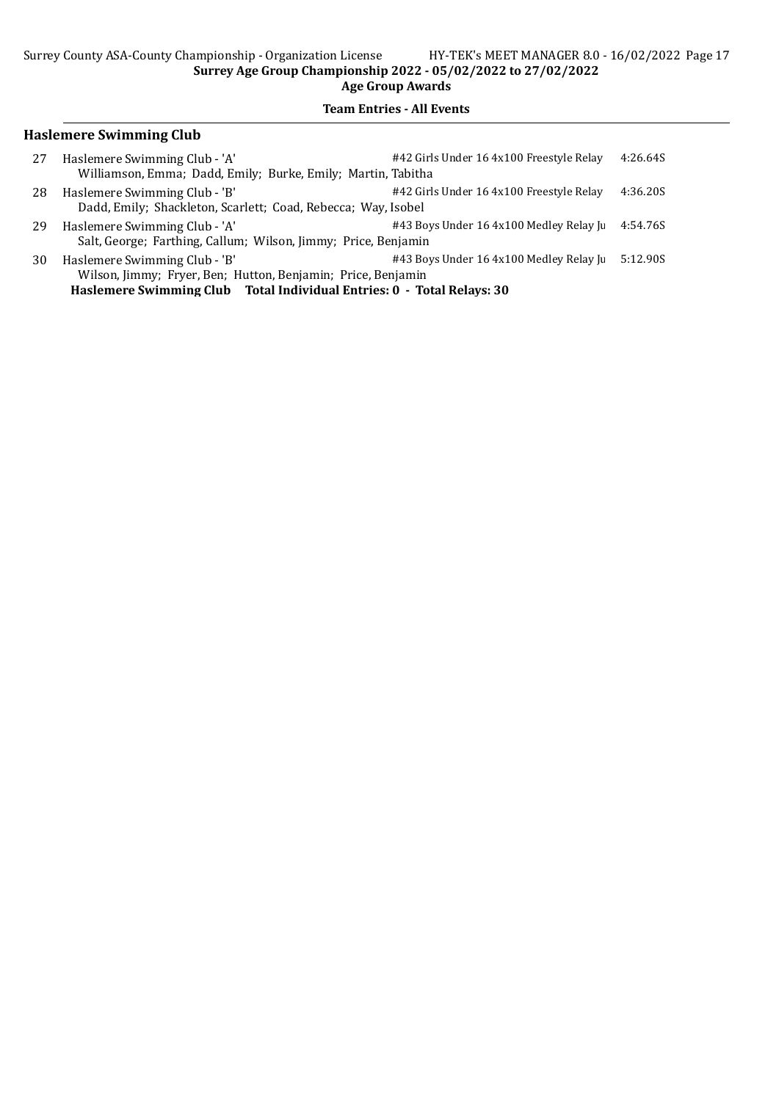## Team Entries - All Events

### Haslemere Swimming Club

| 27 | Haslemere Swimming Club - 'A'<br>Williamson, Emma; Dadd, Emily; Burke, Emily; Martin, Tabitha   | #42 Girls Under 16 4x100 Freestyle Relay | 4:26.64S |
|----|-------------------------------------------------------------------------------------------------|------------------------------------------|----------|
| 28 | Haslemere Swimming Club - 'B'<br>Dadd, Emily; Shackleton, Scarlett; Coad, Rebecca; Way, Isobel  | #42 Girls Under 16 4x100 Freestyle Relay | 4:36.20S |
| 29 | Haslemere Swimming Club - 'A'<br>Salt, George; Farthing, Callum; Wilson, Jimmy; Price, Benjamin | #43 Boys Under 16 4x100 Medley Relay Ju  | 4:54.76S |
| 30 | Haslemere Swimming Club - 'B'<br>Wilson, Jimmy; Fryer, Ben; Hutton, Benjamin; Price, Benjamin   | #43 Boys Under 16 4x100 Medley Relay Ju  | 5:12.90S |

Haslemere Swimming Club Total Individual Entries: 0 - Total Relays: 30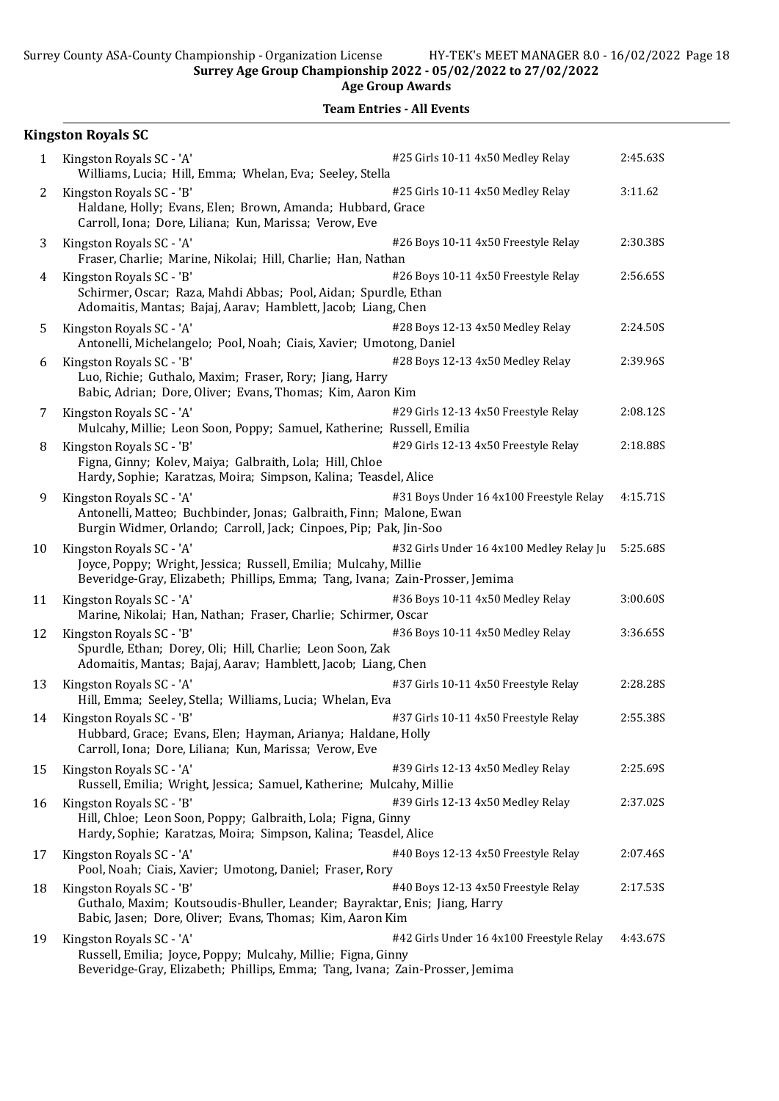Surrey Age Group Championship 2022 - 05/02/2022 to 27/02/2022 Age Group Awards

|                | <b>Kingston Royals SC</b>                                                                                                                                                   |                                          |          |
|----------------|-----------------------------------------------------------------------------------------------------------------------------------------------------------------------------|------------------------------------------|----------|
| 1              | Kingston Royals SC - 'A'<br>Williams, Lucia; Hill, Emma; Whelan, Eva; Seeley, Stella                                                                                        | #25 Girls 10-11 4x50 Medley Relay        | 2:45.63S |
| $\overline{2}$ | Kingston Royals SC - 'B'<br>Haldane, Holly; Evans, Elen; Brown, Amanda; Hubbard, Grace<br>Carroll, Iona; Dore, Liliana; Kun, Marissa; Verow, Eve                            | #25 Girls 10-11 4x50 Medley Relay        | 3:11.62  |
| 3              | Kingston Royals SC - 'A'<br>Fraser, Charlie; Marine, Nikolai; Hill, Charlie; Han, Nathan                                                                                    | #26 Boys 10-11 4x50 Freestyle Relay      | 2:30.38S |
| 4              | Kingston Royals SC - 'B'<br>Schirmer, Oscar; Raza, Mahdi Abbas; Pool, Aidan; Spurdle, Ethan<br>Adomaitis, Mantas; Bajaj, Aarav; Hamblett, Jacob; Liang, Chen                | #26 Boys 10-11 4x50 Freestyle Relay      | 2:56.65S |
| 5              | Kingston Royals SC - 'A'<br>Antonelli, Michelangelo; Pool, Noah; Ciais, Xavier; Umotong, Daniel                                                                             | #28 Boys 12-13 4x50 Medley Relay         | 2:24.50S |
| 6              | Kingston Royals SC - 'B'<br>Luo, Richie; Guthalo, Maxim; Fraser, Rory; Jiang, Harry<br>Babic, Adrian; Dore, Oliver; Evans, Thomas; Kim, Aaron Kim                           | #28 Boys 12-13 4x50 Medley Relay         | 2:39.96S |
| 7              | Kingston Royals SC - 'A'<br>Mulcahy, Millie; Leon Soon, Poppy; Samuel, Katherine; Russell, Emilia                                                                           | #29 Girls 12-13 4x50 Freestyle Relay     | 2:08.12S |
| 8              | Kingston Royals SC - 'B'<br>Figna, Ginny; Kolev, Maiya; Galbraith, Lola; Hill, Chloe<br>Hardy, Sophie; Karatzas, Moira; Simpson, Kalina; Teasdel, Alice                     | #29 Girls 12-13 4x50 Freestyle Relay     | 2:18.88S |
| 9              | Kingston Royals SC - 'A'<br>Antonelli, Matteo; Buchbinder, Jonas; Galbraith, Finn; Malone, Ewan<br>Burgin Widmer, Orlando; Carroll, Jack; Cinpoes, Pip; Pak, Jin-Soo        | #31 Boys Under 16 4x100 Freestyle Relay  | 4:15.71S |
| 10             | Kingston Royals SC - 'A'<br>Joyce, Poppy; Wright, Jessica; Russell, Emilia; Mulcahy, Millie<br>Beveridge-Gray, Elizabeth; Phillips, Emma; Tang, Ivana; Zain-Prosser, Jemima | #32 Girls Under 16 4x100 Medley Relay Ju | 5:25.68S |
| 11             | Kingston Royals SC - 'A'<br>Marine, Nikolai; Han, Nathan; Fraser, Charlie; Schirmer, Oscar                                                                                  | #36 Boys 10-11 4x50 Medley Relay         | 3:00.60S |
| 12             | Kingston Royals SC - 'B'<br>Spurdle, Ethan; Dorey, Oli; Hill, Charlie; Leon Soon, Zak<br>Adomaitis, Mantas; Bajaj, Aarav; Hamblett, Jacob; Liang, Chen                      | #36 Boys 10-11 4x50 Medley Relay         | 3:36.65S |
| 13             | Kingston Royals SC - 'A'<br>Hill, Emma; Seeley, Stella; Williams, Lucia; Whelan, Eva                                                                                        | #37 Girls 10-11 4x50 Freestyle Relay     | 2:28.285 |
| 14             | Kingston Royals SC - 'B'<br>Hubbard, Grace; Evans, Elen; Hayman, Arianya; Haldane, Holly<br>Carroll, Iona; Dore, Liliana; Kun, Marissa; Verow, Eve                          | #37 Girls 10-11 4x50 Freestyle Relay     | 2:55.38S |
| 15             | Kingston Royals SC - 'A'<br>Russell, Emilia; Wright, Jessica; Samuel, Katherine; Mulcahy, Millie                                                                            | #39 Girls 12-13 4x50 Medley Relay        | 2:25.69S |
| 16             | Kingston Royals SC - 'B'<br>Hill, Chloe; Leon Soon, Poppy; Galbraith, Lola; Figna, Ginny<br>Hardy, Sophie; Karatzas, Moira; Simpson, Kalina; Teasdel, Alice                 | #39 Girls 12-13 4x50 Medley Relay        | 2:37.02S |
| 17             | Kingston Royals SC - 'A'<br>Pool, Noah; Ciais, Xavier; Umotong, Daniel; Fraser, Rory                                                                                        | #40 Boys 12-13 4x50 Freestyle Relay      | 2:07.46S |
| 18             | Kingston Royals SC - 'B'<br>Guthalo, Maxim; Koutsoudis-Bhuller, Leander; Bayraktar, Enis; Jiang, Harry<br>Babic, Jasen; Dore, Oliver; Evans, Thomas; Kim, Aaron Kim         | #40 Boys 12-13 4x50 Freestyle Relay      | 2:17.53S |
| 19             | Kingston Royals SC - 'A'<br>Russell, Emilia; Joyce, Poppy; Mulcahy, Millie; Figna, Ginny<br>Beveridge-Gray, Elizabeth; Phillips, Emma; Tang, Ivana; Zain-Prosser, Jemima    | #42 Girls Under 16 4x100 Freestyle Relay | 4:43.67S |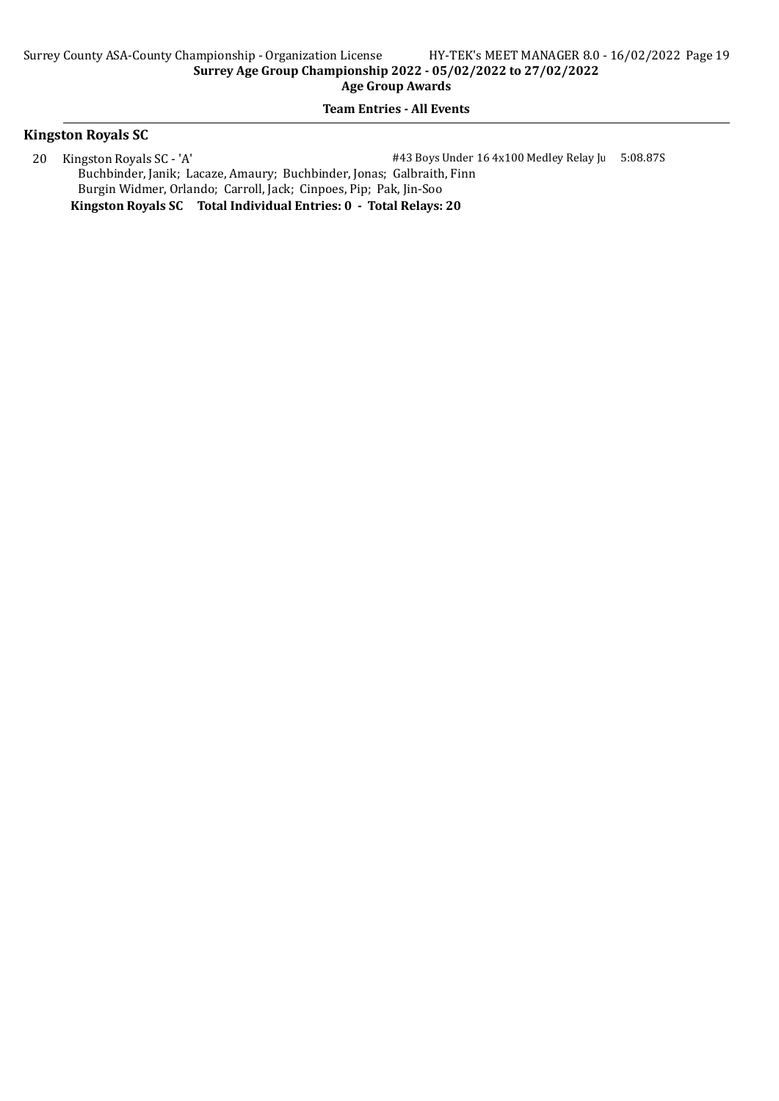### Team Entries - All Events

#### Kingston Royals SC

20 Kingston Royals SC - 'A'  $\#43$  Boys Under 16 4x100 Medley Relay Juniors 5:08.87S Buchbinder, Janik; Lacaze, Amaury; Buchbinder, Jonas; Galbraith, Finn Burgin Widmer, Orlando; Carroll, Jack; Cinpoes, Pip; Pak, Jin-Soo Kingston Royals SC Total Individual Entries: 0 - Total Relays: 20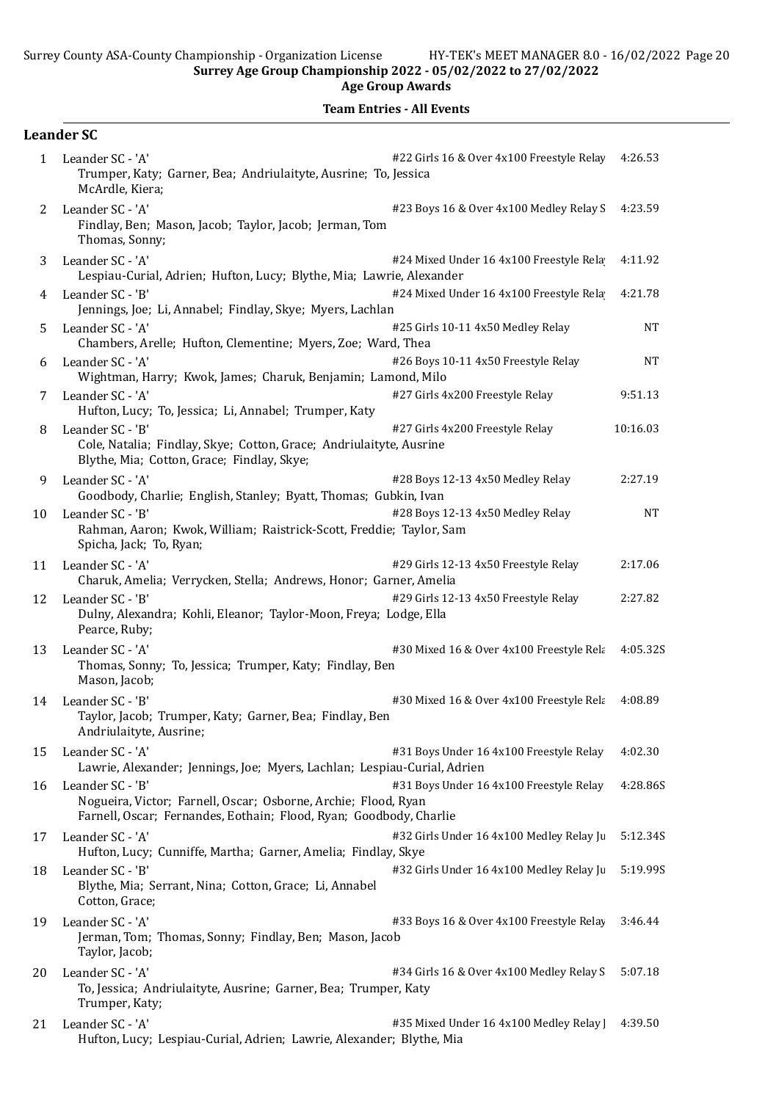Age Group Awards

|              | <b>Leander SC</b>                                                                                                                                                                                   |           |
|--------------|-----------------------------------------------------------------------------------------------------------------------------------------------------------------------------------------------------|-----------|
| $\mathbf{1}$ | #22 Girls 16 & Over 4x100 Freestyle Relay<br>Leander SC - 'A'<br>Trumper, Katy; Garner, Bea; Andriulaityte, Ausrine; To, Jessica<br>McArdle, Kiera;                                                 | 4:26.53   |
| 2            | Leander SC - 'A'<br>#23 Boys 16 & Over 4x100 Medley Relay S<br>Findlay, Ben; Mason, Jacob; Taylor, Jacob; Jerman, Tom<br>Thomas, Sonny;                                                             | 4:23.59   |
| 3            | #24 Mixed Under 16 4x100 Freestyle Rela<br>Leander SC - 'A'<br>Lespiau-Curial, Adrien; Hufton, Lucy; Blythe, Mia; Lawrie, Alexander                                                                 | 4:11.92   |
| 4            | #24 Mixed Under 16 4x100 Freestyle Rela<br>Leander SC - 'B'<br>Jennings, Joe; Li, Annabel; Findlay, Skye; Myers, Lachlan                                                                            | 4:21.78   |
| 5            | Leander SC - 'A'<br>#25 Girls 10-11 4x50 Medley Relay<br>Chambers, Arelle; Hufton, Clementine; Myers, Zoe; Ward, Thea                                                                               | <b>NT</b> |
| 6            | #26 Boys 10-11 4x50 Freestyle Relay<br>Leander SC - 'A'<br>Wightman, Harry; Kwok, James; Charuk, Benjamin; Lamond, Milo                                                                             | <b>NT</b> |
| 7            | Leander SC - 'A'<br>#27 Girls 4x200 Freestyle Relay<br>Hufton, Lucy; To, Jessica; Li, Annabel; Trumper, Katy                                                                                        | 9:51.13   |
| 8            | Leander SC - 'B'<br>#27 Girls 4x200 Freestyle Relay<br>Cole, Natalia; Findlay, Skye; Cotton, Grace; Andriulaityte, Ausrine<br>Blythe, Mia; Cotton, Grace; Findlay, Skye;                            | 10:16.03  |
| 9            | Leander SC - 'A'<br>#28 Boys 12-13 4x50 Medley Relay<br>Goodbody, Charlie; English, Stanley; Byatt, Thomas; Gubkin, Ivan                                                                            | 2:27.19   |
| 10           | #28 Boys 12-13 4x50 Medley Relay<br>Leander SC - 'B'<br>Rahman, Aaron; Kwok, William; Raistrick-Scott, Freddie; Taylor, Sam<br>Spicha, Jack; To, Ryan;                                              | <b>NT</b> |
| 11           | Leander SC - 'A'<br>#29 Girls 12-13 4x50 Freestyle Relay<br>Charuk, Amelia; Verrycken, Stella; Andrews, Honor; Garner, Amelia                                                                       | 2:17.06   |
| 12           | Leander SC - 'B'<br>#29 Girls 12-13 4x50 Freestyle Relay<br>Dulny, Alexandra; Kohli, Eleanor; Taylor-Moon, Freya; Lodge, Ella<br>Pearce, Ruby;                                                      | 2:27.82   |
| 13           | Leander SC - 'A'<br>#30 Mixed 16 & Over 4x100 Freestyle Rela<br>Thomas, Sonny; To, Jessica; Trumper, Katy; Findlay, Ben<br>Mason, Jacob;                                                            | 4:05.32S  |
| 14           | Leander SC - 'B'<br>#30 Mixed 16 & Over 4x100 Freestyle Rela<br>Taylor, Jacob; Trumper, Katy; Garner, Bea; Findlay, Ben<br>Andriulaityte, Ausrine;                                                  | 4:08.89   |
| 15           | #31 Boys Under 16 4x100 Freestyle Relay<br>Leander SC - 'A'<br>Lawrie, Alexander; Jennings, Joe; Myers, Lachlan; Lespiau-Curial, Adrien                                                             | 4:02.30   |
| 16           | Leander SC - 'B'<br>#31 Boys Under 16 4x100 Freestyle Relay<br>Nogueira, Victor; Farnell, Oscar; Osborne, Archie; Flood, Ryan<br>Farnell, Oscar; Fernandes, Eothain; Flood, Ryan; Goodbody, Charlie | 4:28.86S  |
| 17           | Leander SC - 'A'<br>#32 Girls Under 16 4x100 Medley Relay Ju<br>Hufton, Lucy; Cunniffe, Martha; Garner, Amelia; Findlay, Skye                                                                       | 5:12.34S  |
| 18           | Leander SC - 'B'<br>#32 Girls Under 16 4x100 Medley Relay Ju<br>Blythe, Mia; Serrant, Nina; Cotton, Grace; Li, Annabel<br>Cotton, Grace;                                                            | 5:19.99S  |
| 19           | Leander SC - 'A'<br>#33 Boys 16 & Over 4x100 Freestyle Relay<br>Jerman, Tom; Thomas, Sonny; Findlay, Ben; Mason, Jacob<br>Taylor, Jacob;                                                            | 3:46.44   |
| 20           | Leander SC - 'A'<br>#34 Girls 16 & Over 4x100 Medley Relay S<br>To, Jessica; Andriulaityte, Ausrine; Garner, Bea; Trumper, Katy<br>Trumper, Katy;                                                   | 5:07.18   |
| 21           | Leander SC - 'A'<br>#35 Mixed Under 16 4x100 Medley Relay  <br>Hufton, Lucy; Lespiau-Curial, Adrien; Lawrie, Alexander; Blythe, Mia                                                                 | 4:39.50   |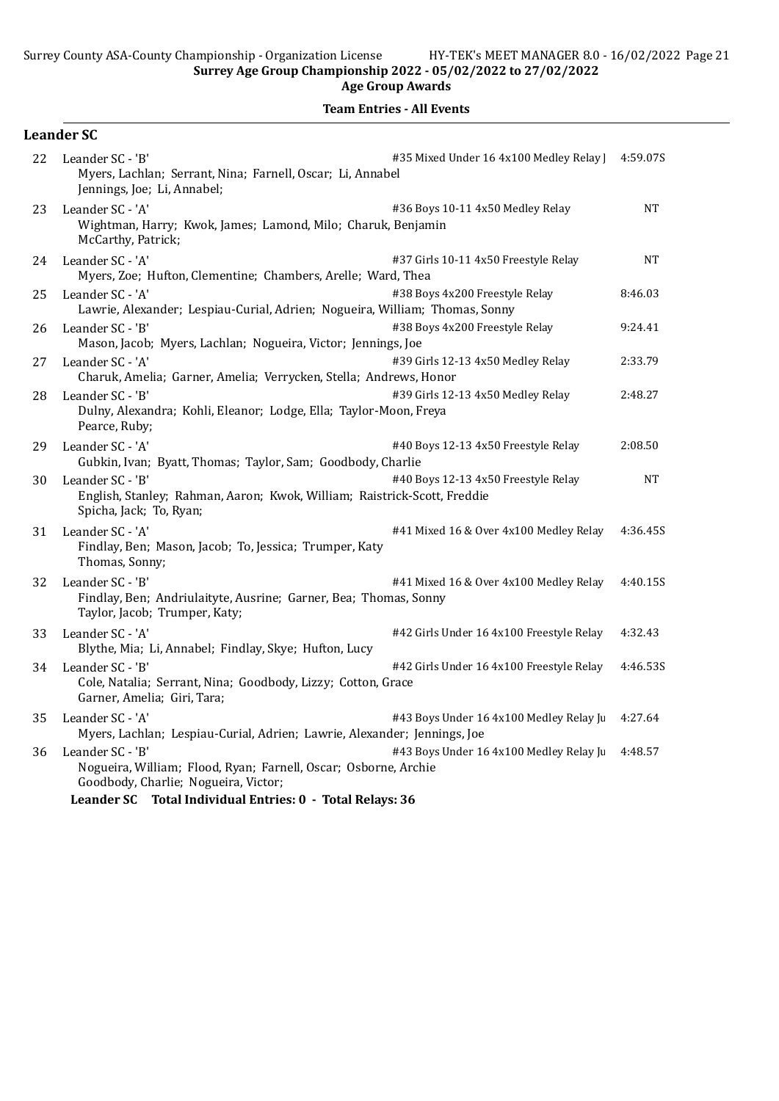Age Group Awards

|    | <b>Leander SC</b>                                                                                                                                                                                                                   |           |
|----|-------------------------------------------------------------------------------------------------------------------------------------------------------------------------------------------------------------------------------------|-----------|
| 22 | #35 Mixed Under 16 4x100 Medley Relay  <br>Leander SC - 'B'<br>Myers, Lachlan; Serrant, Nina; Farnell, Oscar; Li, Annabel<br>Jennings, Joe; Li, Annabel;                                                                            | 4:59.07S  |
| 23 | Leander SC - 'A'<br>#36 Boys 10-11 4x50 Medley Relay<br>Wightman, Harry; Kwok, James; Lamond, Milo; Charuk, Benjamin<br>McCarthy, Patrick;                                                                                          | <b>NT</b> |
| 24 | #37 Girls 10-11 4x50 Freestyle Relay<br>Leander SC - 'A'<br>Myers, Zoe; Hufton, Clementine; Chambers, Arelle; Ward, Thea                                                                                                            | <b>NT</b> |
| 25 | #38 Boys 4x200 Freestyle Relay<br>Leander SC - 'A'<br>Lawrie, Alexander; Lespiau-Curial, Adrien; Nogueira, William; Thomas, Sonny                                                                                                   | 8:46.03   |
| 26 | #38 Boys 4x200 Freestyle Relay<br>Leander SC - 'B'<br>Mason, Jacob; Myers, Lachlan; Nogueira, Victor; Jennings, Joe                                                                                                                 | 9:24.41   |
| 27 | Leander SC - 'A'<br>#39 Girls 12-13 4x50 Medley Relay<br>Charuk, Amelia; Garner, Amelia; Verrycken, Stella; Andrews, Honor                                                                                                          | 2:33.79   |
| 28 | Leander SC - 'B'<br>#39 Girls 12-13 4x50 Medley Relay<br>Dulny, Alexandra; Kohli, Eleanor; Lodge, Ella; Taylor-Moon, Freya<br>Pearce, Ruby;                                                                                         | 2:48.27   |
| 29 | Leander SC - 'A'<br>#40 Boys 12-13 4x50 Freestyle Relay<br>Gubkin, Ivan; Byatt, Thomas; Taylor, Sam; Goodbody, Charlie                                                                                                              | 2:08.50   |
| 30 | Leander SC - 'B'<br>#40 Boys 12-13 4x50 Freestyle Relay<br>English, Stanley; Rahman, Aaron; Kwok, William; Raistrick-Scott, Freddie<br>Spicha, Jack; To, Ryan;                                                                      | <b>NT</b> |
| 31 | Leander SC - 'A'<br>#41 Mixed 16 & Over 4x100 Medley Relay<br>Findlay, Ben; Mason, Jacob; To, Jessica; Trumper, Katy<br>Thomas, Sonny;                                                                                              | 4:36.45S  |
| 32 | Leander SC - 'B'<br>#41 Mixed 16 & Over 4x100 Medley Relay<br>Findlay, Ben; Andriulaityte, Ausrine; Garner, Bea; Thomas, Sonny<br>Taylor, Jacob; Trumper, Katy;                                                                     | 4:40.15S  |
| 33 | #42 Girls Under 16 4x100 Freestyle Relay<br>Leander SC - 'A'<br>Blythe, Mia; Li, Annabel; Findlay, Skye; Hufton, Lucy                                                                                                               | 4:32.43   |
| 34 | Leander SC - 'B'<br>#42 Girls Under 16 4x100 Freestyle Relay<br>Cole, Natalia; Serrant, Nina; Goodbody, Lizzy; Cotton, Grace<br>Garner, Amelia; Giri, Tara;                                                                         | 4:46.53S  |
| 35 | #43 Boys Under 16 4x100 Medley Relay Ju<br>Leander SC - 'A'<br>Myers, Lachlan; Lespiau-Curial, Adrien; Lawrie, Alexander; Jennings, Joe                                                                                             | 4:27.64   |
| 36 | Leander SC - 'B'<br>#43 Boys Under 16 4x100 Medley Relay Ju<br>Nogueira, William; Flood, Ryan; Farnell, Oscar; Osborne, Archie<br>Goodbody, Charlie; Nogueira, Victor;<br>Leander SC Total Individual Entries: 0 - Total Relays: 36 | 4:48.57   |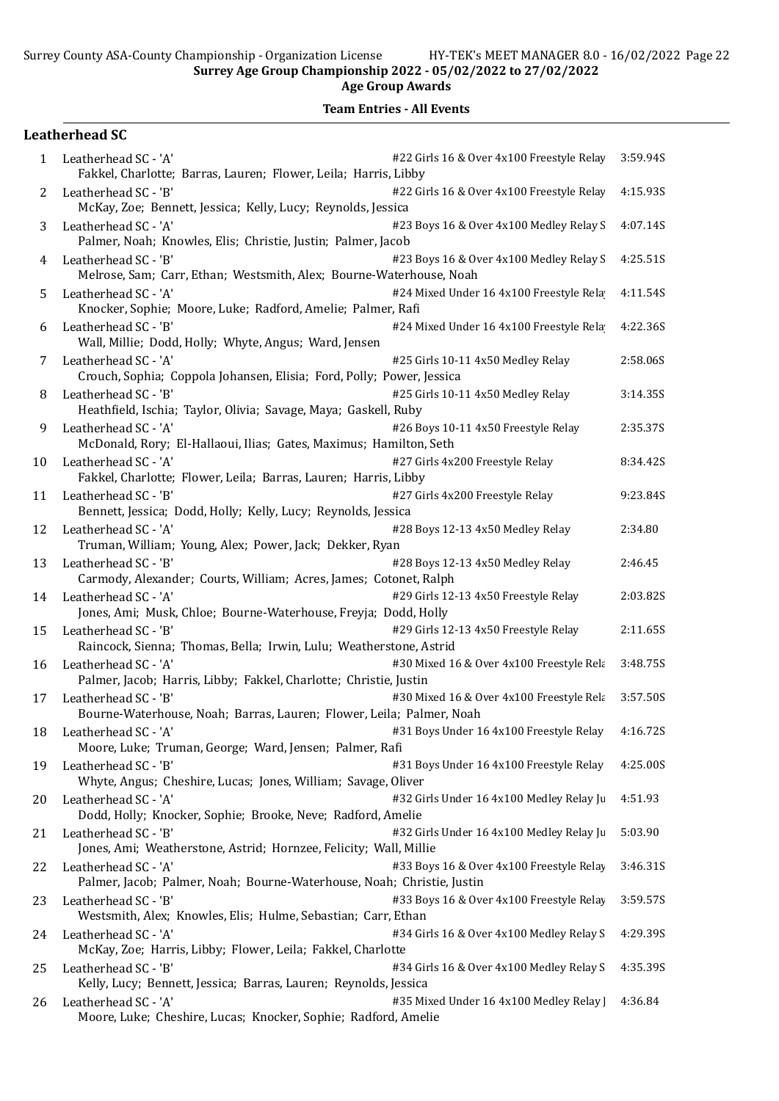Age Group Awards

|              | <b>Leatherhead SC</b>                                                                                                                      |          |
|--------------|--------------------------------------------------------------------------------------------------------------------------------------------|----------|
| $\mathbf{1}$ | #22 Girls 16 & Over 4x100 Freestyle Relay<br>Leatherhead SC - 'A'<br>Fakkel, Charlotte; Barras, Lauren; Flower, Leila; Harris, Libby       | 3:59.94S |
| 2            | Leatherhead SC - 'B'<br>#22 Girls 16 & Over 4x100 Freestyle Relay<br>McKay, Zoe; Bennett, Jessica; Kelly, Lucy; Reynolds, Jessica          | 4:15.93S |
| 3            | Leatherhead SC - 'A'<br>#23 Boys 16 & Over 4x100 Medley Relay S<br>Palmer, Noah; Knowles, Elis; Christie, Justin; Palmer, Jacob            | 4:07.14S |
| 4            | Leatherhead SC - 'B'<br>#23 Boys 16 & Over 4x100 Medley Relay S<br>Melrose, Sam; Carr, Ethan; Westsmith, Alex; Bourne-Waterhouse, Noah     | 4:25.51S |
| 5            | #24 Mixed Under 16 4x100 Freestyle Rela<br>Leatherhead SC - 'A'<br>Knocker, Sophie; Moore, Luke; Radford, Amelie; Palmer, Rafi             | 4:11.54S |
| 6            | #24 Mixed Under 16 4x100 Freestyle Rela<br>Leatherhead SC - 'B'<br>Wall, Millie; Dodd, Holly; Whyte, Angus; Ward, Jensen                   | 4:22.36S |
| 7            | #25 Girls 10-11 4x50 Medley Relay<br>Leatherhead SC - 'A'<br>Crouch, Sophia; Coppola Johansen, Elisia; Ford, Polly; Power, Jessica         | 2:58.06S |
| 8            | Leatherhead SC - 'B'<br>#25 Girls 10-11 4x50 Medley Relay<br>Heathfield, Ischia; Taylor, Olivia; Savage, Maya; Gaskell, Ruby               | 3:14.35S |
| 9            | Leatherhead SC - 'A'<br>#26 Boys 10-11 4x50 Freestyle Relay<br>McDonald, Rory; El-Hallaoui, Ilias; Gates, Maximus; Hamilton, Seth          | 2:35.37S |
| 10           | #27 Girls 4x200 Freestyle Relay<br>Leatherhead SC - 'A'<br>Fakkel, Charlotte; Flower, Leila; Barras, Lauren; Harris, Libby                 | 8:34.42S |
| 11           | #27 Girls 4x200 Freestyle Relay<br>Leatherhead SC - 'B'<br>Bennett, Jessica; Dodd, Holly; Kelly, Lucy; Reynolds, Jessica                   | 9:23.84S |
| 12           | #28 Boys 12-13 4x50 Medley Relay<br>Leatherhead SC - 'A'<br>Truman, William; Young, Alex; Power, Jack; Dekker, Ryan                        | 2:34.80  |
| 13           | #28 Boys 12-13 4x50 Medley Relay<br>Leatherhead SC - 'B'<br>Carmody, Alexander; Courts, William; Acres, James; Cotonet, Ralph              | 2:46.45  |
| 14           | Leatherhead SC - 'A'<br>#29 Girls 12-13 4x50 Freestyle Relay<br>Jones, Ami; Musk, Chloe; Bourne-Waterhouse, Freyja; Dodd, Holly            | 2:03.82S |
| 15           | Leatherhead SC - 'B'<br>#29 Girls 12-13 4x50 Freestyle Relay<br>Raincock, Sienna; Thomas, Bella; Irwin, Lulu; Weatherstone, Astrid         | 2:11.65S |
| 16           | #30 Mixed 16 & Over 4x100 Freestyle Rela<br>Leatherhead SC - 'A'<br>Palmer, Jacob; Harris, Libby; Fakkel, Charlotte; Christie, Justin      | 3:48.75S |
| 17           | Leatherhead SC - 'B'<br>#30 Mixed 16 & Over 4x100 Freestyle Rela<br>Bourne-Waterhouse, Noah; Barras, Lauren; Flower, Leila; Palmer, Noah   | 3:57.50S |
| 18           | #31 Boys Under 16 4x100 Freestyle Relay<br>Leatherhead SC - 'A'<br>Moore, Luke; Truman, George; Ward, Jensen; Palmer, Rafi                 | 4:16.72S |
| 19           | Leatherhead SC - 'B'<br>#31 Boys Under 16 4x100 Freestyle Relay<br>Whyte, Angus; Cheshire, Lucas; Jones, William; Savage, Oliver           | 4:25.00S |
| 20           | Leatherhead SC - 'A'<br>#32 Girls Under 16 4x100 Medley Relay Ju<br>Dodd, Holly; Knocker, Sophie; Brooke, Neve; Radford, Amelie            | 4:51.93  |
| 21           | Leatherhead SC - 'B'<br>#32 Girls Under 16 4x100 Medley Relay Ju<br>Jones, Ami; Weatherstone, Astrid; Hornzee, Felicity; Wall, Millie      | 5:03.90  |
| 22           | #33 Boys 16 & Over 4x100 Freestyle Relay<br>Leatherhead SC - 'A'<br>Palmer, Jacob; Palmer, Noah; Bourne-Waterhouse, Noah; Christie, Justin | 3:46.31S |
| 23           | #33 Boys 16 & Over 4x100 Freestyle Relay<br>Leatherhead SC - 'B'<br>Westsmith, Alex; Knowles, Elis; Hulme, Sebastian; Carr, Ethan          | 3:59.57S |
| 24           | #34 Girls 16 & Over 4x100 Medley Relay S<br>Leatherhead SC - 'A'<br>McKay, Zoe; Harris, Libby; Flower, Leila; Fakkel, Charlotte            | 4:29.39S |
| 25           | Leatherhead SC - 'B'<br>#34 Girls 16 & Over 4x100 Medley Relay S<br>Kelly, Lucy; Bennett, Jessica; Barras, Lauren; Reynolds, Jessica       | 4:35.39S |
| 26           | Leatherhead SC - 'A'<br>#35 Mixed Under 16 4x100 Medley Relay ]<br>Moore, Luke; Cheshire, Lucas; Knocker, Sophie; Radford, Amelie          | 4:36.84  |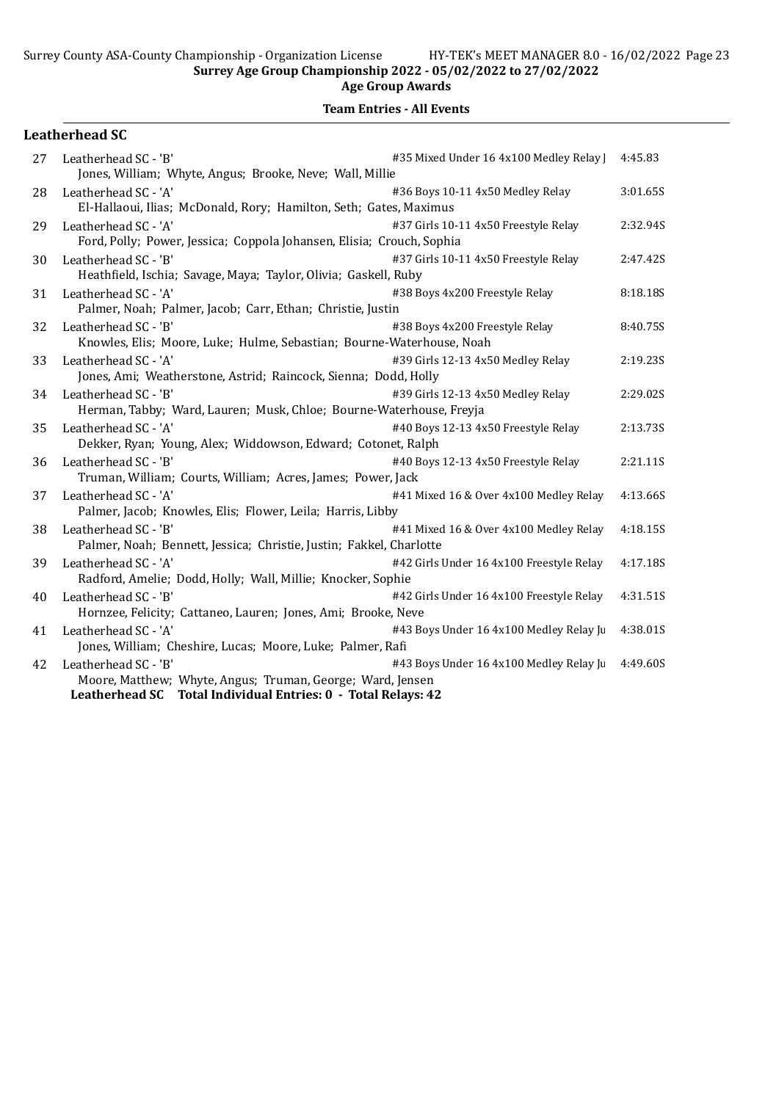|    | <b>Leatherhead SC</b>                                                                                                                                                                          |          |
|----|------------------------------------------------------------------------------------------------------------------------------------------------------------------------------------------------|----------|
| 27 | #35 Mixed Under 16 4x100 Medley Relay<br>Leatherhead SC - 'B'<br>Jones, William; Whyte, Angus; Brooke, Neve; Wall, Millie                                                                      | 4:45.83  |
| 28 | Leatherhead SC - 'A'<br>#36 Boys 10-11 4x50 Medley Relay<br>El-Hallaoui, Ilias; McDonald, Rory; Hamilton, Seth; Gates, Maximus                                                                 | 3:01.65S |
| 29 | Leatherhead SC - 'A'<br>#37 Girls 10-11 4x50 Freestyle Relay<br>Ford, Polly; Power, Jessica; Coppola Johansen, Elisia; Crouch, Sophia                                                          | 2:32.94S |
| 30 | #37 Girls 10-11 4x50 Freestyle Relay<br>Leatherhead SC - 'B'<br>Heathfield, Ischia; Savage, Maya; Taylor, Olivia; Gaskell, Ruby                                                                | 2:47.42S |
| 31 | #38 Boys 4x200 Freestyle Relay<br>Leatherhead SC - 'A'<br>Palmer, Noah; Palmer, Jacob; Carr, Ethan; Christie, Justin                                                                           | 8:18.18S |
| 32 | #38 Boys 4x200 Freestyle Relay<br>Leatherhead SC - 'B'<br>Knowles, Elis; Moore, Luke; Hulme, Sebastian; Bourne-Waterhouse, Noah                                                                | 8:40.75S |
| 33 | #39 Girls 12-13 4x50 Medley Relay<br>Leatherhead SC - 'A'<br>Jones, Ami; Weatherstone, Astrid; Raincock, Sienna; Dodd, Holly                                                                   | 2:19.23S |
| 34 | Leatherhead SC - 'B'<br>#39 Girls 12-13 4x50 Medley Relay<br>Herman, Tabby; Ward, Lauren; Musk, Chloe; Bourne-Waterhouse, Freyja                                                               | 2:29.02S |
| 35 | Leatherhead SC - 'A'<br>#40 Boys 12-13 4x50 Freestyle Relay<br>Dekker, Ryan; Young, Alex; Widdowson, Edward; Cotonet, Ralph                                                                    | 2:13.73S |
| 36 | #40 Boys 12-13 4x50 Freestyle Relay<br>Leatherhead SC - 'B'<br>Truman, William; Courts, William; Acres, James; Power, Jack                                                                     | 2:21.11S |
| 37 | #41 Mixed 16 & Over 4x100 Medley Relay<br>Leatherhead SC - 'A'<br>Palmer, Jacob; Knowles, Elis; Flower, Leila; Harris, Libby                                                                   | 4:13.66S |
| 38 | Leatherhead SC - 'B'<br>#41 Mixed 16 & Over 4x100 Medley Relay<br>Palmer, Noah; Bennett, Jessica; Christie, Justin; Fakkel, Charlotte                                                          | 4:18.15S |
| 39 | Leatherhead SC - 'A'<br>#42 Girls Under 16 4x100 Freestyle Relay<br>Radford, Amelie; Dodd, Holly; Wall, Millie; Knocker, Sophie                                                                | 4:17.18S |
| 40 | Leatherhead SC - 'B'<br>#42 Girls Under 16 4x100 Freestyle Relay<br>Hornzee, Felicity; Cattaneo, Lauren; Jones, Ami; Brooke, Neve                                                              | 4:31.51S |
| 41 | Leatherhead SC - 'A'<br>#43 Boys Under 16 4x100 Medley Relay Ju<br>Jones, William; Cheshire, Lucas; Moore, Luke; Palmer, Rafi                                                                  | 4:38.01S |
| 42 | #43 Boys Under 16 4x100 Medley Relay Ju<br>Leatherhead SC - 'B'<br>Moore, Matthew; Whyte, Angus; Truman, George; Ward, Jensen<br>Leatherhead SC Total Individual Entries: 0 - Total Relays: 42 | 4:49.60S |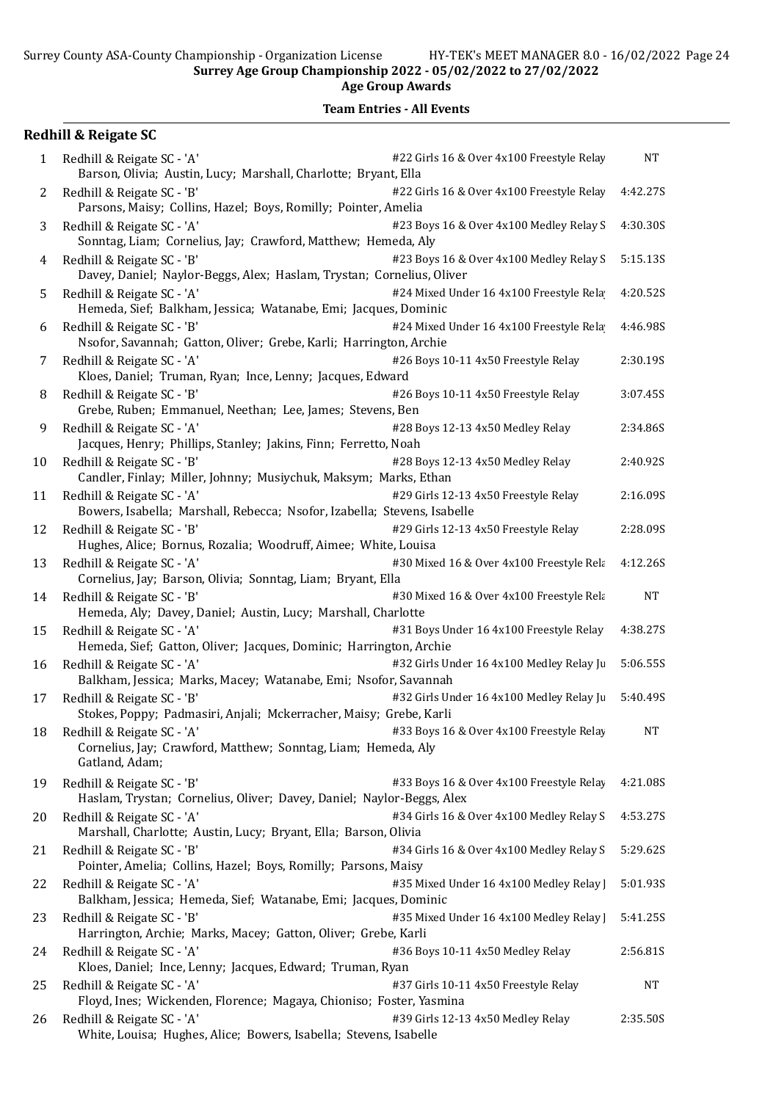|    | <b>Redhill &amp; Reigate SC</b>                                                                                                                           |           |
|----|-----------------------------------------------------------------------------------------------------------------------------------------------------------|-----------|
| 1  | #22 Girls 16 & Over 4x100 Freestyle Relay<br>Redhill & Reigate SC - 'A'<br>Barson, Olivia; Austin, Lucy; Marshall, Charlotte; Bryant, Ella                | <b>NT</b> |
| 2  | Redhill & Reigate SC - 'B'<br>#22 Girls 16 & Over 4x100 Freestyle Relay<br>Parsons, Maisy; Collins, Hazel; Boys, Romilly; Pointer, Amelia                 | 4:42.27S  |
| 3  | Redhill & Reigate SC - 'A'<br>#23 Boys 16 & Over 4x100 Medley Relay S<br>Sonntag, Liam; Cornelius, Jay; Crawford, Matthew; Hemeda, Aly                    | 4:30.30S  |
| 4  | Redhill & Reigate SC - 'B'<br>#23 Boys 16 & Over 4x100 Medley Relay S<br>Davey, Daniel; Naylor-Beggs, Alex; Haslam, Trystan; Cornelius, Oliver            | 5:15.13S  |
| 5  | #24 Mixed Under 16 4x100 Freestyle Rela<br>Redhill & Reigate SC - 'A'<br>Hemeda, Sief; Balkham, Jessica; Watanabe, Emi; Jacques, Dominic                  | 4:20.52S  |
| 6  | #24 Mixed Under 16 4x100 Freestyle Rela<br>Redhill & Reigate SC - 'B'<br>Nsofor, Savannah; Gatton, Oliver; Grebe, Karli; Harrington, Archie               | 4:46.98S  |
| 7  | #26 Boys 10-11 4x50 Freestyle Relay<br>Redhill & Reigate SC - 'A'<br>Kloes, Daniel; Truman, Ryan; Ince, Lenny; Jacques, Edward                            | 2:30.19S  |
| 8  | #26 Boys 10-11 4x50 Freestyle Relay<br>Redhill & Reigate SC - 'B'<br>Grebe, Ruben; Emmanuel, Neethan; Lee, James; Stevens, Ben                            | 3:07.45S  |
| 9  | Redhill & Reigate SC - 'A'<br>#28 Boys 12-13 4x50 Medley Relay<br>Jacques, Henry; Phillips, Stanley; Jakins, Finn; Ferretto, Noah                         | 2:34.86S  |
| 10 | #28 Boys 12-13 4x50 Medley Relay<br>Redhill & Reigate SC - 'B'<br>Candler, Finlay; Miller, Johnny; Musiychuk, Maksym; Marks, Ethan                        | 2:40.92S  |
| 11 | #29 Girls 12-13 4x50 Freestyle Relay<br>Redhill & Reigate SC - 'A'<br>Bowers, Isabella; Marshall, Rebecca; Nsofor, Izabella; Stevens, Isabelle            | 2:16.09S  |
| 12 | #29 Girls 12-13 4x50 Freestyle Relay<br>Redhill & Reigate SC - 'B'<br>Hughes, Alice; Bornus, Rozalia; Woodruff, Aimee; White, Louisa                      | 2:28.09S  |
| 13 | #30 Mixed 16 & Over 4x100 Freestyle Rela<br>Redhill & Reigate SC - 'A'<br>Cornelius, Jay; Barson, Olivia; Sonntag, Liam; Bryant, Ella                     | 4:12.26S  |
| 14 | Redhill & Reigate SC - 'B'<br>#30 Mixed 16 & Over 4x100 Freestyle Rela<br>Hemeda, Aly; Davey, Daniel; Austin, Lucy; Marshall, Charlotte                   | <b>NT</b> |
| 15 | Redhill & Reigate SC - 'A'<br>#31 Boys Under 16 4x100 Freestyle Relay<br>Hemeda, Sief; Gatton, Oliver; Jacques, Dominic; Harrington, Archie               | 4:38.27S  |
| 16 | #32 Girls Under 16 4x100 Medley Relay Ju<br>Redhill & Reigate SC - 'A'<br>Balkham, Jessica; Marks, Macey; Watanabe, Emi; Nsofor, Savannah                 | 5:06.55S  |
| 17 | #32 Girls Under 16 4x100 Medley Relay Ju<br>Redhill & Reigate SC - 'B'<br>Stokes, Poppy; Padmasiri, Anjali; Mckerracher, Maisy; Grebe, Karli              | 5:40.49S  |
| 18 | #33 Boys 16 & Over 4x100 Freestyle Relay<br>Redhill & Reigate SC - 'A'<br>Cornelius, Jay; Crawford, Matthew; Sonntag, Liam; Hemeda, Aly<br>Gatland, Adam; | <b>NT</b> |
| 19 | #33 Boys 16 & Over 4x100 Freestyle Relay<br>Redhill & Reigate SC - 'B'<br>Haslam, Trystan; Cornelius, Oliver; Davey, Daniel; Naylor-Beggs, Alex           | 4:21.08S  |
| 20 | #34 Girls 16 & Over 4x100 Medley Relay S<br>Redhill & Reigate SC - 'A'<br>Marshall, Charlotte; Austin, Lucy; Bryant, Ella; Barson, Olivia                 | 4:53.27S  |
| 21 | Redhill & Reigate SC - 'B'<br>#34 Girls 16 & Over 4x100 Medley Relay S<br>Pointer, Amelia; Collins, Hazel; Boys, Romilly; Parsons, Maisy                  | 5:29.62S  |
| 22 | Redhill & Reigate SC - 'A'<br>#35 Mixed Under 16 4x100 Medley Relay  <br>Balkham, Jessica; Hemeda, Sief; Watanabe, Emi; Jacques, Dominic                  | 5:01.93S  |
| 23 | Redhill & Reigate SC - 'B'<br>#35 Mixed Under 16 4x100 Medley Relay  <br>Harrington, Archie; Marks, Macey; Gatton, Oliver; Grebe, Karli                   | 5:41.25S  |
| 24 | #36 Boys 10-11 4x50 Medley Relay<br>Redhill & Reigate SC - 'A'<br>Kloes, Daniel; Ince, Lenny; Jacques, Edward; Truman, Ryan                               | 2:56.81S  |
| 25 | Redhill & Reigate SC - 'A'<br>#37 Girls 10-11 4x50 Freestyle Relay<br>Floyd, Ines; Wickenden, Florence; Magaya, Chioniso; Foster, Yasmina                 | <b>NT</b> |
| 26 | Redhill & Reigate SC - 'A'<br>#39 Girls 12-13 4x50 Medley Relay<br>White, Louisa; Hughes, Alice; Bowers, Isabella; Stevens, Isabelle                      | 2:35.50S  |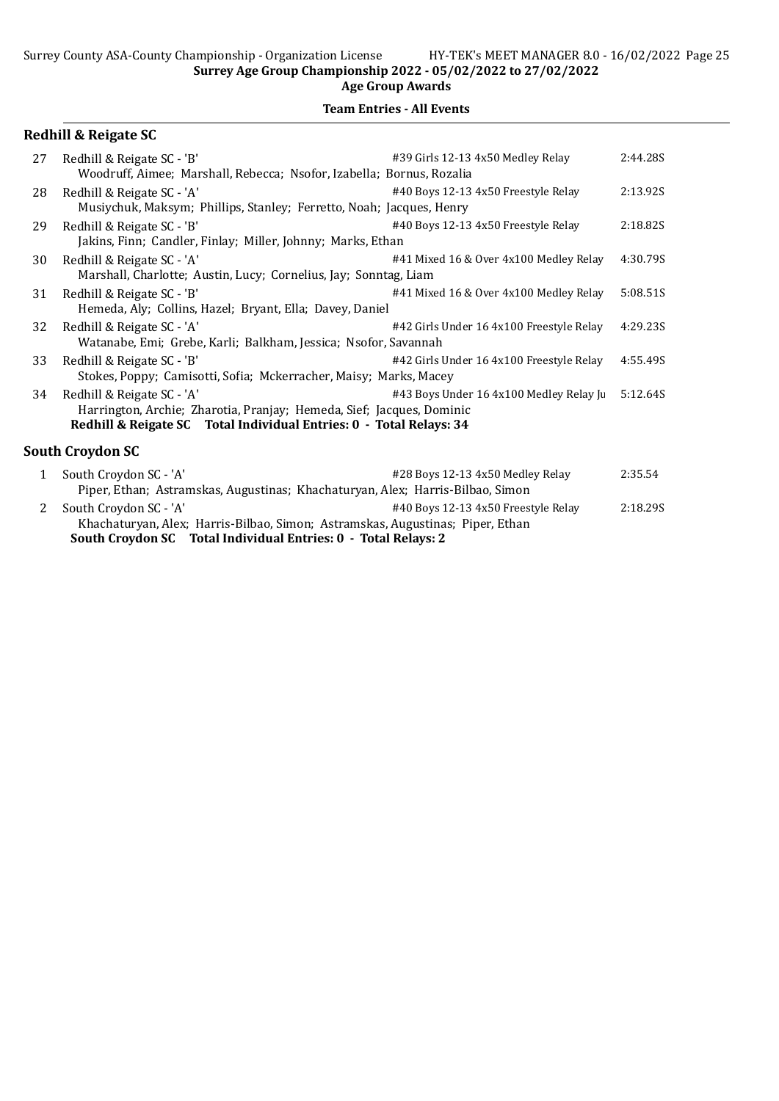### Team Entries - All Events

|              | <b>Redhill &amp; Reigate SC</b>                                                                                                                                            |                                          |          |
|--------------|----------------------------------------------------------------------------------------------------------------------------------------------------------------------------|------------------------------------------|----------|
| 27           | Redhill & Reigate SC - 'B'<br>Woodruff, Aimee; Marshall, Rebecca; Nsofor, Izabella; Bornus, Rozalia                                                                        | #39 Girls 12-13 4x50 Medley Relay        | 2:44.285 |
| 28           | Redhill & Reigate SC - 'A'<br>Musiychuk, Maksym; Phillips, Stanley; Ferretto, Noah; Jacques, Henry                                                                         | #40 Boys 12-13 4x50 Freestyle Relay      | 2:13.92S |
| 29           | Redhill & Reigate SC - 'B'<br>Jakins, Finn; Candler, Finlay; Miller, Johnny; Marks, Ethan                                                                                  | #40 Boys 12-13 4x50 Freestyle Relay      | 2:18.82S |
| 30           | Redhill & Reigate SC - 'A'<br>Marshall, Charlotte; Austin, Lucy; Cornelius, Jay; Sonntag, Liam                                                                             | #41 Mixed 16 & Over 4x100 Medley Relay   | 4:30.79S |
| 31           | Redhill & Reigate SC - 'B'<br>Hemeda, Aly; Collins, Hazel; Bryant, Ella; Davey, Daniel                                                                                     | #41 Mixed 16 & Over 4x100 Medley Relay   | 5:08.51S |
| 32           | Redhill & Reigate SC - 'A'<br>Watanabe, Emi; Grebe, Karli; Balkham, Jessica; Nsofor, Savannah                                                                              | #42 Girls Under 16 4x100 Freestyle Relay | 4:29.23S |
| 33           | Redhill & Reigate SC - 'B'<br>Stokes, Poppy; Camisotti, Sofia; Mckerracher, Maisy; Marks, Macey                                                                            | #42 Girls Under 16 4x100 Freestyle Relay | 4:55.49S |
| 34           | Redhill & Reigate SC - 'A'<br>Harrington, Archie; Zharotia, Pranjay; Hemeda, Sief; Jacques, Dominic<br>Redhill & Reigate SC Total Individual Entries: 0 - Total Relays: 34 | #43 Boys Under 16 4x100 Medley Relay Ju  | 5:12.64S |
|              | <b>South Croydon SC</b>                                                                                                                                                    |                                          |          |
| $\mathbf{1}$ | South Croydon SC - 'A'<br>Piper, Ethan; Astramskas, Augustinas; Khachaturyan, Alex; Harris-Bilbao, Simon                                                                   | #28 Boys 12-13 4x50 Medley Relay         | 2:35.54  |
|              |                                                                                                                                                                            |                                          |          |

2 South Croydon SC - 'A'  $\#40$  Boys 12-13 4x50 Freestyle Relay 2:18.29S Khachaturyan, Alex; Harris-Bilbao, Simon; Astramskas, Augustinas; Piper, Ethan South Croydon SC Total Individual Entries: 0 - Total Relays: 2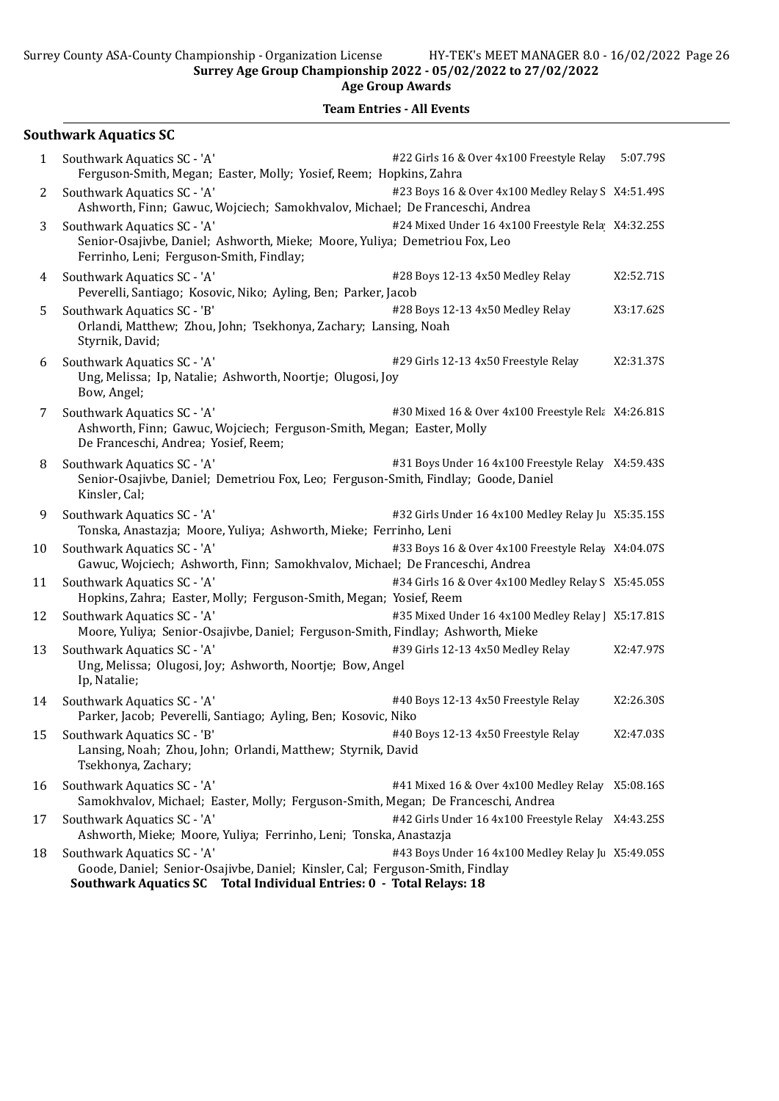Age Group Awards

## Team Entries - All Events

## Southwark Aquatics SC

| 1  | Southwark Aquatics SC - 'A'<br>Ferguson-Smith, Megan; Easter, Molly; Yosief, Reem; Hopkins, Zahra                                                                                    | #22 Girls 16 & Over 4x100 Freestyle Relay 5:07.79S |           |
|----|--------------------------------------------------------------------------------------------------------------------------------------------------------------------------------------|----------------------------------------------------|-----------|
| 2  | Southwark Aquatics SC - 'A'<br>Ashworth, Finn; Gawuc, Wojciech; Samokhvalov, Michael; De Franceschi, Andrea                                                                          | #23 Boys 16 & Over 4x100 Medley Relay S X4:51.49S  |           |
| 3  | Southwark Aquatics SC - 'A'<br>Senior-Osajivbe, Daniel; Ashworth, Mieke; Moore, Yuliya; Demetriou Fox, Leo<br>Ferrinho, Leni; Ferguson-Smith, Findlay;                               | #24 Mixed Under 16 4x100 Freestyle Rela X4:32.25S  |           |
| 4  | Southwark Aquatics SC - 'A'<br>Peverelli, Santiago; Kosovic, Niko; Ayling, Ben; Parker, Jacob                                                                                        | #28 Boys 12-13 4x50 Medley Relay                   | X2:52.71S |
| 5  | Southwark Aquatics SC - 'B'<br>Orlandi, Matthew; Zhou, John; Tsekhonya, Zachary; Lansing, Noah<br>Styrnik, David;                                                                    | #28 Boys 12-13 4x50 Medley Relay                   | X3:17.62S |
| 6  | Southwark Aquatics SC - 'A'<br>Ung, Melissa; Ip, Natalie; Ashworth, Noortje; Olugosi, Joy<br>Bow, Angel;                                                                             | #29 Girls 12-13 4x50 Freestyle Relay               | X2:31.37S |
| 7  | Southwark Aquatics SC - 'A'<br>Ashworth, Finn; Gawuc, Wojciech; Ferguson-Smith, Megan; Easter, Molly<br>De Franceschi, Andrea; Yosief, Reem;                                         | #30 Mixed 16 & Over 4x100 Freestyle Rel: X4:26.81S |           |
| 8  | Southwark Aquatics SC - 'A'<br>Senior-Osajivbe, Daniel; Demetriou Fox, Leo; Ferguson-Smith, Findlay; Goode, Daniel<br>Kinsler, Cal;                                                  | #31 Boys Under 16 4x100 Freestyle Relay X4:59.43S  |           |
| 9  | Southwark Aquatics SC - 'A'<br>Tonska, Anastazja; Moore, Yuliya; Ashworth, Mieke; Ferrinho, Leni                                                                                     | #32 Girls Under 16 4x100 Medley Relay Ju X5:35.15S |           |
| 10 | Southwark Aquatics SC - 'A'<br>Gawuc, Wojciech; Ashworth, Finn; Samokhvalov, Michael; De Franceschi, Andrea                                                                          | #33 Boys 16 & Over 4x100 Freestyle Relay X4:04.07S |           |
| 11 | Southwark Aquatics SC - 'A'<br>Hopkins, Zahra; Easter, Molly; Ferguson-Smith, Megan; Yosief, Reem                                                                                    | #34 Girls 16 & Over 4x100 Medley Relay S X5:45.05S |           |
| 12 | Southwark Aquatics SC - 'A'<br>Moore, Yuliya; Senior-Osajivbe, Daniel; Ferguson-Smith, Findlay; Ashworth, Mieke                                                                      | #35 Mixed Under 16 4x100 Medley Relay   X5:17.81S  |           |
| 13 | Southwark Aquatics SC - 'A'<br>Ung, Melissa; Olugosi, Joy; Ashworth, Noortje; Bow, Angel<br>Ip, Natalie;                                                                             | #39 Girls 12-13 4x50 Medley Relay                  | X2:47.97S |
| 14 | Southwark Aquatics SC - 'A'<br>Parker, Jacob; Peverelli, Santiago; Ayling, Ben; Kosovic, Niko                                                                                        | #40 Boys 12-13 4x50 Freestyle Relay                | X2:26.30S |
| 15 | Southwark Aquatics SC - 'B'<br>Lansing, Noah; Zhou, John; Orlandi, Matthew; Styrnik, David<br>Tsekhonya, Zachary;                                                                    | #40 Boys 12-13 4x50 Freestyle Relay                | X2:47.03S |
| 16 | Southwark Aquatics SC - 'A'<br>Samokhvalov, Michael; Easter, Molly; Ferguson-Smith, Megan; De Franceschi, Andrea                                                                     | #41 Mixed 16 & Over 4x100 Medley Relay X5:08.16S   |           |
| 17 | Southwark Aquatics SC - 'A'<br>Ashworth, Mieke; Moore, Yuliya; Ferrinho, Leni; Tonska, Anastazja                                                                                     | #42 Girls Under 16 4x100 Freestyle Relay X4:43.25S |           |
| 18 | Southwark Aquatics SC - 'A'<br>Goode, Daniel; Senior-Osajivbe, Daniel; Kinsler, Cal; Ferguson-Smith, Findlay<br>Southwark Aquatics SC Total Individual Entries: 0 - Total Relays: 18 | #43 Boys Under 16 4x100 Medley Relay Ju X5:49.05S  |           |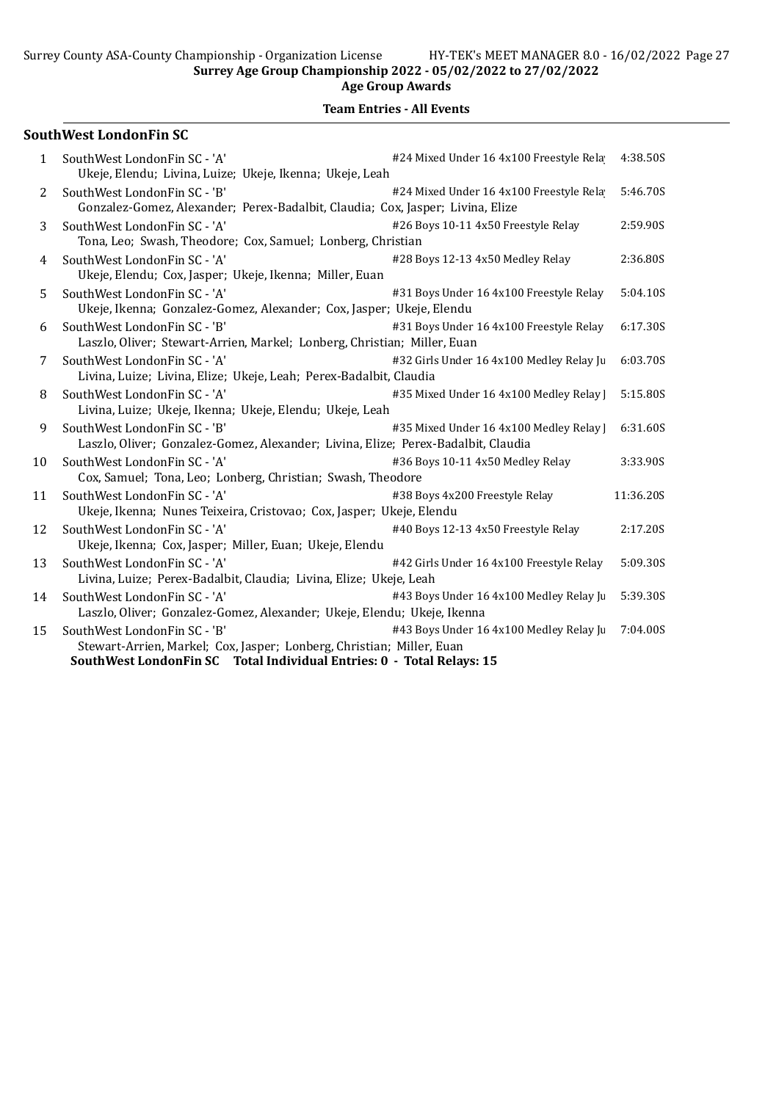Surrey Age Group Championship 2022 - 05/02/2022 to 27/02/2022

#### Age Group Awards

## Team Entries - All Events

## SouthWest LondonFin SC

| $\mathbf{1}$ | SouthWest LondonFin SC - 'A'<br>Ukeje, Elendu; Livina, Luize; Ukeje, Ikenna; Ukeje, Leah                                                                                       | #24 Mixed Under 16 4x100 Freestyle Rela  | 4:38.50S  |
|--------------|--------------------------------------------------------------------------------------------------------------------------------------------------------------------------------|------------------------------------------|-----------|
| 2            | SouthWest LondonFin SC - 'B'<br>Gonzalez-Gomez, Alexander; Perex-Badalbit, Claudia; Cox, Jasper; Livina, Elize                                                                 | #24 Mixed Under 16 4x100 Freestyle Rela  | 5:46.70S  |
| 3            | SouthWest LondonFin SC - 'A'<br>Tona, Leo; Swash, Theodore; Cox, Samuel; Lonberg, Christian                                                                                    | #26 Boys 10-11 4x50 Freestyle Relay      | 2:59.90S  |
| 4            | SouthWest LondonFin SC - 'A'<br>Ukeje, Elendu; Cox, Jasper; Ukeje, Ikenna; Miller, Euan                                                                                        | #28 Boys 12-13 4x50 Medley Relay         | 2:36.80S  |
| 5            | SouthWest LondonFin SC - 'A'<br>Ukeje, Ikenna; Gonzalez-Gomez, Alexander; Cox, Jasper; Ukeje, Elendu                                                                           | #31 Boys Under 16 4x100 Freestyle Relay  | 5:04.10S  |
| 6            | SouthWest LondonFin SC - 'B'<br>Laszlo, Oliver; Stewart-Arrien, Markel; Lonberg, Christian; Miller, Euan                                                                       | #31 Boys Under 16 4x100 Freestyle Relay  | 6:17.30S  |
| 7            | SouthWest LondonFin SC - 'A'<br>Livina, Luize; Livina, Elize; Ukeje, Leah; Perex-Badalbit, Claudia                                                                             | #32 Girls Under 16 4x100 Medley Relay Ju | 6:03.70S  |
| 8            | SouthWest LondonFin SC - 'A'<br>Livina, Luize; Ukeje, Ikenna; Ukeje, Elendu; Ukeje, Leah                                                                                       | #35 Mixed Under 16 4x100 Medley Relay    | 5:15.80S  |
| 9            | SouthWest LondonFin SC - 'B'<br>Laszlo, Oliver; Gonzalez-Gomez, Alexander; Livina, Elize; Perex-Badalbit, Claudia                                                              | #35 Mixed Under 16 4x100 Medley Relay    | 6:31.60S  |
| 10           | SouthWest LondonFin SC - 'A'<br>Cox, Samuel; Tona, Leo; Lonberg, Christian; Swash, Theodore                                                                                    | #36 Boys 10-11 4x50 Medley Relay         | 3:33.90S  |
| 11           | SouthWest LondonFin SC - 'A'<br>Ukeje, Ikenna; Nunes Teixeira, Cristovao; Cox, Jasper; Ukeje, Elendu                                                                           | #38 Boys 4x200 Freestyle Relay           | 11:36.20S |
| 12           | SouthWest LondonFin SC - 'A'<br>Ukeje, Ikenna; Cox, Jasper; Miller, Euan; Ukeje, Elendu                                                                                        | #40 Boys 12-13 4x50 Freestyle Relay      | 2:17.20S  |
| 13           | SouthWest LondonFin SC - 'A'<br>Livina, Luize; Perex-Badalbit, Claudia; Livina, Elize; Ukeje, Leah                                                                             | #42 Girls Under 16 4x100 Freestyle Relay | 5:09.30S  |
| 14           | SouthWest LondonFin SC - 'A'<br>Laszlo, Oliver; Gonzalez-Gomez, Alexander; Ukeje, Elendu; Ukeje, Ikenna                                                                        | #43 Boys Under 16 4x100 Medley Relay Ju  | 5:39.30S  |
| 15           | SouthWest LondonFin SC - 'B'<br>Stewart-Arrien, Markel; Cox, Jasper; Lonberg, Christian; Miller, Euan<br>SouthWest LondonFin SC Total Individual Entries: 0 - Total Relays: 15 | #43 Boys Under 16 4x100 Medley Relay Ju  | 7:04.00S  |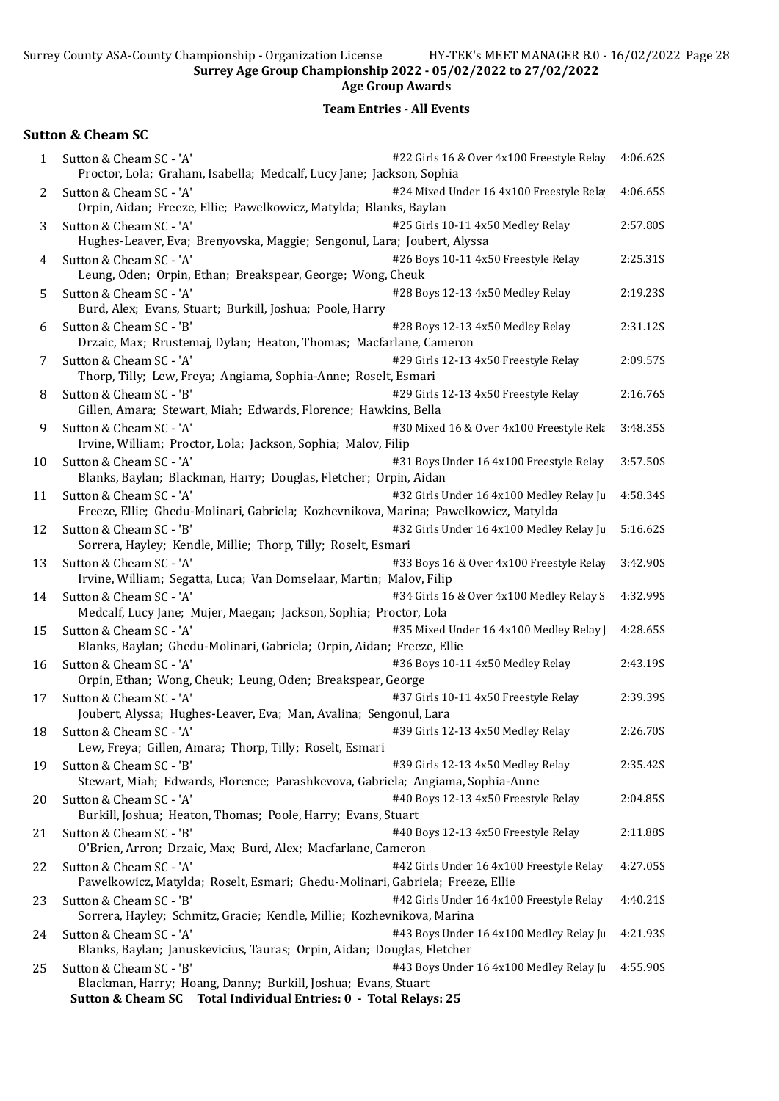|              | <b>Sutton &amp; Cheam SC</b>                                                                                                                                                                                          |          |
|--------------|-----------------------------------------------------------------------------------------------------------------------------------------------------------------------------------------------------------------------|----------|
| $\mathbf{1}$ | #22 Girls 16 & Over 4x100 Freestyle Relay<br>Sutton & Cheam SC - 'A'<br>Proctor, Lola; Graham, Isabella; Medcalf, Lucy Jane; Jackson, Sophia                                                                          | 4:06.62S |
| 2            | #24 Mixed Under 16 4x100 Freestyle Rela<br>Sutton & Cheam SC - 'A'<br>Orpin, Aidan; Freeze, Ellie; Pawelkowicz, Matylda; Blanks, Baylan                                                                               | 4:06.65S |
| 3            | Sutton & Cheam SC - 'A'<br>#25 Girls 10-11 4x50 Medley Relay<br>Hughes-Leaver, Eva; Brenyovska, Maggie; Sengonul, Lara; Joubert, Alyssa                                                                               | 2:57.80S |
| 4            | #26 Boys 10-11 4x50 Freestyle Relay<br>Sutton & Cheam SC - 'A'<br>Leung, Oden; Orpin, Ethan; Breakspear, George; Wong, Cheuk                                                                                          | 2:25.31S |
| 5            | #28 Boys 12-13 4x50 Medley Relay<br>Sutton & Cheam SC - 'A'<br>Burd, Alex; Evans, Stuart; Burkill, Joshua; Poole, Harry                                                                                               | 2:19.235 |
| 6            | #28 Boys 12-13 4x50 Medley Relay<br>Sutton & Cheam SC - 'B'<br>Drzaic, Max; Rrustemaj, Dylan; Heaton, Thomas; Macfarlane, Cameron                                                                                     | 2:31.12S |
| 7            | #29 Girls 12-13 4x50 Freestyle Relay<br>Sutton & Cheam SC - 'A'<br>Thorp, Tilly; Lew, Freya; Angiama, Sophia-Anne; Roselt, Esmari                                                                                     | 2:09.57S |
| 8            | Sutton & Cheam SC - 'B'<br>#29 Girls 12-13 4x50 Freestyle Relay<br>Gillen, Amara; Stewart, Miah; Edwards, Florence; Hawkins, Bella                                                                                    | 2:16.76S |
| 9            | Sutton & Cheam SC - 'A'<br>#30 Mixed 16 & Over 4x100 Freestyle Rela<br>Irvine, William; Proctor, Lola; Jackson, Sophia; Malov, Filip                                                                                  | 3:48.35S |
| 10           | #31 Boys Under 16 4x100 Freestyle Relay<br>Sutton & Cheam SC - 'A'<br>Blanks, Baylan; Blackman, Harry; Douglas, Fletcher; Orpin, Aidan                                                                                | 3:57.50S |
| 11           | #32 Girls Under 16 4x100 Medley Relay Ju<br>Sutton & Cheam SC - 'A'<br>Freeze, Ellie; Ghedu-Molinari, Gabriela; Kozhevnikova, Marina; Pawelkowicz, Matylda                                                            | 4:58.34S |
| 12           | #32 Girls Under 16 4x100 Medley Relay Ju<br>Sutton & Cheam SC - 'B'<br>Sorrera, Hayley; Kendle, Millie; Thorp, Tilly; Roselt, Esmari                                                                                  | 5:16.62S |
| 13           | #33 Boys 16 & Over 4x100 Freestyle Relay<br>Sutton & Cheam SC - 'A'<br>Irvine, William; Segatta, Luca; Van Domselaar, Martin; Malov, Filip                                                                            | 3:42.90S |
| 14           | #34 Girls 16 & Over 4x100 Medley Relay S<br>Sutton & Cheam SC - 'A'<br>Medcalf, Lucy Jane; Mujer, Maegan; Jackson, Sophia; Proctor, Lola                                                                              | 4:32.99S |
| 15           | Sutton & Cheam SC - 'A'<br>#35 Mixed Under 16 4x100 Medley Relay<br>Blanks, Baylan; Ghedu-Molinari, Gabriela; Orpin, Aidan; Freeze, Ellie                                                                             | 4:28.65S |
| 16           | #36 Boys 10-11 4x50 Medley Relay<br>Sutton & Cheam SC - 'A'<br>Orpin, Ethan; Wong, Cheuk; Leung, Oden; Breakspear, George                                                                                             | 2:43.19S |
| 17           | #37 Girls 10-11 4x50 Freestyle Relay<br>Sutton & Cheam SC - 'A'<br>Joubert, Alyssa; Hughes-Leaver, Eva; Man, Avalina; Sengonul, Lara                                                                                  | 2:39.39S |
| 18           | #39 Girls 12-13 4x50 Medley Relay<br>Sutton & Cheam SC - 'A'<br>Lew, Freya; Gillen, Amara; Thorp, Tilly; Roselt, Esmari                                                                                               | 2:26.70S |
| 19           | Sutton & Cheam SC - 'B'<br>#39 Girls 12-13 4x50 Medley Relay<br>Stewart, Miah; Edwards, Florence; Parashkevova, Gabriela; Angiama, Sophia-Anne                                                                        | 2:35.42S |
| 20           | Sutton & Cheam SC - 'A'<br>#40 Boys 12-13 4x50 Freestyle Relay<br>Burkill, Joshua; Heaton, Thomas; Poole, Harry; Evans, Stuart                                                                                        | 2:04.85S |
| 21           | Sutton & Cheam SC - 'B'<br>#40 Boys 12-13 4x50 Freestyle Relay<br>O'Brien, Arron; Drzaic, Max; Burd, Alex; Macfarlane, Cameron                                                                                        | 2:11.88S |
| 22           | #42 Girls Under 16 4x100 Freestyle Relay<br>Sutton & Cheam SC - 'A'<br>Pawelkowicz, Matylda; Roselt, Esmari; Ghedu-Molinari, Gabriela; Freeze, Ellie                                                                  | 4:27.05S |
| 23           | #42 Girls Under 16 4x100 Freestyle Relay<br>Sutton & Cheam SC - 'B'<br>Sorrera, Hayley; Schmitz, Gracie; Kendle, Millie; Kozhevnikova, Marina                                                                         | 4:40.21S |
| 24           | Sutton & Cheam SC - 'A'<br>#43 Boys Under 16 4x100 Medley Relay Ju<br>Blanks, Baylan; Januskevicius, Tauras; Orpin, Aidan; Douglas, Fletcher                                                                          | 4:21.93S |
| 25           | Sutton & Cheam SC - 'B'<br>#43 Boys Under 16 4x100 Medley Relay Ju<br>Blackman, Harry; Hoang, Danny; Burkill, Joshua; Evans, Stuart<br>Total Individual Entries: 0 - Total Relays: 25<br><b>Sutton &amp; Cheam SC</b> | 4:55.90S |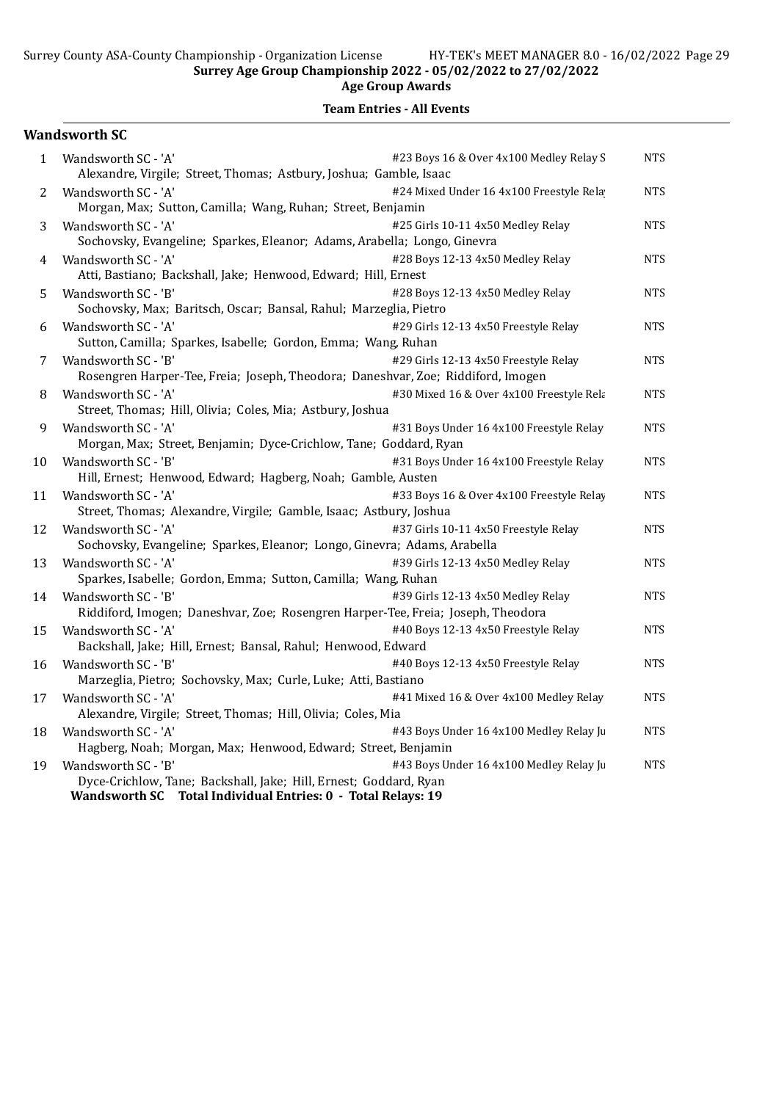Age Group Awards

|              | <b>Wandsworth SC</b>                                                                                                                                                                                |            |
|--------------|-----------------------------------------------------------------------------------------------------------------------------------------------------------------------------------------------------|------------|
| $\mathbf{1}$ | #23 Boys 16 & Over 4x100 Medley Relay S<br>Wandsworth SC - 'A'<br>Alexandre, Virgile; Street, Thomas; Astbury, Joshua; Gamble, Isaac                                                                | <b>NTS</b> |
| 2            | Wandsworth SC - 'A'<br>#24 Mixed Under 16 4x100 Freestyle Rela<br>Morgan, Max; Sutton, Camilla; Wang, Ruhan; Street, Benjamin                                                                       | <b>NTS</b> |
| 3            | Wandsworth SC - 'A'<br>#25 Girls 10-11 4x50 Medley Relay<br>Sochovsky, Evangeline; Sparkes, Eleanor; Adams, Arabella; Longo, Ginevra                                                                | <b>NTS</b> |
| 4            | Wandsworth SC - 'A'<br>#28 Boys 12-13 4x50 Medley Relay<br>Atti, Bastiano; Backshall, Jake; Henwood, Edward; Hill, Ernest                                                                           | <b>NTS</b> |
| 5            | #28 Boys 12-13 4x50 Medley Relay<br>Wandsworth SC - 'B'<br>Sochovsky, Max; Baritsch, Oscar; Bansal, Rahul; Marzeglia, Pietro                                                                        | <b>NTS</b> |
| 6            | Wandsworth SC - 'A'<br>#29 Girls 12-13 4x50 Freestyle Relay<br>Sutton, Camilla; Sparkes, Isabelle; Gordon, Emma; Wang, Ruhan                                                                        | <b>NTS</b> |
| 7            | #29 Girls 12-13 4x50 Freestyle Relay<br>Wandsworth SC - 'B'<br>Rosengren Harper-Tee, Freia; Joseph, Theodora; Daneshvar, Zoe; Riddiford, Imogen                                                     | <b>NTS</b> |
| 8            | #30 Mixed 16 & Over 4x100 Freestyle Rela<br>Wandsworth SC - 'A'<br>Street, Thomas; Hill, Olivia; Coles, Mia; Astbury, Joshua                                                                        | <b>NTS</b> |
| 9            | Wandsworth SC - 'A'<br>#31 Boys Under 16 4x100 Freestyle Relay<br>Morgan, Max; Street, Benjamin; Dyce-Crichlow, Tane; Goddard, Ryan                                                                 | <b>NTS</b> |
| 10           | #31 Boys Under 16 4x100 Freestyle Relay<br>Wandsworth SC - 'B'<br>Hill, Ernest; Henwood, Edward; Hagberg, Noah; Gamble, Austen                                                                      | <b>NTS</b> |
| 11           | Wandsworth SC - 'A'<br>#33 Boys 16 & Over 4x100 Freestyle Relay<br>Street, Thomas; Alexandre, Virgile; Gamble, Isaac; Astbury, Joshua                                                               | <b>NTS</b> |
| 12           | #37 Girls 10-11 4x50 Freestyle Relay<br>Wandsworth SC - 'A'<br>Sochovsky, Evangeline; Sparkes, Eleanor; Longo, Ginevra; Adams, Arabella                                                             | <b>NTS</b> |
| 13           | #39 Girls 12-13 4x50 Medley Relay<br>Wandsworth SC - 'A'<br>Sparkes, Isabelle; Gordon, Emma; Sutton, Camilla; Wang, Ruhan                                                                           | <b>NTS</b> |
| 14           | Wandsworth SC - 'B'<br>#39 Girls 12-13 4x50 Medley Relay<br>Riddiford, Imogen; Daneshvar, Zoe; Rosengren Harper-Tee, Freia; Joseph, Theodora                                                        | <b>NTS</b> |
| 15           | Wandsworth SC - 'A'<br>#40 Boys 12-13 4x50 Freestyle Relay<br>Backshall, Jake; Hill, Ernest; Bansal, Rahul; Henwood, Edward                                                                         | <b>NTS</b> |
| 16           | #40 Boys 12-13 4x50 Freestyle Relay<br>Wandsworth SC - 'B'<br>Marzeglia, Pietro; Sochovsky, Max; Curle, Luke; Atti, Bastiano                                                                        | <b>NTS</b> |
| 17           | #41 Mixed 16 & Over 4x100 Medley Relay<br>Wandsworth SC - 'A'<br>Alexandre, Virgile; Street, Thomas; Hill, Olivia; Coles, Mia                                                                       | <b>NTS</b> |
| 18           | Wandsworth SC - 'A'<br>#43 Boys Under 16 4x100 Medley Relay Ju<br>Hagberg, Noah; Morgan, Max; Henwood, Edward; Street, Benjamin                                                                     | <b>NTS</b> |
| 19           | Wandsworth SC - 'B'<br>#43 Boys Under 16 4x100 Medley Relay Ju<br>Dyce-Crichlow, Tane; Backshall, Jake; Hill, Ernest; Goddard, Ryan<br>Wandsworth SC Total Individual Entries: 0 - Total Relays: 19 | <b>NTS</b> |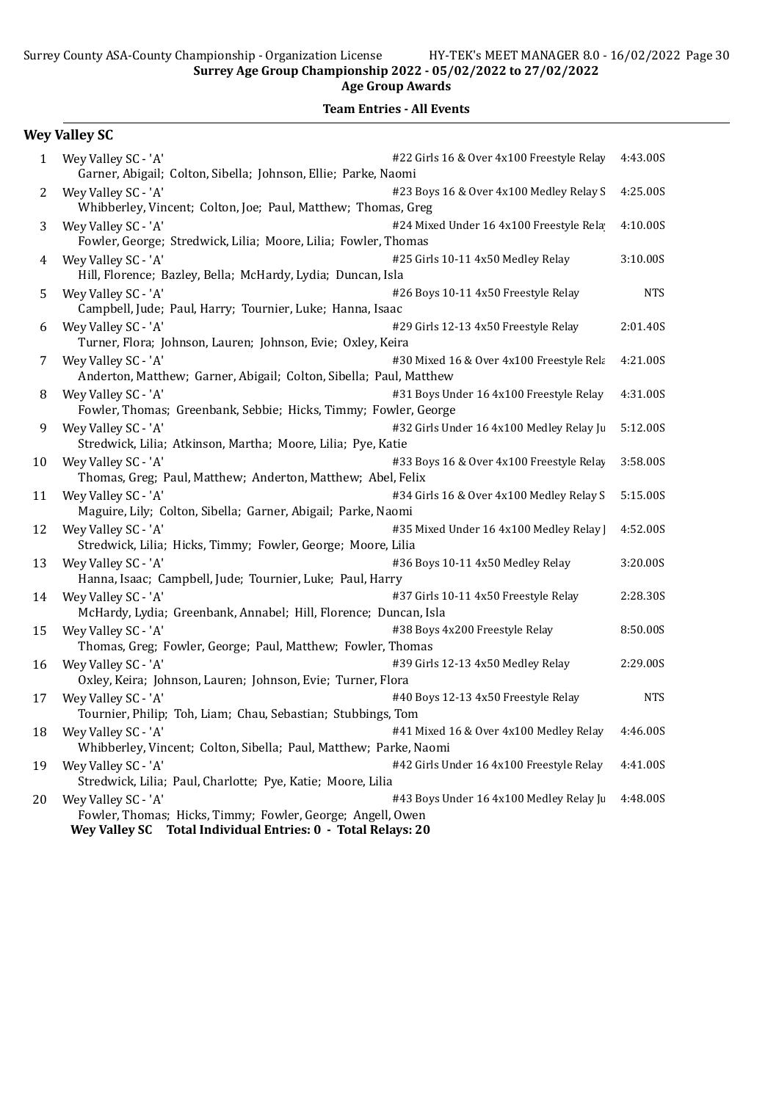|              | <b>Wey Valley SC</b>                                                                                                                                                                                   |            |
|--------------|--------------------------------------------------------------------------------------------------------------------------------------------------------------------------------------------------------|------------|
| $\mathbf{1}$ | #22 Girls 16 & Over 4x100 Freestyle Relay<br>Wey Valley SC - 'A'<br>Garner, Abigail; Colton, Sibella; Johnson, Ellie; Parke, Naomi                                                                     | 4:43.00S   |
| 2            | #23 Boys 16 & Over 4x100 Medley Relay S<br>Wey Valley SC - 'A'<br>Whibberley, Vincent; Colton, Joe; Paul, Matthew; Thomas, Greg                                                                        | 4:25.00S   |
| 3            | Wey Valley SC - 'A'<br>#24 Mixed Under 16 4x100 Freestyle Rela<br>Fowler, George; Stredwick, Lilia; Moore, Lilia; Fowler, Thomas                                                                       | 4:10.00S   |
| 4            | Wey Valley SC - 'A'<br>#25 Girls 10-11 4x50 Medley Relay<br>Hill, Florence; Bazley, Bella; McHardy, Lydia; Duncan, Isla                                                                                | 3:10.00S   |
| 5            | #26 Boys 10-11 4x50 Freestyle Relay<br>Wey Valley SC - 'A'<br>Campbell, Jude; Paul, Harry; Tournier, Luke; Hanna, Isaac                                                                                | <b>NTS</b> |
| 6            | Wey Valley SC - 'A'<br>#29 Girls 12-13 4x50 Freestyle Relay<br>Turner, Flora; Johnson, Lauren; Johnson, Evie; Oxley, Keira                                                                             | 2:01.40S   |
| 7            | Wey Valley SC - 'A'<br>#30 Mixed 16 & Over 4x100 Freestyle Rela<br>Anderton, Matthew; Garner, Abigail; Colton, Sibella; Paul, Matthew                                                                  | 4:21.00S   |
| 8            | Wey Valley SC - 'A'<br>#31 Boys Under 16 4x100 Freestyle Relay<br>Fowler, Thomas; Greenbank, Sebbie; Hicks, Timmy; Fowler, George                                                                      | 4:31.00S   |
| 9            | Wey Valley SC - 'A'<br>#32 Girls Under 16 4x100 Medley Relay Ju<br>Stredwick, Lilia; Atkinson, Martha; Moore, Lilia; Pye, Katie                                                                        | 5:12.00S   |
| 10           | Wey Valley SC - 'A'<br>#33 Boys 16 & Over 4x100 Freestyle Relay<br>Thomas, Greg; Paul, Matthew; Anderton, Matthew; Abel, Felix                                                                         | 3:58.00S   |
| 11           | Wey Valley SC - 'A'<br>#34 Girls 16 & Over 4x100 Medley Relay S<br>Maguire, Lily; Colton, Sibella; Garner, Abigail; Parke, Naomi                                                                       | 5:15.00S   |
| 12           | Wey Valley SC - 'A'<br>#35 Mixed Under 16 4x100 Medley Relay ]<br>Stredwick, Lilia; Hicks, Timmy; Fowler, George; Moore, Lilia                                                                         | 4:52.00S   |
| 13           | #36 Boys 10-11 4x50 Medley Relay<br>Wey Valley SC - 'A'<br>Hanna, Isaac; Campbell, Jude; Tournier, Luke; Paul, Harry                                                                                   | 3:20.00S   |
| 14           | Wey Valley SC - 'A'<br>#37 Girls 10-11 4x50 Freestyle Relay<br>McHardy, Lydia; Greenbank, Annabel; Hill, Florence; Duncan, Isla                                                                        | 2:28.30S   |
| 15           | Wey Valley SC - 'A'<br>#38 Boys 4x200 Freestyle Relay<br>Thomas, Greg; Fowler, George; Paul, Matthew; Fowler, Thomas                                                                                   | 8:50.00S   |
| 16           | #39 Girls 12-13 4x50 Medley Relay<br>Wey Valley SC - 'A'<br>Oxley, Keira; Johnson, Lauren; Johnson, Evie; Turner, Flora                                                                                | 2:29.00S   |
| 17           | Wey Valley SC - 'A'<br>#40 Boys 12-13 4x50 Freestyle Relay<br>Tournier, Philip; Toh, Liam; Chau, Sebastian; Stubbings, Tom                                                                             | <b>NTS</b> |
| 18           | #41 Mixed 16 & Over 4x100 Medley Relay<br>Wey Valley SC - 'A'<br>Whibberley, Vincent; Colton, Sibella; Paul, Matthew; Parke, Naomi                                                                     | 4:46.00S   |
| 19           | Wey Valley SC - 'A'<br>#42 Girls Under 16 4x100 Freestyle Relay<br>Stredwick, Lilia; Paul, Charlotte; Pye, Katie; Moore, Lilia                                                                         | 4:41.00S   |
| 20           | Wey Valley SC - 'A'<br>#43 Boys Under 16 4x100 Medley Relay Ju<br>Fowler, Thomas; Hicks, Timmy; Fowler, George; Angell, Owen<br><b>Wey Valley SC</b><br>Total Individual Entries: 0 - Total Relays: 20 | 4:48.00S   |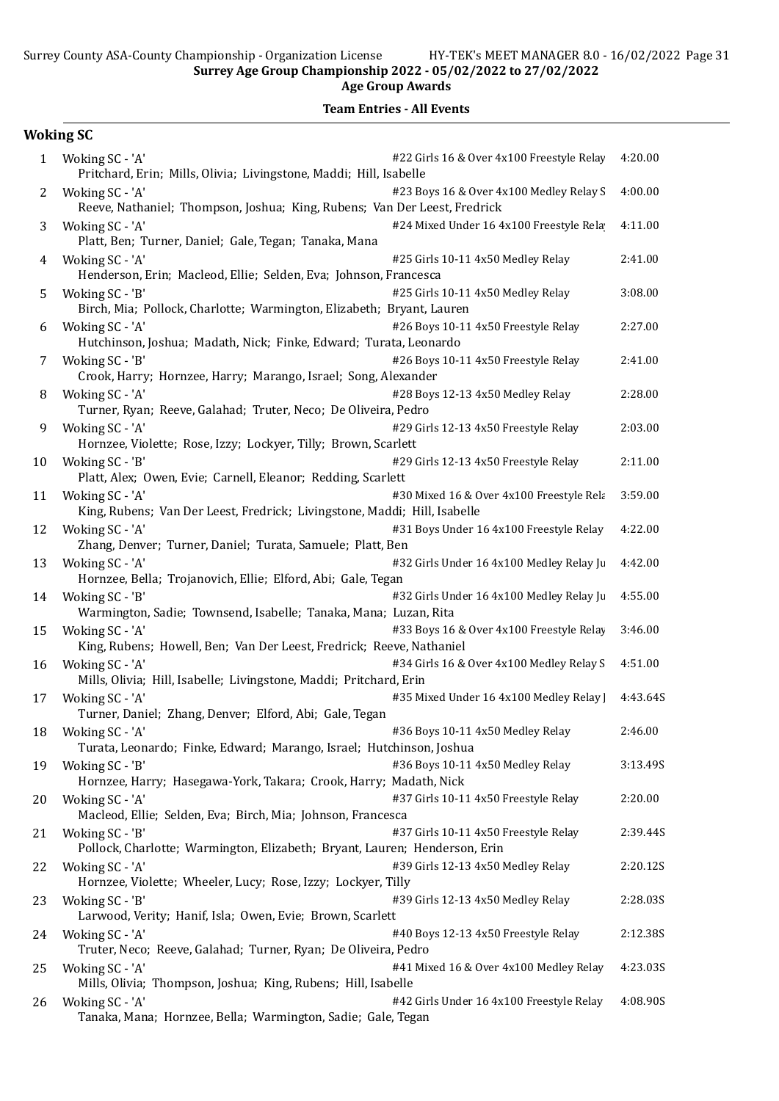Age Group Awards

|              | <b>Woking SC</b>                                                                                                                         |          |
|--------------|------------------------------------------------------------------------------------------------------------------------------------------|----------|
| $\mathbf{1}$ | #22 Girls 16 & Over 4x100 Freestyle Relay<br>Woking SC - 'A'<br>Pritchard, Erin; Mills, Olivia; Livingstone, Maddi; Hill, Isabelle       | 4:20.00  |
| 2            | #23 Boys 16 & Over 4x100 Medley Relay S<br>Woking SC - 'A'<br>Reeve, Nathaniel; Thompson, Joshua; King, Rubens; Van Der Leest, Fredrick  | 4:00.00  |
| 3            | Woking SC - 'A'<br>#24 Mixed Under 16 4x100 Freestyle Rela<br>Platt, Ben; Turner, Daniel; Gale, Tegan; Tanaka, Mana                      | 4:11.00  |
| 4            | Woking SC - 'A'<br>#25 Girls 10-11 4x50 Medley Relay<br>Henderson, Erin; Macleod, Ellie; Selden, Eva; Johnson, Francesca                 | 2:41.00  |
| 5            | #25 Girls 10-11 4x50 Medley Relay<br>Woking SC - 'B'<br>Birch, Mia; Pollock, Charlotte; Warmington, Elizabeth; Bryant, Lauren            | 3:08.00  |
| 6            | #26 Boys 10-11 4x50 Freestyle Relay<br>Woking SC - 'A'<br>Hutchinson, Joshua; Madath, Nick; Finke, Edward; Turata, Leonardo              | 2:27.00  |
| 7            | #26 Boys 10-11 4x50 Freestyle Relay<br>Woking SC - 'B'<br>Crook, Harry; Hornzee, Harry; Marango, Israel; Song, Alexander                 | 2:41.00  |
| 8            | Woking SC - 'A'<br>#28 Boys 12-13 4x50 Medley Relay<br>Turner, Ryan; Reeve, Galahad; Truter, Neco; De Oliveira, Pedro                    | 2:28.00  |
| 9            | Woking SC - 'A'<br>#29 Girls 12-13 4x50 Freestyle Relay<br>Hornzee, Violette; Rose, Izzy; Lockyer, Tilly; Brown, Scarlett                | 2:03.00  |
| 10           | Woking SC - 'B'<br>#29 Girls 12-13 4x50 Freestyle Relay<br>Platt, Alex; Owen, Evie; Carnell, Eleanor; Redding, Scarlett                  | 2:11.00  |
| 11           | Woking SC - 'A'<br>#30 Mixed 16 & Over 4x100 Freestyle Rela<br>King, Rubens; Van Der Leest, Fredrick; Livingstone, Maddi; Hill, Isabelle | 3:59.00  |
| 12           | #31 Boys Under 16 4x100 Freestyle Relay<br>Woking SC - 'A'<br>Zhang, Denver; Turner, Daniel; Turata, Samuele; Platt, Ben                 | 4:22.00  |
| 13           | #32 Girls Under 16 4x100 Medley Relay Ju<br>Woking SC - 'A'<br>Hornzee, Bella; Trojanovich, Ellie; Elford, Abi; Gale, Tegan              | 4:42.00  |
| 14           | Woking SC - 'B'<br>#32 Girls Under 16 4x100 Medley Relay Ju<br>Warmington, Sadie; Townsend, Isabelle; Tanaka, Mana; Luzan, Rita          | 4:55.00  |
| 15           | Woking SC - 'A'<br>#33 Boys 16 & Over 4x100 Freestyle Relay<br>King, Rubens; Howell, Ben; Van Der Leest, Fredrick; Reeve, Nathaniel      | 3:46.00  |
| 16           | #34 Girls 16 & Over 4x100 Medley Relay S<br>Woking SC - 'A'<br>Mills, Olivia; Hill, Isabelle; Livingstone, Maddi; Pritchard, Erin        | 4:51.00  |
| 17           | #35 Mixed Under 16 4x100 Medley Relay  <br>Woking SC - 'A'<br>Turner, Daniel; Zhang, Denver; Elford, Abi; Gale, Tegan                    | 4:43.64S |
| 18           | #36 Boys 10-11 4x50 Medley Relay<br>Woking SC - 'A'<br>Turata, Leonardo; Finke, Edward; Marango, Israel; Hutchinson, Joshua              | 2:46.00  |
| 19           | #36 Boys 10-11 4x50 Medley Relay<br>Woking SC - 'B'<br>Hornzee, Harry; Hasegawa-York, Takara; Crook, Harry; Madath, Nick                 | 3:13.49S |
| 20           | Woking SC - 'A'<br>#37 Girls 10-11 4x50 Freestyle Relay<br>Macleod, Ellie; Selden, Eva; Birch, Mia; Johnson, Francesca                   | 2:20.00  |
| 21           | Woking SC - 'B'<br>#37 Girls 10-11 4x50 Freestyle Relay<br>Pollock, Charlotte; Warmington, Elizabeth; Bryant, Lauren; Henderson, Erin    | 2:39.44S |
| 22           | #39 Girls 12-13 4x50 Medley Relay<br>Woking SC - 'A'<br>Hornzee, Violette; Wheeler, Lucy; Rose, Izzy; Lockyer, Tilly                     | 2:20.12S |
| 23           | #39 Girls 12-13 4x50 Medley Relay<br>Woking SC - 'B'<br>Larwood, Verity; Hanif, Isla; Owen, Evie; Brown, Scarlett                        | 2:28.03S |
| 24           | #40 Boys 12-13 4x50 Freestyle Relay<br>Woking SC - 'A'<br>Truter, Neco; Reeve, Galahad; Turner, Ryan; De Oliveira, Pedro                 | 2:12.38S |
| 25           | Woking SC - 'A'<br>#41 Mixed 16 & Over 4x100 Medley Relay<br>Mills, Olivia; Thompson, Joshua; King, Rubens; Hill, Isabelle               | 4:23.03S |
| 26           | Woking SC - 'A'<br>#42 Girls Under 16 4x100 Freestyle Relay<br>Tanaka, Mana; Hornzee, Bella; Warmington, Sadie; Gale, Tegan              | 4:08.90S |